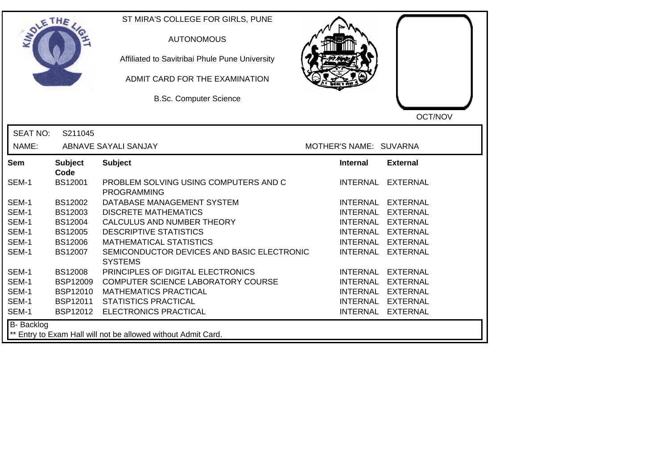| SOLE THE          |                        | ST MIRA'S COLLEGE FOR GIRLS, PUNE<br><b>AUTONOMOUS</b><br>Affiliated to Savitribai Phule Pune University<br>ADMIT CARD FOR THE EXAMINATION<br><b>B.Sc. Computer Science</b> |                        | OCT/NOV           |
|-------------------|------------------------|-----------------------------------------------------------------------------------------------------------------------------------------------------------------------------|------------------------|-------------------|
| <b>SEAT NO:</b>   | S211045                |                                                                                                                                                                             |                        |                   |
| NAME:             |                        | ABNAVE SAYALI SANJAY                                                                                                                                                        | MOTHER'S NAME: SUVARNA |                   |
| Sem               | <b>Subject</b><br>Code | <b>Subject</b>                                                                                                                                                              | <b>Internal</b>        | <b>External</b>   |
| SEM-1             | <b>BS12001</b>         | PROBLEM SOLVING USING COMPUTERS AND C<br><b>PROGRAMMING</b>                                                                                                                 | <b>INTERNAL</b>        | <b>EXTERNAL</b>   |
| SEM-1             | BS12002                | DATABASE MANAGEMENT SYSTEM                                                                                                                                                  | <b>INTERNAL</b>        | <b>EXTERNAL</b>   |
| SEM-1             | BS12003                | <b>DISCRETE MATHEMATICS</b>                                                                                                                                                 |                        | INTERNAL EXTERNAL |
| SEM-1             | <b>BS12004</b>         | CALCULUS AND NUMBER THEORY                                                                                                                                                  |                        | INTERNAL EXTERNAL |
| SEM-1             | <b>BS12005</b>         | <b>DESCRIPTIVE STATISTICS</b>                                                                                                                                               |                        | INTERNAL EXTERNAL |
| SEM-1             | <b>BS12006</b>         | <b>MATHEMATICAL STATISTICS</b>                                                                                                                                              | <b>INTERNAL</b>        | <b>EXTERNAL</b>   |
| SEM-1             | <b>BS12007</b>         | SEMICONDUCTOR DEVICES AND BASIC ELECTRONIC<br><b>SYSTEMS</b>                                                                                                                | <b>INTERNAL</b>        | <b>EXTERNAL</b>   |
| SEM-1             | <b>BS12008</b>         | PRINCIPLES OF DIGITAL ELECTRONICS                                                                                                                                           |                        | INTERNAL EXTERNAL |
| SEM-1             | <b>BSP12009</b>        | COMPUTER SCIENCE LABORATORY COURSE                                                                                                                                          |                        | INTERNAL EXTERNAL |
| SEM-1             | <b>BSP12010</b>        | <b>MATHEMATICS PRACTICAL</b>                                                                                                                                                | <b>INTERNAL</b>        | <b>EXTERNAL</b>   |
| SEM-1             | <b>BSP12011</b>        | <b>STATISTICS PRACTICAL</b>                                                                                                                                                 |                        | INTERNAL EXTERNAL |
| SEM-1             |                        | BSP12012 ELECTRONICS PRACTICAL                                                                                                                                              |                        | INTERNAL EXTERNAL |
| <b>B-</b> Backlog |                        | ** Entry to Exam Hall will not be allowed without Admit Card.                                                                                                               |                        |                   |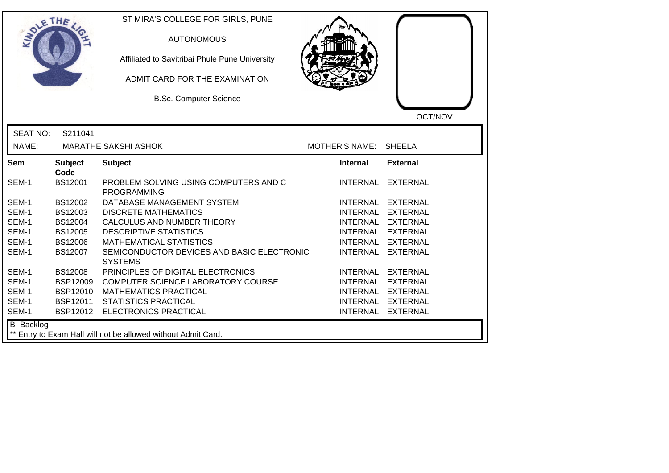| SOLE THE        |                        | ST MIRA'S COLLEGE FOR GIRLS, PUNE<br><b>AUTONOMOUS</b><br>Affiliated to Savitribai Phule Pune University<br>ADMIT CARD FOR THE EXAMINATION<br><b>B.Sc. Computer Science</b> |                       | OCT/NOV           |
|-----------------|------------------------|-----------------------------------------------------------------------------------------------------------------------------------------------------------------------------|-----------------------|-------------------|
| <b>SEAT NO:</b> | S211041                |                                                                                                                                                                             |                       |                   |
| NAME:           |                        | <b>MARATHE SAKSHI ASHOK</b>                                                                                                                                                 | <b>MOTHER'S NAME:</b> | <b>SHEELA</b>     |
| Sem             | <b>Subject</b><br>Code | <b>Subject</b>                                                                                                                                                              | <b>Internal</b>       | <b>External</b>   |
| SEM-1           | <b>BS12001</b>         | PROBLEM SOLVING USING COMPUTERS AND C<br><b>PROGRAMMING</b>                                                                                                                 |                       | INTERNAL EXTERNAL |
| SEM-1           | BS12002                | DATABASE MANAGEMENT SYSTEM                                                                                                                                                  |                       | INTERNAL EXTERNAL |
| SEM-1           | BS12003                | <b>DISCRETE MATHEMATICS</b>                                                                                                                                                 | <b>INTERNAL</b>       | <b>EXTERNAL</b>   |
| SEM-1           | <b>BS12004</b>         | CALCULUS AND NUMBER THEORY                                                                                                                                                  |                       | INTERNAL EXTERNAL |
| SEM-1           | <b>BS12005</b>         | <b>DESCRIPTIVE STATISTICS</b>                                                                                                                                               |                       | INTERNAL EXTERNAL |
| SEM-1           | <b>BS12006</b>         | <b>MATHEMATICAL STATISTICS</b>                                                                                                                                              |                       | INTERNAL EXTERNAL |
| SEM-1           | BS12007                | SEMICONDUCTOR DEVICES AND BASIC ELECTRONIC<br><b>SYSTEMS</b>                                                                                                                | <b>INTERNAL</b>       | EXTERNAL          |
| SEM-1           | <b>BS12008</b>         | PRINCIPLES OF DIGITAL ELECTRONICS                                                                                                                                           |                       | INTERNAL EXTERNAL |
| SEM-1           | <b>BSP12009</b>        | COMPUTER SCIENCE LABORATORY COURSE                                                                                                                                          |                       | INTERNAL EXTERNAL |
| SEM-1           | <b>BSP12010</b>        | <b>MATHEMATICS PRACTICAL</b>                                                                                                                                                |                       | INTERNAL EXTERNAL |
| SEM-1           | BSP12011               | <b>STATISTICS PRACTICAL</b>                                                                                                                                                 |                       | INTERNAL EXTERNAL |
| SEM-1           |                        | BSP12012 ELECTRONICS PRACTICAL                                                                                                                                              |                       | INTERNAL EXTERNAL |
| B- Backlog      |                        | ** Entry to Exam Hall will not be allowed without Admit Card.                                                                                                               |                       |                   |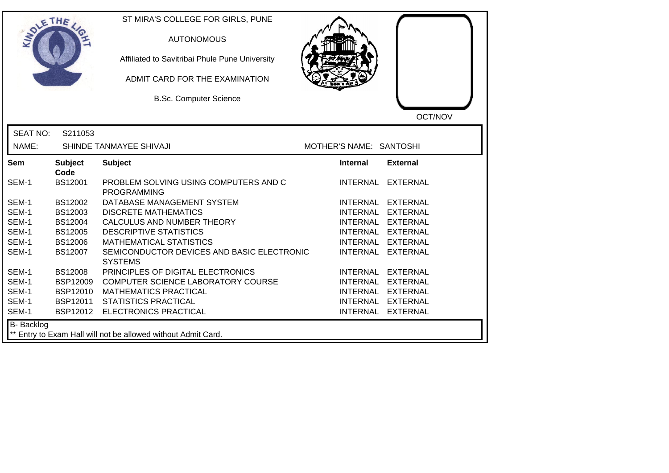| <b>SOLETHE</b>  |                        | ST MIRA'S COLLEGE FOR GIRLS, PUNE<br><b>AUTONOMOUS</b><br>Affiliated to Savitribai Phule Pune University<br>ADMIT CARD FOR THE EXAMINATION<br><b>B.Sc. Computer Science</b> |                         | OCT/NOV           |
|-----------------|------------------------|-----------------------------------------------------------------------------------------------------------------------------------------------------------------------------|-------------------------|-------------------|
| <b>SEAT NO:</b> | S211053                |                                                                                                                                                                             |                         |                   |
| NAME:           |                        | SHINDE TANMAYEE SHIVAJI                                                                                                                                                     | MOTHER'S NAME: SANTOSHI |                   |
| <b>Sem</b>      | <b>Subject</b><br>Code | <b>Subject</b>                                                                                                                                                              | <b>Internal</b>         | <b>External</b>   |
| SEM-1           | <b>BS12001</b>         | PROBLEM SOLVING USING COMPUTERS AND C<br><b>PROGRAMMING</b>                                                                                                                 |                         | INTERNAL EXTERNAL |
| SEM-1           | BS12002                | DATABASE MANAGEMENT SYSTEM                                                                                                                                                  |                         | INTERNAL EXTERNAL |
| SEM-1           | BS12003                | <b>DISCRETE MATHEMATICS</b>                                                                                                                                                 |                         | INTERNAL EXTERNAL |
| SEM-1           | BS12004                | CALCULUS AND NUMBER THEORY                                                                                                                                                  |                         | INTERNAL EXTERNAL |
| SEM-1           | <b>BS12005</b>         | <b>DESCRIPTIVE STATISTICS</b>                                                                                                                                               |                         | INTERNAL EXTERNAL |
| SEM-1           | <b>BS12006</b>         | <b>MATHEMATICAL STATISTICS</b>                                                                                                                                              | INTERNAL                | EXTERNAL          |
| SEM-1           | BS12007                | SEMICONDUCTOR DEVICES AND BASIC ELECTRONIC<br><b>SYSTEMS</b>                                                                                                                | <b>INTERNAL</b>         | <b>EXTERNAL</b>   |
| SEM-1           | <b>BS12008</b>         | PRINCIPLES OF DIGITAL ELECTRONICS                                                                                                                                           |                         | INTERNAL EXTERNAL |
| SEM-1           | <b>BSP12009</b>        | COMPUTER SCIENCE LABORATORY COURSE                                                                                                                                          |                         | INTERNAL EXTERNAL |
| SEM-1           | <b>BSP12010</b>        | <b>MATHEMATICS PRACTICAL</b>                                                                                                                                                |                         | INTERNAL EXTERNAL |
| SEM-1           | BSP12011               | <b>STATISTICS PRACTICAL</b>                                                                                                                                                 |                         | INTERNAL EXTERNAL |
| SEM-1           | BSP12012               | ELECTRONICS PRACTICAL                                                                                                                                                       |                         | INTERNAL EXTERNAL |
| B- Backlog      |                        | Entry to Exam Hall will not be allowed without Admit Card.                                                                                                                  |                         |                   |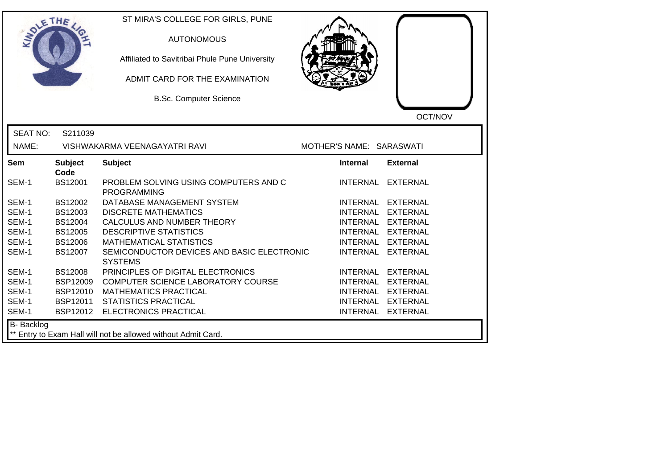| <b>SOLETHE</b>    |                        | ST MIRA'S COLLEGE FOR GIRLS, PUNE<br><b>AUTONOMOUS</b><br>Affiliated to Savitribai Phule Pune University<br>ADMIT CARD FOR THE EXAMINATION<br><b>B.Sc. Computer Science</b> |                          | OCT/NOV           |
|-------------------|------------------------|-----------------------------------------------------------------------------------------------------------------------------------------------------------------------------|--------------------------|-------------------|
| <b>SEAT NO:</b>   | S211039                |                                                                                                                                                                             |                          |                   |
| NAME:             |                        | VISHWAKARMA VEENAGAYATRI RAVI                                                                                                                                               | MOTHER'S NAME: SARASWATI |                   |
| Sem               | <b>Subject</b><br>Code | <b>Subject</b>                                                                                                                                                              | Internal                 | <b>External</b>   |
| SEM-1             | <b>BS12001</b>         | PROBLEM SOLVING USING COMPUTERS AND C<br><b>PROGRAMMING</b>                                                                                                                 |                          | INTERNAL EXTERNAL |
| SEM-1             | BS12002                | DATABASE MANAGEMENT SYSTEM                                                                                                                                                  | <b>INTERNAL</b>          | <b>EXTERNAL</b>   |
| SEM-1             | BS12003                | <b>DISCRETE MATHEMATICS</b>                                                                                                                                                 | <b>INTERNAL</b>          | <b>EXTERNAL</b>   |
| SEM-1             | <b>BS12004</b>         | CALCULUS AND NUMBER THEORY                                                                                                                                                  |                          | INTERNAL EXTERNAL |
| SEM-1             | <b>BS12005</b>         | <b>DESCRIPTIVE STATISTICS</b>                                                                                                                                               |                          | INTERNAL EXTERNAL |
| SEM-1             | <b>BS12006</b>         | <b>MATHEMATICAL STATISTICS</b>                                                                                                                                              | <b>INTERNAL</b>          | <b>EXTERNAL</b>   |
| SEM-1             | <b>BS12007</b>         | SEMICONDUCTOR DEVICES AND BASIC ELECTRONIC<br><b>SYSTEMS</b>                                                                                                                | <b>INTERNAL</b>          | <b>EXTERNAL</b>   |
| SEM-1             | <b>BS12008</b>         | PRINCIPLES OF DIGITAL ELECTRONICS                                                                                                                                           | INTERNAL                 | <b>EXTERNAL</b>   |
| SEM-1             | <b>BSP12009</b>        | COMPUTER SCIENCE LABORATORY COURSE                                                                                                                                          | <b>INTERNAL</b>          | <b>EXTERNAL</b>   |
| SEM-1             | <b>BSP12010</b>        | <b>MATHEMATICS PRACTICAL</b>                                                                                                                                                | <b>INTERNAL</b>          | <b>EXTERNAL</b>   |
| SEM-1             | BSP12011               | <b>STATISTICS PRACTICAL</b>                                                                                                                                                 | <b>INTERNAL</b>          | <b>EXTERNAL</b>   |
| SEM-1             |                        | BSP12012 ELECTRONICS PRACTICAL                                                                                                                                              |                          | INTERNAL EXTERNAL |
| <b>B-</b> Backlog |                        | ** Entry to Exam Hall will not be allowed without Admit Card.                                                                                                               |                          |                   |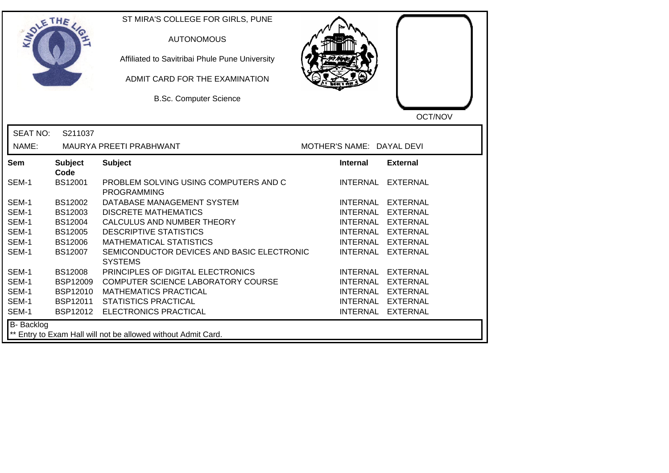| <b>SOLETHE</b>  |                        | ST MIRA'S COLLEGE FOR GIRLS, PUNE<br><b>AUTONOMOUS</b><br>Affiliated to Savitribai Phule Pune University<br>ADMIT CARD FOR THE EXAMINATION<br><b>B.Sc. Computer Science</b> |                           | OCT/NOV           |
|-----------------|------------------------|-----------------------------------------------------------------------------------------------------------------------------------------------------------------------------|---------------------------|-------------------|
| <b>SEAT NO:</b> | S211037                |                                                                                                                                                                             |                           |                   |
| NAME:           |                        | MAURYA PREETI PRABHWANT                                                                                                                                                     | MOTHER'S NAME: DAYAL DEVI |                   |
| <b>Sem</b>      | <b>Subject</b><br>Code | <b>Subject</b>                                                                                                                                                              | <b>Internal</b>           | <b>External</b>   |
| SEM-1           | <b>BS12001</b>         | PROBLEM SOLVING USING COMPUTERS AND C<br><b>PROGRAMMING</b>                                                                                                                 |                           | INTERNAL EXTERNAL |
| SEM-1           | BS12002                | DATABASE MANAGEMENT SYSTEM                                                                                                                                                  |                           | INTERNAL EXTERNAL |
| SEM-1           | BS12003                | <b>DISCRETE MATHEMATICS</b>                                                                                                                                                 |                           | INTERNAL EXTERNAL |
| SEM-1           | BS12004                | CALCULUS AND NUMBER THEORY                                                                                                                                                  |                           | INTERNAL EXTERNAL |
| SEM-1           | <b>BS12005</b>         | <b>DESCRIPTIVE STATISTICS</b>                                                                                                                                               |                           | INTERNAL EXTERNAL |
| SEM-1           | <b>BS12006</b>         | <b>MATHEMATICAL STATISTICS</b>                                                                                                                                              | INTERNAL                  | <b>EXTERNAL</b>   |
| SEM-1           | BS12007                | SEMICONDUCTOR DEVICES AND BASIC ELECTRONIC<br><b>SYSTEMS</b>                                                                                                                | <b>INTERNAL</b>           | <b>EXTERNAL</b>   |
| SEM-1           | <b>BS12008</b>         | PRINCIPLES OF DIGITAL ELECTRONICS                                                                                                                                           |                           | INTERNAL EXTERNAL |
| SEM-1           | <b>BSP12009</b>        | COMPUTER SCIENCE LABORATORY COURSE                                                                                                                                          |                           | INTERNAL EXTERNAL |
| SEM-1           | <b>BSP12010</b>        | <b>MATHEMATICS PRACTICAL</b>                                                                                                                                                |                           | INTERNAL EXTERNAL |
| SEM-1           | BSP12011               | <b>STATISTICS PRACTICAL</b>                                                                                                                                                 |                           | INTERNAL EXTERNAL |
| SEM-1           | BSP12012               | <b>ELECTRONICS PRACTICAL</b>                                                                                                                                                |                           | INTERNAL EXTERNAL |
| B- Backlog      |                        | Entry to Exam Hall will not be allowed without Admit Card.                                                                                                                  |                           |                   |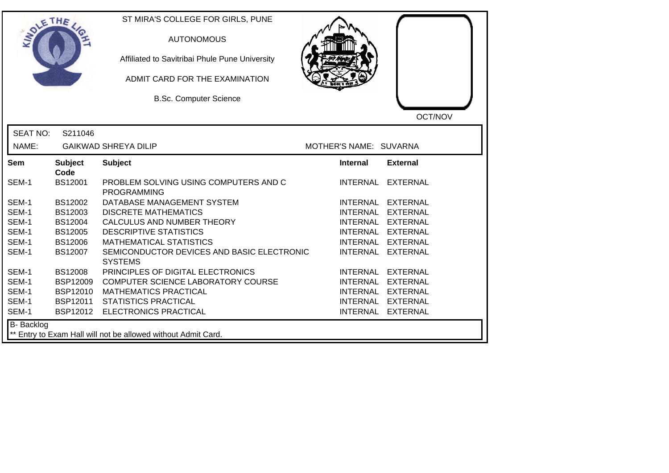| SOLETHE .         |                        | ST MIRA'S COLLEGE FOR GIRLS, PUNE<br><b>AUTONOMOUS</b><br>Affiliated to Savitribai Phule Pune University<br>ADMIT CARD FOR THE EXAMINATION<br><b>B.Sc. Computer Science</b> |                        | OCT/NOV           |
|-------------------|------------------------|-----------------------------------------------------------------------------------------------------------------------------------------------------------------------------|------------------------|-------------------|
| <b>SEAT NO:</b>   | S211046                |                                                                                                                                                                             |                        |                   |
| NAME:             |                        | <b>GAIKWAD SHREYA DILIP</b>                                                                                                                                                 | MOTHER'S NAME: SUVARNA |                   |
| Sem               | <b>Subject</b><br>Code | <b>Subject</b>                                                                                                                                                              | <b>Internal</b>        | <b>External</b>   |
| SEM-1             | BS12001                | PROBLEM SOLVING USING COMPUTERS AND C<br><b>PROGRAMMING</b>                                                                                                                 | <b>INTERNAL</b>        | <b>EXTERNAL</b>   |
| SEM-1             | BS12002                | DATABASE MANAGEMENT SYSTEM                                                                                                                                                  |                        | INTERNAL EXTERNAL |
| SEM-1             | BS12003                | <b>DISCRETE MATHEMATICS</b>                                                                                                                                                 |                        | INTERNAL EXTERNAL |
| SEM-1             | BS12004                | CALCULUS AND NUMBER THEORY                                                                                                                                                  |                        | INTERNAL EXTERNAL |
| SEM-1             | <b>BS12005</b>         | <b>DESCRIPTIVE STATISTICS</b>                                                                                                                                               |                        | INTERNAL EXTERNAL |
| SEM-1             | <b>BS12006</b>         | <b>MATHEMATICAL STATISTICS</b>                                                                                                                                              |                        | INTERNAL EXTERNAL |
| SEM-1             | BS12007                | SEMICONDUCTOR DEVICES AND BASIC ELECTRONIC<br><b>SYSTEMS</b>                                                                                                                | <b>INTERNAL</b>        | <b>EXTERNAL</b>   |
| SEM-1             | <b>BS12008</b>         | PRINCIPLES OF DIGITAL ELECTRONICS                                                                                                                                           | <b>INTERNAL</b>        | <b>EXTERNAL</b>   |
| SEM-1             | <b>BSP12009</b>        | COMPUTER SCIENCE LABORATORY COURSE                                                                                                                                          |                        | INTERNAL EXTERNAL |
| SEM-1             | <b>BSP12010</b>        | <b>MATHEMATICS PRACTICAL</b>                                                                                                                                                |                        | INTERNAL EXTERNAL |
| SEM-1             | BSP12011               | <b>STATISTICS PRACTICAL</b>                                                                                                                                                 |                        | INTERNAL EXTERNAL |
| SEM-1             | BSP12012               | ELECTRONICS PRACTICAL                                                                                                                                                       |                        | INTERNAL EXTERNAL |
| <b>B-</b> Backlog |                        | ** Entry to Exam Hall will not be allowed without Admit Card.                                                                                                               |                        |                   |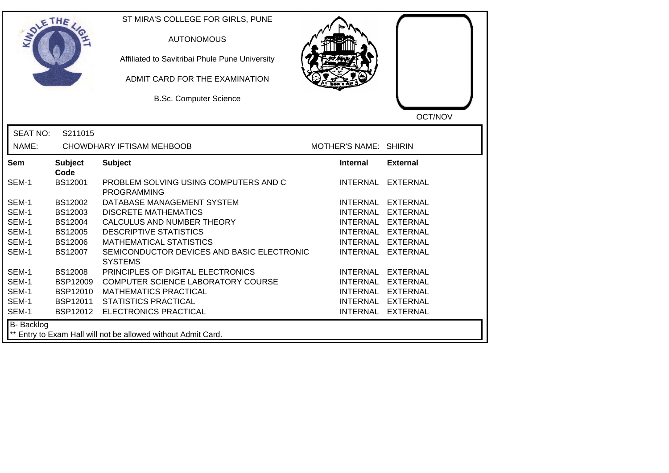|                   | ETHE                   | ST MIRA'S COLLEGE FOR GIRLS, PUNE<br><b>AUTONOMOUS</b><br>Affiliated to Savitribai Phule Pune University<br>ADMIT CARD FOR THE EXAMINATION<br><b>B.Sc. Computer Science</b> |                       | OCT/NOV           |
|-------------------|------------------------|-----------------------------------------------------------------------------------------------------------------------------------------------------------------------------|-----------------------|-------------------|
| <b>SEAT NO:</b>   | S211015                |                                                                                                                                                                             |                       |                   |
| NAME:             |                        | CHOWDHARY IFTISAM MEHBOOB                                                                                                                                                   | MOTHER'S NAME: SHIRIN |                   |
| Sem               | <b>Subject</b><br>Code | <b>Subject</b>                                                                                                                                                              | <b>Internal</b>       | <b>External</b>   |
| SEM-1             | BS12001                | PROBLEM SOLVING USING COMPUTERS AND C<br><b>PROGRAMMING</b>                                                                                                                 |                       | INTERNAL EXTERNAL |
| SEM-1             | BS12002                | DATABASE MANAGEMENT SYSTEM                                                                                                                                                  |                       | INTERNAL EXTERNAL |
| SEM-1             | BS12003                | <b>DISCRETE MATHEMATICS</b>                                                                                                                                                 |                       | INTERNAL EXTERNAL |
| SEM-1             | <b>BS12004</b>         | CALCULUS AND NUMBER THEORY                                                                                                                                                  |                       | INTERNAL EXTERNAL |
| SEM-1             | <b>BS12005</b>         | <b>DESCRIPTIVE STATISTICS</b>                                                                                                                                               |                       | INTERNAL EXTERNAL |
| SEM-1             | BS12006                | <b>MATHEMATICAL STATISTICS</b>                                                                                                                                              | <b>INTERNAL</b>       | <b>EXTERNAL</b>   |
| SEM-1             | BS12007                | SEMICONDUCTOR DEVICES AND BASIC ELECTRONIC<br><b>SYSTEMS</b>                                                                                                                |                       | INTERNAL EXTERNAL |
| SEM-1             | <b>BS12008</b>         | PRINCIPLES OF DIGITAL ELECTRONICS                                                                                                                                           |                       | INTERNAL EXTERNAL |
| SEM-1             | <b>BSP12009</b>        | COMPUTER SCIENCE LABORATORY COURSE                                                                                                                                          | <b>INTERNAL</b>       | <b>EXTERNAL</b>   |
| SEM-1             | BSP12010               | <b>MATHEMATICS PRACTICAL</b>                                                                                                                                                | <b>INTERNAL</b>       | <b>EXTERNAL</b>   |
| SEM-1             | <b>BSP12011</b>        | <b>STATISTICS PRACTICAL</b>                                                                                                                                                 |                       | INTERNAL EXTERNAL |
| SEM-1             |                        | BSP12012 ELECTRONICS PRACTICAL                                                                                                                                              |                       | INTERNAL EXTERNAL |
| <b>B-</b> Backlog |                        | ** Entry to Exam Hall will not be allowed without Admit Card.                                                                                                               |                       |                   |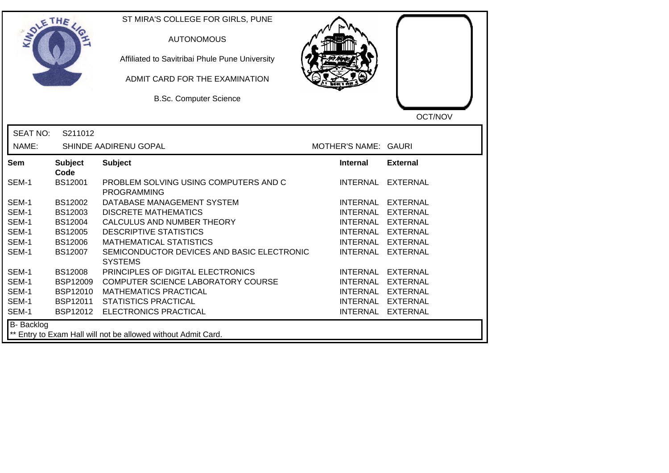| DLETHE            |                                                               | ST MIRA'S COLLEGE FOR GIRLS, PUNE<br><b>AUTONOMOUS</b><br>Affiliated to Savitribai Phule Pune University<br>ADMIT CARD FOR THE EXAMINATION<br><b>B.Sc. Computer Science</b> |                      | OCT/NOV           |  |  |
|-------------------|---------------------------------------------------------------|-----------------------------------------------------------------------------------------------------------------------------------------------------------------------------|----------------------|-------------------|--|--|
| <b>SEAT NO:</b>   | S211012                                                       |                                                                                                                                                                             |                      |                   |  |  |
| NAME:             |                                                               | SHINDE AADIRENU GOPAL                                                                                                                                                       | MOTHER'S NAME: GAURI |                   |  |  |
| <b>Sem</b>        | <b>Subject</b><br>Code                                        | <b>Subject</b>                                                                                                                                                              | <b>Internal</b>      | <b>External</b>   |  |  |
| SEM-1             | BS12001                                                       | PROBLEM SOLVING USING COMPUTERS AND C<br><b>PROGRAMMING</b>                                                                                                                 |                      | INTERNAL EXTERNAL |  |  |
| SEM-1             | BS12002                                                       | DATABASE MANAGEMENT SYSTEM                                                                                                                                                  |                      | INTERNAL EXTERNAL |  |  |
| SEM-1             | BS12003                                                       | <b>DISCRETE MATHEMATICS</b>                                                                                                                                                 |                      | INTERNAL EXTERNAL |  |  |
| SEM-1             | BS12004                                                       | CALCULUS AND NUMBER THEORY                                                                                                                                                  |                      | INTERNAL EXTERNAL |  |  |
| SEM-1             | BS12005                                                       | <b>DESCRIPTIVE STATISTICS</b>                                                                                                                                               |                      | INTERNAL EXTERNAL |  |  |
| SEM-1             | <b>BS12006</b>                                                | <b>MATHEMATICAL STATISTICS</b>                                                                                                                                              |                      | INTERNAL EXTERNAL |  |  |
| SEM-1             | BS12007                                                       | SEMICONDUCTOR DEVICES AND BASIC ELECTRONIC<br><b>SYSTEMS</b>                                                                                                                |                      | INTERNAL EXTERNAL |  |  |
| SEM-1             | <b>BS12008</b>                                                | PRINCIPLES OF DIGITAL ELECTRONICS                                                                                                                                           |                      | INTERNAL EXTERNAL |  |  |
| SEM-1             | <b>BSP12009</b>                                               | COMPUTER SCIENCE LABORATORY COURSE                                                                                                                                          |                      | INTERNAL EXTERNAL |  |  |
| SEM-1             | <b>BSP12010</b>                                               | <b>MATHEMATICS PRACTICAL</b>                                                                                                                                                |                      | INTERNAL EXTERNAL |  |  |
| SEM-1             | BSP12011                                                      | <b>STATISTICS PRACTICAL</b>                                                                                                                                                 |                      | INTERNAL EXTERNAL |  |  |
| SEM-1             | BSP12012                                                      | <b>ELECTRONICS PRACTICAL</b>                                                                                                                                                |                      | INTERNAL EXTERNAL |  |  |
| <b>B-</b> Backlog | ** Entry to Exam Hall will not be allowed without Admit Card. |                                                                                                                                                                             |                      |                   |  |  |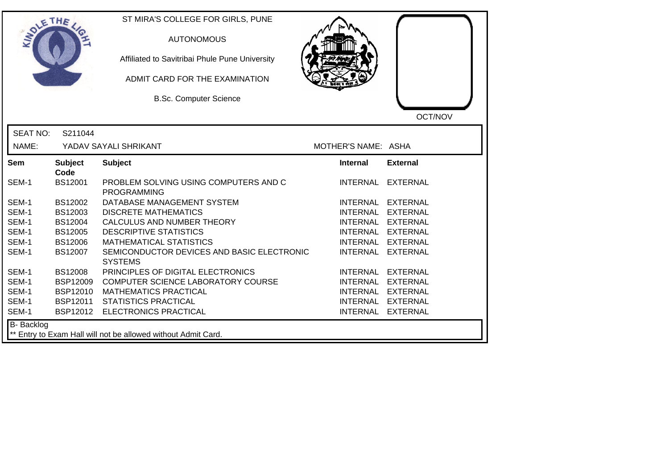| LETHE           |                        | ST MIRA'S COLLEGE FOR GIRLS, PUNE<br><b>AUTONOMOUS</b><br>Affiliated to Savitribai Phule Pune University<br>ADMIT CARD FOR THE EXAMINATION<br><b>B.Sc. Computer Science</b> |                     | OCT/NOV           |
|-----------------|------------------------|-----------------------------------------------------------------------------------------------------------------------------------------------------------------------------|---------------------|-------------------|
| <b>SEAT NO:</b> | S211044                |                                                                                                                                                                             |                     |                   |
| NAME:           |                        | YADAV SAYALI SHRIKANT                                                                                                                                                       | MOTHER'S NAME: ASHA |                   |
| Sem             | <b>Subject</b><br>Code | <b>Subject</b>                                                                                                                                                              | <b>Internal</b>     | <b>External</b>   |
| SEM-1           | <b>BS12001</b>         | PROBLEM SOLVING USING COMPUTERS AND C<br><b>PROGRAMMING</b>                                                                                                                 |                     | INTERNAL EXTERNAL |
| SEM-1           | BS12002                | DATABASE MANAGEMENT SYSTEM                                                                                                                                                  |                     | INTERNAL EXTERNAL |
| SEM-1           | BS12003                | <b>DISCRETE MATHEMATICS</b>                                                                                                                                                 |                     | INTERNAL EXTERNAL |
| SEM-1           | <b>BS12004</b>         | CALCULUS AND NUMBER THEORY                                                                                                                                                  |                     | INTERNAL EXTERNAL |
| SEM-1           | <b>BS12005</b>         | <b>DESCRIPTIVE STATISTICS</b>                                                                                                                                               | INTERNAL EXTERNAL   |                   |
| SEM-1           | <b>BS12006</b>         | <b>MATHEMATICAL STATISTICS</b>                                                                                                                                              | INTERNAL EXTERNAL   |                   |
| SEM-1           | BS12007                | SEMICONDUCTOR DEVICES AND BASIC ELECTRONIC<br><b>SYSTEMS</b>                                                                                                                | <b>INTERNAL</b>     | <b>EXTERNAL</b>   |
| SEM-1           | <b>BS12008</b>         | PRINCIPLES OF DIGITAL ELECTRONICS                                                                                                                                           |                     | INTERNAL EXTERNAL |
| SEM-1           | <b>BSP12009</b>        | COMPUTER SCIENCE LABORATORY COURSE                                                                                                                                          | INTERNAL EXTERNAL   |                   |
| SEM-1           | <b>BSP12010</b>        | <b>MATHEMATICS PRACTICAL</b>                                                                                                                                                |                     | INTERNAL EXTERNAL |
| SEM-1           | BSP12011               | <b>STATISTICS PRACTICAL</b>                                                                                                                                                 |                     | INTERNAL EXTERNAL |
| SEM-1           | BSP12012               | <b>ELECTRONICS PRACTICAL</b>                                                                                                                                                |                     | INTERNAL EXTERNAL |
| B- Backlog      |                        | ** Entry to Exam Hall will not be allowed without Admit Card.                                                                                                               |                     |                   |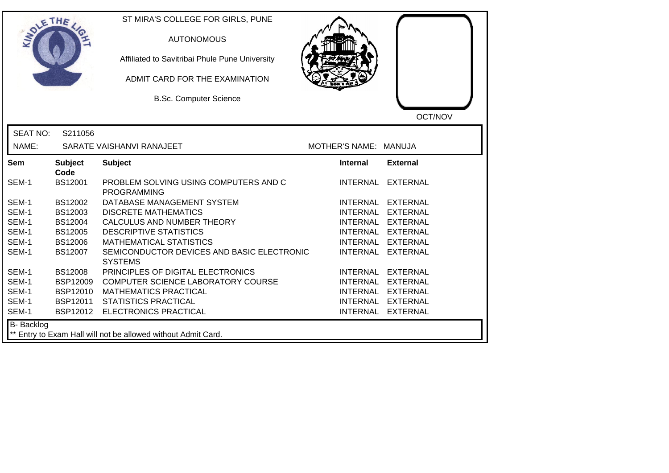| SOLE THE          |                        | ST MIRA'S COLLEGE FOR GIRLS, PUNE<br><b>AUTONOMOUS</b><br>Affiliated to Savitribai Phule Pune University<br>ADMIT CARD FOR THE EXAMINATION<br><b>B.Sc. Computer Science</b> |                       | OCT/NOV           |
|-------------------|------------------------|-----------------------------------------------------------------------------------------------------------------------------------------------------------------------------|-----------------------|-------------------|
| <b>SEAT NO:</b>   | S211056                |                                                                                                                                                                             |                       |                   |
| NAME:             |                        | SARATE VAISHANVI RANAJEET                                                                                                                                                   | MOTHER'S NAME: MANUJA |                   |
| Sem               | <b>Subject</b><br>Code | <b>Subject</b>                                                                                                                                                              | <b>Internal</b>       | <b>External</b>   |
| SEM-1             | BS12001                | PROBLEM SOLVING USING COMPUTERS AND C<br><b>PROGRAMMING</b>                                                                                                                 | <b>INTERNAL</b>       | EXTERNAL          |
| SEM-1             | BS12002                | DATABASE MANAGEMENT SYSTEM                                                                                                                                                  |                       | INTERNAL EXTERNAL |
| SEM-1             | BS12003                | <b>DISCRETE MATHEMATICS</b>                                                                                                                                                 | <b>INTERNAL</b>       | <b>EXTERNAL</b>   |
| SEM-1             | BS12004                | CALCULUS AND NUMBER THEORY                                                                                                                                                  |                       | INTERNAL EXTERNAL |
| SEM-1             | <b>BS12005</b>         | <b>DESCRIPTIVE STATISTICS</b>                                                                                                                                               |                       | INTERNAL EXTERNAL |
| SEM-1             | <b>BS12006</b>         | <b>MATHEMATICAL STATISTICS</b>                                                                                                                                              |                       | INTERNAL EXTERNAL |
| SEM-1             | BS12007                | SEMICONDUCTOR DEVICES AND BASIC ELECTRONIC<br><b>SYSTEMS</b>                                                                                                                | <b>INTERNAL</b>       | <b>EXTERNAL</b>   |
| SEM-1             | <b>BS12008</b>         | PRINCIPLES OF DIGITAL ELECTRONICS                                                                                                                                           |                       | INTERNAL EXTERNAL |
| SEM-1             | <b>BSP12009</b>        | COMPUTER SCIENCE LABORATORY COURSE                                                                                                                                          |                       | INTERNAL EXTERNAL |
| SEM-1             | <b>BSP12010</b>        | <b>MATHEMATICS PRACTICAL</b>                                                                                                                                                |                       | INTERNAL EXTERNAL |
| SEM-1             | BSP12011               | <b>STATISTICS PRACTICAL</b>                                                                                                                                                 |                       | INTERNAL EXTERNAL |
| SEM-1             |                        | BSP12012 ELECTRONICS PRACTICAL                                                                                                                                              |                       | INTERNAL EXTERNAL |
| <b>B-</b> Backlog |                        | ** Entry to Exam Hall will not be allowed without Admit Card.                                                                                                               |                       |                   |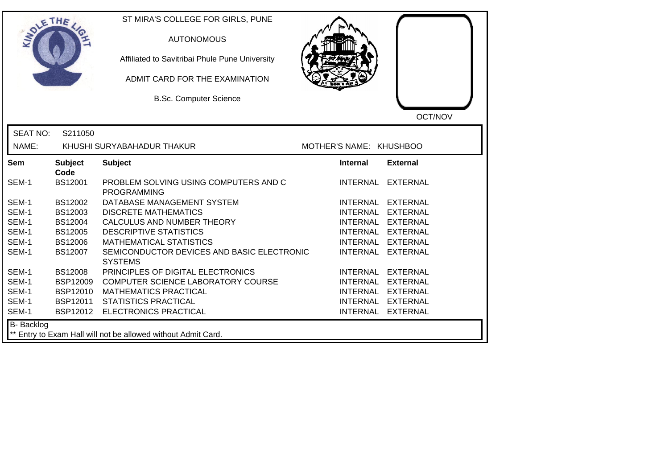| SOLE THE        |                        | ST MIRA'S COLLEGE FOR GIRLS, PUNE<br><b>AUTONOMOUS</b><br>Affiliated to Savitribai Phule Pune University<br>ADMIT CARD FOR THE EXAMINATION<br><b>B.Sc. Computer Science</b> |                         | OCT/NOV           |
|-----------------|------------------------|-----------------------------------------------------------------------------------------------------------------------------------------------------------------------------|-------------------------|-------------------|
| <b>SEAT NO:</b> | S211050                |                                                                                                                                                                             |                         |                   |
| NAME:           |                        | KHUSHI SURYABAHADUR THAKUR                                                                                                                                                  | MOTHER'S NAME: KHUSHBOO |                   |
| Sem             | <b>Subject</b><br>Code | <b>Subject</b>                                                                                                                                                              | <b>Internal</b>         | <b>External</b>   |
| SEM-1           | BS12001                | PROBLEM SOLVING USING COMPUTERS AND C<br><b>PROGRAMMING</b>                                                                                                                 |                         | INTERNAL EXTERNAL |
| SEM-1           | BS12002                | DATABASE MANAGEMENT SYSTEM                                                                                                                                                  |                         | INTERNAL EXTERNAL |
| SEM-1           | BS12003                | <b>DISCRETE MATHEMATICS</b>                                                                                                                                                 |                         | INTERNAL EXTERNAL |
| SEM-1           | BS12004                | CALCULUS AND NUMBER THEORY                                                                                                                                                  |                         | INTERNAL EXTERNAL |
| SEM-1           | <b>BS12005</b>         | <b>DESCRIPTIVE STATISTICS</b>                                                                                                                                               |                         | INTERNAL EXTERNAL |
| SEM-1           | <b>BS12006</b>         | <b>MATHEMATICAL STATISTICS</b>                                                                                                                                              | <b>INTERNAL</b>         | <b>EXTERNAL</b>   |
| SEM-1           | <b>BS12007</b>         | SEMICONDUCTOR DEVICES AND BASIC ELECTRONIC<br><b>SYSTEMS</b>                                                                                                                | <b>INTERNAL</b>         | <b>EXTERNAL</b>   |
| SEM-1           | <b>BS12008</b>         | PRINCIPLES OF DIGITAL ELECTRONICS                                                                                                                                           |                         | INTERNAL EXTERNAL |
| SEM-1           | <b>BSP12009</b>        | COMPUTER SCIENCE LABORATORY COURSE                                                                                                                                          |                         | INTERNAL EXTERNAL |
| SEM-1           | <b>BSP12010</b>        | <b>MATHEMATICS PRACTICAL</b>                                                                                                                                                |                         | INTERNAL EXTERNAL |
| SEM-1           | BSP12011               | <b>STATISTICS PRACTICAL</b>                                                                                                                                                 |                         | INTERNAL EXTERNAL |
| SEM-1           | BSP12012               | ELECTRONICS PRACTICAL                                                                                                                                                       |                         | INTERNAL EXTERNAL |
| B- Backlog      |                        | ** Entry to Exam Hall will not be allowed without Admit Card.                                                                                                               |                         |                   |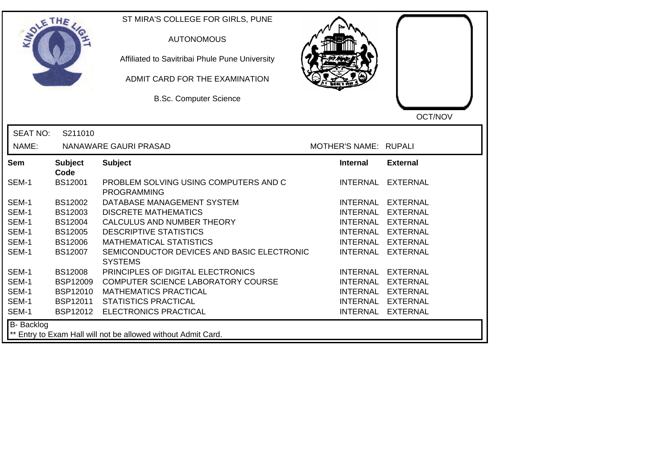| DLETHE          |                                                               | ST MIRA'S COLLEGE FOR GIRLS, PUNE<br><b>AUTONOMOUS</b><br>Affiliated to Savitribai Phule Pune University<br>ADMIT CARD FOR THE EXAMINATION<br><b>B.Sc. Computer Science</b> |                       | OCT/NOV           |  |  |
|-----------------|---------------------------------------------------------------|-----------------------------------------------------------------------------------------------------------------------------------------------------------------------------|-----------------------|-------------------|--|--|
| <b>SEAT NO:</b> | S211010                                                       |                                                                                                                                                                             |                       |                   |  |  |
| NAME:           |                                                               | NANAWARE GAURI PRASAD                                                                                                                                                       | MOTHER'S NAME: RUPALI |                   |  |  |
| Sem             | <b>Subject</b><br>Code                                        | <b>Subject</b>                                                                                                                                                              | <b>Internal</b>       | <b>External</b>   |  |  |
| SEM-1           | <b>BS12001</b>                                                | PROBLEM SOLVING USING COMPUTERS AND C<br><b>PROGRAMMING</b>                                                                                                                 |                       | INTERNAL EXTERNAL |  |  |
| SEM-1           | <b>BS12002</b>                                                | DATABASE MANAGEMENT SYSTEM                                                                                                                                                  |                       | INTERNAL EXTERNAL |  |  |
| SEM-1           | BS12003                                                       | <b>DISCRETE MATHEMATICS</b>                                                                                                                                                 |                       | INTERNAL EXTERNAL |  |  |
| SEM-1           | <b>BS12004</b>                                                | CALCULUS AND NUMBER THEORY                                                                                                                                                  |                       | INTERNAL EXTERNAL |  |  |
| SEM-1           | <b>BS12005</b>                                                | <b>DESCRIPTIVE STATISTICS</b>                                                                                                                                               |                       | INTERNAL EXTERNAL |  |  |
| SEM-1           | <b>BS12006</b>                                                | <b>MATHEMATICAL STATISTICS</b>                                                                                                                                              |                       | INTERNAL EXTERNAL |  |  |
| SEM-1           | BS12007                                                       | SEMICONDUCTOR DEVICES AND BASIC ELECTRONIC<br><b>SYSTEMS</b>                                                                                                                |                       | INTERNAL EXTERNAL |  |  |
| SEM-1           | <b>BS12008</b>                                                | PRINCIPLES OF DIGITAL ELECTRONICS                                                                                                                                           |                       | INTERNAL EXTERNAL |  |  |
| SEM-1           | <b>BSP12009</b>                                               | COMPUTER SCIENCE LABORATORY COURSE                                                                                                                                          |                       | INTERNAL EXTERNAL |  |  |
| SEM-1           | <b>BSP12010</b>                                               | <b>MATHEMATICS PRACTICAL</b>                                                                                                                                                |                       | INTERNAL EXTERNAL |  |  |
| SEM-1           | BSP12011                                                      | <b>STATISTICS PRACTICAL</b>                                                                                                                                                 |                       | INTERNAL EXTERNAL |  |  |
| SEM-1           |                                                               | BSP12012 ELECTRONICS PRACTICAL                                                                                                                                              |                       | INTERNAL EXTERNAL |  |  |
| B- Backlog      | ** Entry to Exam Hall will not be allowed without Admit Card. |                                                                                                                                                                             |                       |                   |  |  |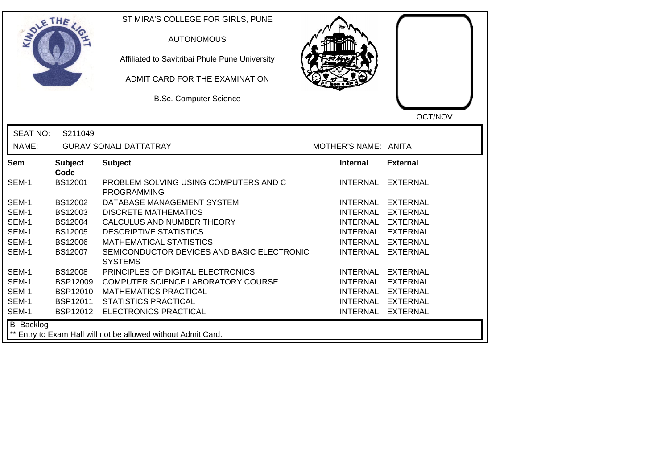| OLETHE          |                                                               | ST MIRA'S COLLEGE FOR GIRLS, PUNE<br><b>AUTONOMOUS</b><br>Affiliated to Savitribai Phule Pune University<br>ADMIT CARD FOR THE EXAMINATION<br><b>B.Sc. Computer Science</b> |                      | OCT/NOV           |  |  |
|-----------------|---------------------------------------------------------------|-----------------------------------------------------------------------------------------------------------------------------------------------------------------------------|----------------------|-------------------|--|--|
| <b>SEAT NO:</b> | S211049                                                       |                                                                                                                                                                             |                      |                   |  |  |
| NAME:           |                                                               | <b>GURAV SONALI DATTATRAY</b>                                                                                                                                               | MOTHER'S NAME: ANITA |                   |  |  |
| <b>Sem</b>      | <b>Subject</b><br>Code                                        | <b>Subject</b>                                                                                                                                                              | <b>Internal</b>      | <b>External</b>   |  |  |
| SEM-1           | <b>BS12001</b>                                                | PROBLEM SOLVING USING COMPUTERS AND C<br><b>PROGRAMMING</b>                                                                                                                 | INTERNAL             | EXTERNAL          |  |  |
| SEM-1           | BS12002                                                       | DATABASE MANAGEMENT SYSTEM                                                                                                                                                  |                      | INTERNAL EXTERNAL |  |  |
| SEM-1           | BS12003                                                       | <b>DISCRETE MATHEMATICS</b>                                                                                                                                                 |                      | INTERNAL EXTERNAL |  |  |
| SEM-1           | BS12004                                                       | CALCULUS AND NUMBER THEORY                                                                                                                                                  |                      | INTERNAL EXTERNAL |  |  |
| SEM-1           | <b>BS12005</b>                                                | <b>DESCRIPTIVE STATISTICS</b>                                                                                                                                               |                      | INTERNAL EXTERNAL |  |  |
| SEM-1           | <b>BS12006</b>                                                | <b>MATHEMATICAL STATISTICS</b>                                                                                                                                              | <b>INTERNAL</b>      | <b>EXTERNAL</b>   |  |  |
| SEM-1           | <b>BS12007</b>                                                | SEMICONDUCTOR DEVICES AND BASIC ELECTRONIC<br><b>SYSTEMS</b>                                                                                                                | <b>INTERNAL</b>      | <b>EXTERNAL</b>   |  |  |
| SEM-1           | <b>BS12008</b>                                                | PRINCIPLES OF DIGITAL ELECTRONICS                                                                                                                                           |                      | INTERNAL EXTERNAL |  |  |
| SEM-1           | <b>BSP12009</b>                                               | COMPUTER SCIENCE LABORATORY COURSE                                                                                                                                          |                      | INTERNAL EXTERNAL |  |  |
| SEM-1           | <b>BSP12010</b>                                               | <b>MATHEMATICS PRACTICAL</b>                                                                                                                                                |                      | INTERNAL EXTERNAL |  |  |
| SEM-1           | BSP12011                                                      | <b>STATISTICS PRACTICAL</b>                                                                                                                                                 |                      | INTERNAL EXTERNAL |  |  |
| SEM-1           | BSP12012                                                      | <b>ELECTRONICS PRACTICAL</b>                                                                                                                                                |                      | INTERNAL EXTERNAL |  |  |
| B- Backlog      | ** Entry to Exam Hall will not be allowed without Admit Card. |                                                                                                                                                                             |                      |                   |  |  |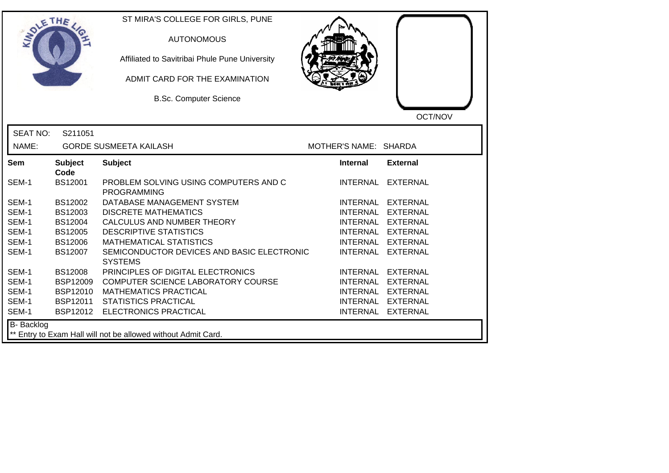| DLETHE          |                        | ST MIRA'S COLLEGE FOR GIRLS, PUNE<br><b>AUTONOMOUS</b><br>Affiliated to Savitribai Phule Pune University<br>ADMIT CARD FOR THE EXAMINATION<br><b>B.Sc. Computer Science</b> |                       |                   |
|-----------------|------------------------|-----------------------------------------------------------------------------------------------------------------------------------------------------------------------------|-----------------------|-------------------|
| <b>SEAT NO:</b> | S211051                |                                                                                                                                                                             |                       | OCT/NOV           |
| NAME:           |                        | <b>GORDE SUSMEETA KAILASH</b>                                                                                                                                               | MOTHER'S NAME: SHARDA |                   |
| Sem             | <b>Subject</b><br>Code | <b>Subject</b>                                                                                                                                                              | <b>Internal</b>       | <b>External</b>   |
| SEM-1           | <b>BS12001</b>         | PROBLEM SOLVING USING COMPUTERS AND C<br><b>PROGRAMMING</b>                                                                                                                 |                       | INTERNAL EXTERNAL |
| SEM-1           | BS12002                | DATABASE MANAGEMENT SYSTEM                                                                                                                                                  |                       | INTERNAL EXTERNAL |
| SEM-1           | BS12003                | <b>DISCRETE MATHEMATICS</b>                                                                                                                                                 |                       | INTERNAL EXTERNAL |
| SEM-1           | BS12004                | CALCULUS AND NUMBER THEORY                                                                                                                                                  |                       | INTERNAL EXTERNAL |
| SEM-1           | <b>BS12005</b>         | <b>DESCRIPTIVE STATISTICS</b>                                                                                                                                               |                       | INTERNAL EXTERNAL |
| SEM-1           | <b>BS12006</b>         | <b>MATHEMATICAL STATISTICS</b>                                                                                                                                              |                       | INTERNAL EXTERNAL |
| SEM-1           | BS12007                | SEMICONDUCTOR DEVICES AND BASIC ELECTRONIC<br><b>SYSTEMS</b>                                                                                                                |                       | INTERNAL EXTERNAL |
| SEM-1           | <b>BS12008</b>         | PRINCIPLES OF DIGITAL ELECTRONICS                                                                                                                                           |                       | INTERNAL EXTERNAL |
| SEM-1           | <b>BSP12009</b>        | COMPUTER SCIENCE LABORATORY COURSE                                                                                                                                          |                       | INTERNAL EXTERNAL |
| SEM-1           | <b>BSP12010</b>        | <b>MATHEMATICS PRACTICAL</b>                                                                                                                                                |                       | INTERNAL EXTERNAL |
| SEM-1           | BSP12011               | <b>STATISTICS PRACTICAL</b>                                                                                                                                                 |                       | INTERNAL EXTERNAL |
| SEM-1           |                        | BSP12012 ELECTRONICS PRACTICAL                                                                                                                                              |                       | INTERNAL EXTERNAL |
| B- Backlog      |                        | ** Entry to Exam Hall will not be allowed without Admit Card.                                                                                                               |                       |                   |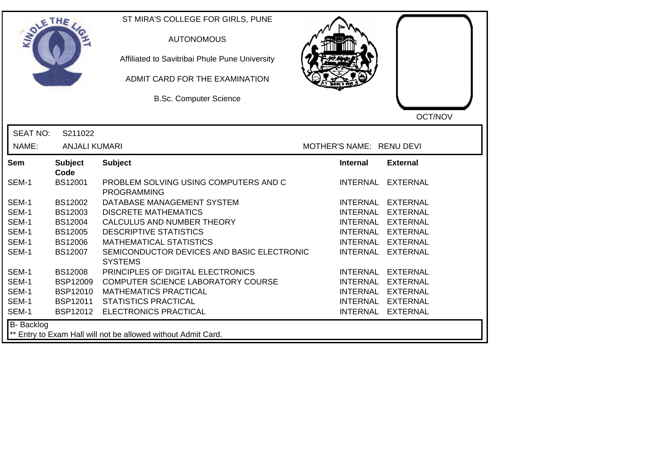| SOLETHE .         |                        | ST MIRA'S COLLEGE FOR GIRLS, PUNE<br><b>AUTONOMOUS</b><br>Affiliated to Savitribai Phule Pune University<br>ADMIT CARD FOR THE EXAMINATION<br><b>B.Sc. Computer Science</b> |                          | OCT/NOV           |
|-------------------|------------------------|-----------------------------------------------------------------------------------------------------------------------------------------------------------------------------|--------------------------|-------------------|
| <b>SEAT NO:</b>   | S211022                |                                                                                                                                                                             |                          |                   |
| NAME:             | <b>ANJALI KUMARI</b>   |                                                                                                                                                                             | MOTHER'S NAME: RENU DEVI |                   |
| Sem               | <b>Subject</b><br>Code | <b>Subject</b>                                                                                                                                                              | Internal                 | <b>External</b>   |
| SEM-1             | BS12001                | PROBLEM SOLVING USING COMPUTERS AND C<br><b>PROGRAMMING</b>                                                                                                                 |                          | INTERNAL EXTERNAL |
| SEM-1             | BS12002                | DATABASE MANAGEMENT SYSTEM                                                                                                                                                  |                          | INTERNAL EXTERNAL |
| SEM-1             | BS12003                | <b>DISCRETE MATHEMATICS</b>                                                                                                                                                 |                          | INTERNAL EXTERNAL |
| SEM-1             | <b>BS12004</b>         | CALCULUS AND NUMBER THEORY                                                                                                                                                  |                          | INTERNAL EXTERNAL |
| SEM-1             | <b>BS12005</b>         | <b>DESCRIPTIVE STATISTICS</b>                                                                                                                                               |                          | INTERNAL EXTERNAL |
| SEM-1             | <b>BS12006</b>         | <b>MATHEMATICAL STATISTICS</b>                                                                                                                                              | INTERNAL                 | <b>EXTERNAL</b>   |
| SEM-1             | <b>BS12007</b>         | SEMICONDUCTOR DEVICES AND BASIC ELECTRONIC<br><b>SYSTEMS</b>                                                                                                                | <b>INTERNAL</b>          | <b>EXTERNAL</b>   |
| SEM-1             | <b>BS12008</b>         | PRINCIPLES OF DIGITAL ELECTRONICS                                                                                                                                           |                          | INTERNAL EXTERNAL |
| SEM-1             | <b>BSP12009</b>        | COMPUTER SCIENCE LABORATORY COURSE                                                                                                                                          |                          | INTERNAL EXTERNAL |
| SEM-1             | <b>BSP12010</b>        | <b>MATHEMATICS PRACTICAL</b>                                                                                                                                                |                          | INTERNAL EXTERNAL |
| SEM-1             | <b>BSP12011</b>        | <b>STATISTICS PRACTICAL</b>                                                                                                                                                 |                          | INTERNAL EXTERNAL |
| SEM-1             | BSP12012               | ELECTRONICS PRACTICAL                                                                                                                                                       |                          | INTERNAL EXTERNAL |
| <b>B-</b> Backlog |                        | ** Entry to Exam Hall will not be allowed without Admit Card.                                                                                                               |                          |                   |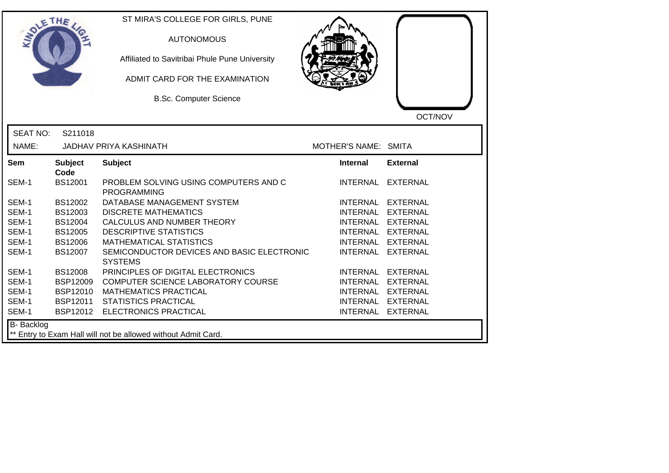| DLETHE            |                                                               | ST MIRA'S COLLEGE FOR GIRLS, PUNE<br><b>AUTONOMOUS</b><br>Affiliated to Savitribai Phule Pune University<br>ADMIT CARD FOR THE EXAMINATION<br><b>B.Sc. Computer Science</b> |                      | OCT/NOV           |  |  |
|-------------------|---------------------------------------------------------------|-----------------------------------------------------------------------------------------------------------------------------------------------------------------------------|----------------------|-------------------|--|--|
| <b>SEAT NO:</b>   | S211018                                                       |                                                                                                                                                                             |                      |                   |  |  |
| NAME:             |                                                               | <b>JADHAV PRIYA KASHINATH</b>                                                                                                                                               | MOTHER'S NAME: SMITA |                   |  |  |
| <b>Sem</b>        | <b>Subject</b><br>Code                                        | <b>Subject</b>                                                                                                                                                              | <b>Internal</b>      | <b>External</b>   |  |  |
| SEM-1             | <b>BS12001</b>                                                | PROBLEM SOLVING USING COMPUTERS AND C<br><b>PROGRAMMING</b>                                                                                                                 | INTERNAL             | <b>EXTERNAL</b>   |  |  |
| SEM-1             | BS12002                                                       | DATABASE MANAGEMENT SYSTEM                                                                                                                                                  |                      | INTERNAL EXTERNAL |  |  |
| SEM-1             | BS12003                                                       | <b>DISCRETE MATHEMATICS</b>                                                                                                                                                 |                      | INTERNAL EXTERNAL |  |  |
| SEM-1             | BS12004                                                       | CALCULUS AND NUMBER THEORY                                                                                                                                                  | INTERNAL EXTERNAL    |                   |  |  |
| SEM-1             | BS12005                                                       | <b>DESCRIPTIVE STATISTICS</b>                                                                                                                                               | INTERNAL EXTERNAL    |                   |  |  |
| SEM-1             | <b>BS12006</b>                                                | <b>MATHEMATICAL STATISTICS</b>                                                                                                                                              | <b>INTERNAL</b>      | <b>EXTERNAL</b>   |  |  |
| SEM-1             | BS12007                                                       | SEMICONDUCTOR DEVICES AND BASIC ELECTRONIC<br><b>SYSTEMS</b>                                                                                                                | <b>INTERNAL</b>      | <b>EXTERNAL</b>   |  |  |
| SEM-1             | <b>BS12008</b>                                                | PRINCIPLES OF DIGITAL ELECTRONICS                                                                                                                                           |                      | INTERNAL EXTERNAL |  |  |
| SEM-1             | <b>BSP12009</b>                                               | COMPUTER SCIENCE LABORATORY COURSE                                                                                                                                          | INTERNAL EXTERNAL    |                   |  |  |
| SEM-1             | <b>BSP12010</b>                                               | <b>MATHEMATICS PRACTICAL</b>                                                                                                                                                |                      | INTERNAL EXTERNAL |  |  |
| SEM-1             | <b>BSP12011</b>                                               | <b>STATISTICS PRACTICAL</b>                                                                                                                                                 |                      | INTERNAL EXTERNAL |  |  |
| SEM-1             | <b>BSP12012</b>                                               | <b>ELECTRONICS PRACTICAL</b>                                                                                                                                                |                      | INTERNAL EXTERNAL |  |  |
| <b>B-</b> Backlog | ** Entry to Exam Hall will not be allowed without Admit Card. |                                                                                                                                                                             |                      |                   |  |  |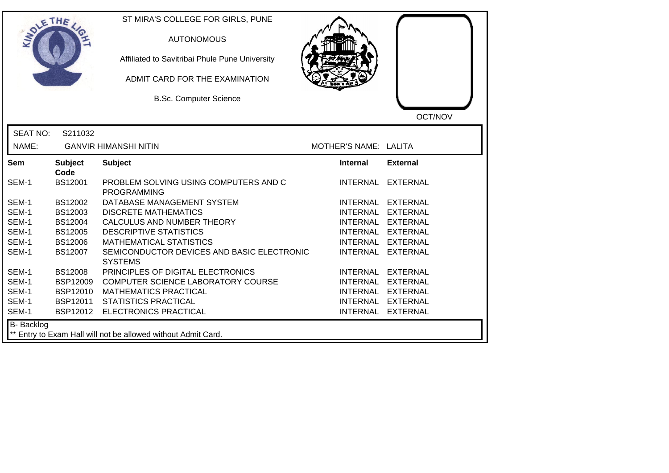| SOLETHE .         |                                                               | ST MIRA'S COLLEGE FOR GIRLS, PUNE<br><b>AUTONOMOUS</b><br>Affiliated to Savitribai Phule Pune University<br>ADMIT CARD FOR THE EXAMINATION<br><b>B.Sc. Computer Science</b> |                       | OCT/NOV           |  |  |
|-------------------|---------------------------------------------------------------|-----------------------------------------------------------------------------------------------------------------------------------------------------------------------------|-----------------------|-------------------|--|--|
| <b>SEAT NO:</b>   | S211032                                                       |                                                                                                                                                                             |                       |                   |  |  |
| NAME:             |                                                               | <b>GANVIR HIMANSHI NITIN</b>                                                                                                                                                | MOTHER'S NAME: LALITA |                   |  |  |
| <b>Sem</b>        | <b>Subject</b><br>Code                                        | <b>Subject</b>                                                                                                                                                              | <b>Internal</b>       | <b>External</b>   |  |  |
| SEM-1             | BS12001                                                       | PROBLEM SOLVING USING COMPUTERS AND C<br><b>PROGRAMMING</b>                                                                                                                 |                       | INTERNAL EXTERNAL |  |  |
| SEM-1             | BS12002                                                       | DATABASE MANAGEMENT SYSTEM                                                                                                                                                  |                       | INTERNAL EXTERNAL |  |  |
| SEM-1             | BS12003                                                       | <b>DISCRETE MATHEMATICS</b>                                                                                                                                                 |                       | INTERNAL EXTERNAL |  |  |
| SEM-1             | BS12004                                                       | CALCULUS AND NUMBER THEORY                                                                                                                                                  |                       | INTERNAL EXTERNAL |  |  |
| SEM-1             | BS12005                                                       | <b>DESCRIPTIVE STATISTICS</b>                                                                                                                                               |                       | INTERNAL EXTERNAL |  |  |
| SEM-1             | <b>BS12006</b>                                                | <b>MATHEMATICAL STATISTICS</b>                                                                                                                                              |                       | INTERNAL EXTERNAL |  |  |
| SEM-1             | BS12007                                                       | SEMICONDUCTOR DEVICES AND BASIC ELECTRONIC<br><b>SYSTEMS</b>                                                                                                                |                       | INTERNAL EXTERNAL |  |  |
| SEM-1             | <b>BS12008</b>                                                | PRINCIPLES OF DIGITAL ELECTRONICS                                                                                                                                           |                       | INTERNAL EXTERNAL |  |  |
| SEM-1             | <b>BSP12009</b>                                               | COMPUTER SCIENCE LABORATORY COURSE                                                                                                                                          |                       | INTERNAL EXTERNAL |  |  |
| SEM-1             | <b>BSP12010</b>                                               | <b>MATHEMATICS PRACTICAL</b>                                                                                                                                                |                       | INTERNAL EXTERNAL |  |  |
| SEM-1             | BSP12011                                                      | <b>STATISTICS PRACTICAL</b>                                                                                                                                                 |                       | INTERNAL EXTERNAL |  |  |
| SEM-1             | BSP12012                                                      | ELECTRONICS PRACTICAL                                                                                                                                                       |                       | INTERNAL EXTERNAL |  |  |
| <b>B-</b> Backlog | ** Entry to Exam Hall will not be allowed without Admit Card. |                                                                                                                                                                             |                       |                   |  |  |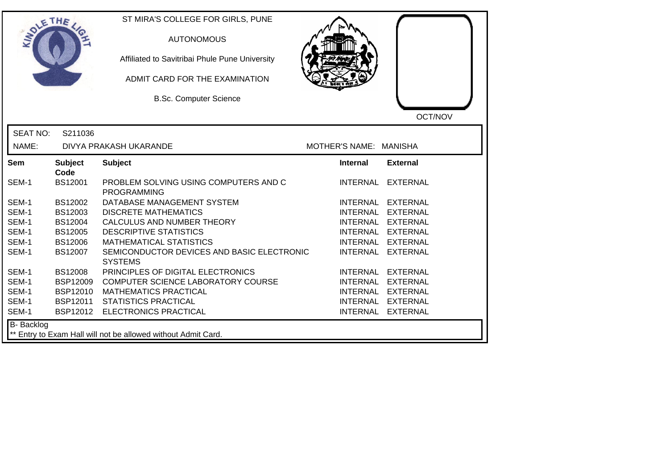| ETHE            |                        | ST MIRA'S COLLEGE FOR GIRLS, PUNE<br><b>AUTONOMOUS</b><br>Affiliated to Savitribai Phule Pune University<br>ADMIT CARD FOR THE EXAMINATION<br><b>B.Sc. Computer Science</b> |                        | OCT/NOV           |
|-----------------|------------------------|-----------------------------------------------------------------------------------------------------------------------------------------------------------------------------|------------------------|-------------------|
| <b>SEAT NO:</b> | S211036                |                                                                                                                                                                             |                        |                   |
| NAME:           |                        | DIVYA PRAKASH UKARANDE                                                                                                                                                      | MOTHER'S NAME: MANISHA |                   |
| Sem             | <b>Subject</b><br>Code | <b>Subject</b>                                                                                                                                                              | Internal               | <b>External</b>   |
| SEM-1           | <b>BS12001</b>         | PROBLEM SOLVING USING COMPUTERS AND C<br><b>PROGRAMMING</b>                                                                                                                 |                        | INTERNAL EXTERNAL |
| SEM-1           | BS12002                | DATABASE MANAGEMENT SYSTEM                                                                                                                                                  |                        | INTERNAL EXTERNAL |
| SEM-1           | BS12003                | <b>DISCRETE MATHEMATICS</b>                                                                                                                                                 |                        | INTERNAL EXTERNAL |
| SEM-1           | <b>BS12004</b>         | CALCULUS AND NUMBER THEORY                                                                                                                                                  |                        | INTERNAL EXTERNAL |
| SEM-1           | <b>BS12005</b>         | <b>DESCRIPTIVE STATISTICS</b>                                                                                                                                               |                        | INTERNAL EXTERNAL |
| SEM-1           | <b>BS12006</b>         | <b>MATHEMATICAL STATISTICS</b>                                                                                                                                              |                        | INTERNAL EXTERNAL |
| SEM-1           | BS12007                | SEMICONDUCTOR DEVICES AND BASIC ELECTRONIC<br><b>SYSTEMS</b>                                                                                                                |                        | INTERNAL EXTERNAL |
| SEM-1           | <b>BS12008</b>         | PRINCIPLES OF DIGITAL ELECTRONICS                                                                                                                                           |                        | INTERNAL EXTERNAL |
| SEM-1           | <b>BSP12009</b>        | COMPUTER SCIENCE LABORATORY COURSE                                                                                                                                          |                        | INTERNAL EXTERNAL |
| SEM-1           | <b>BSP12010</b>        | <b>MATHEMATICS PRACTICAL</b>                                                                                                                                                |                        | INTERNAL EXTERNAL |
| SEM-1           | BSP12011               | <b>STATISTICS PRACTICAL</b>                                                                                                                                                 |                        | INTERNAL EXTERNAL |
| SEM-1           | BSP12012               | <b>ELECTRONICS PRACTICAL</b>                                                                                                                                                |                        | INTERNAL EXTERNAL |
| B- Backlog      |                        | ** Entry to Exam Hall will not be allowed without Admit Card.                                                                                                               |                        |                   |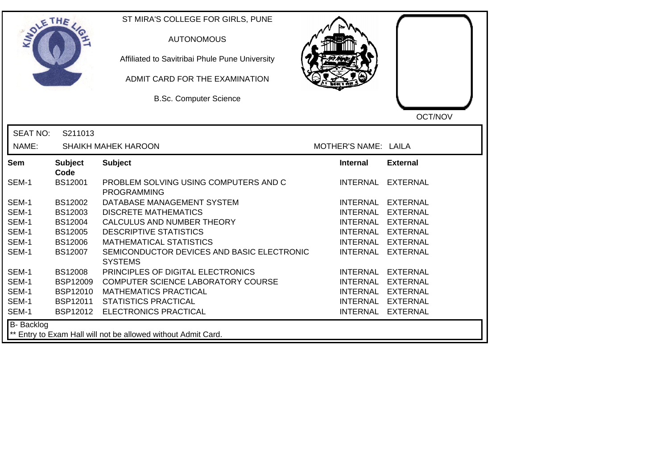| LETHE                                                                       |                        | ST MIRA'S COLLEGE FOR GIRLS, PUNE<br><b>AUTONOMOUS</b><br>Affiliated to Savitribai Phule Pune University<br>ADMIT CARD FOR THE EXAMINATION<br><b>B.Sc. Computer Science</b> |                      | OCT/NOV           |  |
|-----------------------------------------------------------------------------|------------------------|-----------------------------------------------------------------------------------------------------------------------------------------------------------------------------|----------------------|-------------------|--|
| <b>SEAT NO:</b>                                                             | S211013                |                                                                                                                                                                             |                      |                   |  |
| NAME:                                                                       |                        | <b>SHAIKH MAHEK HAROON</b>                                                                                                                                                  | MOTHER'S NAME: LAILA |                   |  |
| <b>Sem</b>                                                                  | <b>Subject</b><br>Code | <b>Subject</b>                                                                                                                                                              | <b>Internal</b>      | <b>External</b>   |  |
| SEM-1                                                                       | <b>BS12001</b>         | PROBLEM SOLVING USING COMPUTERS AND C<br><b>PROGRAMMING</b>                                                                                                                 | INTERNAL             | EXTERNAL          |  |
| SEM-1                                                                       | BS12002                | DATABASE MANAGEMENT SYSTEM                                                                                                                                                  |                      | INTERNAL EXTERNAL |  |
| SEM-1                                                                       | BS12003                | <b>DISCRETE MATHEMATICS</b>                                                                                                                                                 |                      | INTERNAL EXTERNAL |  |
| SEM-1                                                                       | <b>BS12004</b>         | CALCULUS AND NUMBER THEORY                                                                                                                                                  |                      | INTERNAL EXTERNAL |  |
| SEM-1                                                                       | BS12005                | <b>DESCRIPTIVE STATISTICS</b>                                                                                                                                               | INTERNAL EXTERNAL    |                   |  |
| SEM-1                                                                       | <b>BS12006</b>         | <b>MATHEMATICAL STATISTICS</b>                                                                                                                                              |                      | INTERNAL EXTERNAL |  |
| SEM-1                                                                       | BS12007                | SEMICONDUCTOR DEVICES AND BASIC ELECTRONIC<br><b>SYSTEMS</b>                                                                                                                | <b>INTERNAL</b>      | <b>EXTERNAL</b>   |  |
| SEM-1                                                                       | <b>BS12008</b>         | PRINCIPLES OF DIGITAL ELECTRONICS                                                                                                                                           |                      | INTERNAL EXTERNAL |  |
| SEM-1                                                                       | <b>BSP12009</b>        | COMPUTER SCIENCE LABORATORY COURSE                                                                                                                                          | INTERNAL EXTERNAL    |                   |  |
| SEM-1                                                                       | <b>BSP12010</b>        | <b>MATHEMATICS PRACTICAL</b>                                                                                                                                                |                      | INTERNAL EXTERNAL |  |
| SEM-1                                                                       | <b>BSP12011</b>        | <b>STATISTICS PRACTICAL</b>                                                                                                                                                 |                      | INTERNAL EXTERNAL |  |
| SEM-1                                                                       | BSP12012               | ELECTRONICS PRACTICAL                                                                                                                                                       |                      | INTERNAL EXTERNAL |  |
| B- Backlog<br>** Entry to Exam Hall will not be allowed without Admit Card. |                        |                                                                                                                                                                             |                      |                   |  |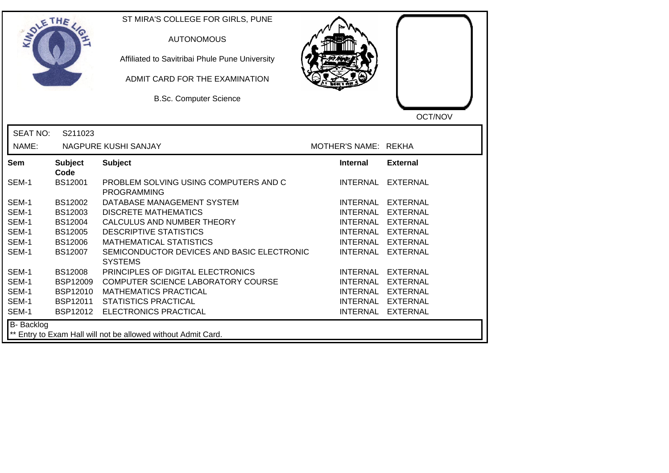| <b>SOLETHE</b>  |                        | ST MIRA'S COLLEGE FOR GIRLS, PUNE<br><b>AUTONOMOUS</b><br>Affiliated to Savitribai Phule Pune University<br>ADMIT CARD FOR THE EXAMINATION<br><b>B.Sc. Computer Science</b> |                      | OCT/NOV           |
|-----------------|------------------------|-----------------------------------------------------------------------------------------------------------------------------------------------------------------------------|----------------------|-------------------|
| <b>SEAT NO:</b> | S211023                |                                                                                                                                                                             |                      |                   |
| NAME:           |                        | NAGPURE KUSHI SANJAY                                                                                                                                                        | MOTHER'S NAME: REKHA |                   |
| <b>Sem</b>      | <b>Subject</b>         | <b>Subject</b>                                                                                                                                                              | <b>Internal</b>      | <b>External</b>   |
| SEM-1           | Code<br><b>BS12001</b> | PROBLEM SOLVING USING COMPUTERS AND C<br><b>PROGRAMMING</b>                                                                                                                 |                      | INTERNAL EXTERNAL |
| SEM-1           | BS12002                | DATABASE MANAGEMENT SYSTEM                                                                                                                                                  |                      | INTERNAL EXTERNAL |
| SEM-1           | BS12003                | <b>DISCRETE MATHEMATICS</b>                                                                                                                                                 |                      | INTERNAL EXTERNAL |
| SEM-1           | <b>BS12004</b>         | CALCULUS AND NUMBER THEORY                                                                                                                                                  |                      | INTERNAL EXTERNAL |
| SEM-1           | <b>BS12005</b>         | <b>DESCRIPTIVE STATISTICS</b>                                                                                                                                               |                      | INTERNAL EXTERNAL |
| SEM-1           | <b>BS12006</b>         | <b>MATHEMATICAL STATISTICS</b>                                                                                                                                              | <b>INTERNAL</b>      | <b>EXTERNAL</b>   |
| SEM-1           | BS12007                | SEMICONDUCTOR DEVICES AND BASIC ELECTRONIC<br><b>SYSTEMS</b>                                                                                                                | <b>INTERNAL</b>      | <b>EXTERNAL</b>   |
| SEM-1           | <b>BS12008</b>         | PRINCIPLES OF DIGITAL ELECTRONICS                                                                                                                                           | <b>INTERNAL</b>      | <b>EXTERNAL</b>   |
| SEM-1           | <b>BSP12009</b>        | COMPUTER SCIENCE LABORATORY COURSE                                                                                                                                          | <b>INTERNAL</b>      | <b>EXTERNAL</b>   |
| SEM-1           | <b>BSP12010</b>        | <b>MATHEMATICS PRACTICAL</b>                                                                                                                                                | <b>INTERNAL</b>      | <b>EXTERNAL</b>   |
| SEM-1           | BSP12011               | <b>STATISTICS PRACTICAL</b>                                                                                                                                                 |                      | INTERNAL EXTERNAL |
| SEM-1           |                        | BSP12012 ELECTRONICS PRACTICAL                                                                                                                                              |                      | INTERNAL EXTERNAL |
| B- Backlog      |                        | ** Entry to Exam Hall will not be allowed without Admit Card.                                                                                                               |                      |                   |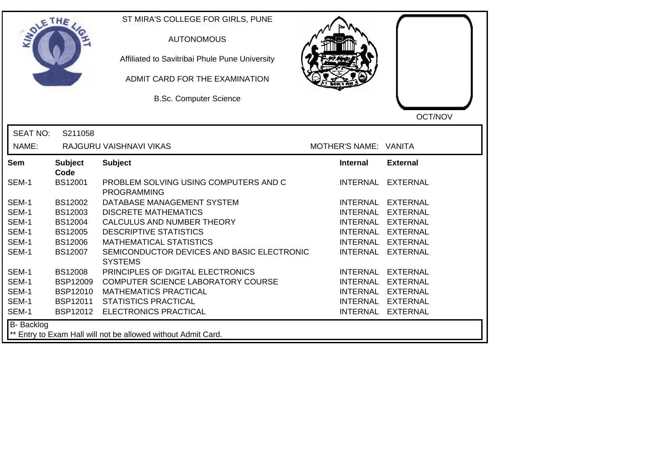| SOLE THE                                                                    |                        | ST MIRA'S COLLEGE FOR GIRLS, PUNE<br><b>AUTONOMOUS</b><br>Affiliated to Savitribai Phule Pune University<br>ADMIT CARD FOR THE EXAMINATION<br><b>B.Sc. Computer Science</b> |                       | OCT/NOV           |
|-----------------------------------------------------------------------------|------------------------|-----------------------------------------------------------------------------------------------------------------------------------------------------------------------------|-----------------------|-------------------|
| <b>SEAT NO:</b>                                                             | S211058                |                                                                                                                                                                             |                       |                   |
| NAME:                                                                       |                        | RAJGURU VAISHNAVI VIKAS                                                                                                                                                     | MOTHER'S NAME: VANITA |                   |
| Sem                                                                         | <b>Subject</b><br>Code | <b>Subject</b>                                                                                                                                                              | <b>Internal</b>       | <b>External</b>   |
| SEM-1                                                                       | <b>BS12001</b>         | PROBLEM SOLVING USING COMPUTERS AND C<br><b>PROGRAMMING</b>                                                                                                                 |                       | INTERNAL EXTERNAL |
| SEM-1                                                                       | BS12002                | DATABASE MANAGEMENT SYSTEM                                                                                                                                                  |                       | INTERNAL EXTERNAL |
| SEM-1                                                                       | BS12003                | <b>DISCRETE MATHEMATICS</b>                                                                                                                                                 |                       | INTERNAL EXTERNAL |
| SEM-1                                                                       | <b>BS12004</b>         | CALCULUS AND NUMBER THEORY                                                                                                                                                  |                       | INTERNAL EXTERNAL |
| SEM-1                                                                       | <b>BS12005</b>         | <b>DESCRIPTIVE STATISTICS</b>                                                                                                                                               |                       | INTERNAL EXTERNAL |
| SEM-1                                                                       | <b>BS12006</b>         | <b>MATHEMATICAL STATISTICS</b>                                                                                                                                              |                       | INTERNAL EXTERNAL |
| SEM-1                                                                       | <b>BS12007</b>         | SEMICONDUCTOR DEVICES AND BASIC ELECTRONIC<br><b>SYSTEMS</b>                                                                                                                | <b>INTERNAL</b>       | EXTERNAL          |
| SEM-1                                                                       | <b>BS12008</b>         | PRINCIPLES OF DIGITAL ELECTRONICS                                                                                                                                           |                       | INTERNAL EXTERNAL |
| SEM-1                                                                       | <b>BSP12009</b>        | COMPUTER SCIENCE LABORATORY COURSE                                                                                                                                          |                       | INTERNAL EXTERNAL |
| SEM-1                                                                       | <b>BSP12010</b>        | <b>MATHEMATICS PRACTICAL</b>                                                                                                                                                |                       | INTERNAL EXTERNAL |
| SEM-1                                                                       | BSP12011               | <b>STATISTICS PRACTICAL</b>                                                                                                                                                 |                       | INTERNAL EXTERNAL |
| SEM-1                                                                       |                        | BSP12012 ELECTRONICS PRACTICAL                                                                                                                                              |                       | INTERNAL EXTERNAL |
| B- Backlog<br>** Entry to Exam Hall will not be allowed without Admit Card. |                        |                                                                                                                                                                             |                       |                   |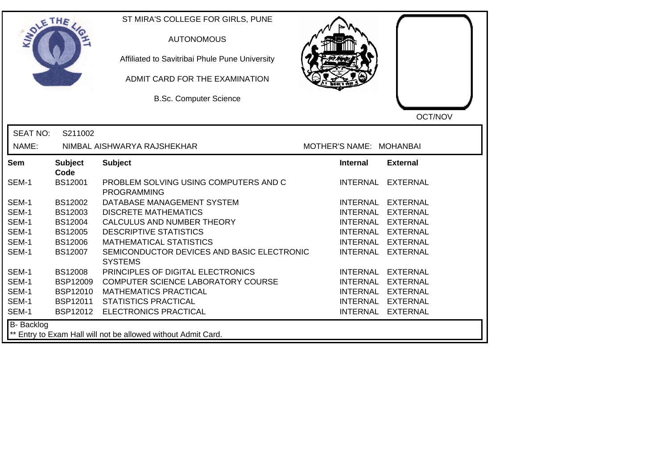| SOLE THE        |                        | ST MIRA'S COLLEGE FOR GIRLS, PUNE<br><b>AUTONOMOUS</b><br>Affiliated to Savitribai Phule Pune University<br>ADMIT CARD FOR THE EXAMINATION<br><b>B.Sc. Computer Science</b> |                         | OCT/NOV           |
|-----------------|------------------------|-----------------------------------------------------------------------------------------------------------------------------------------------------------------------------|-------------------------|-------------------|
| <b>SEAT NO:</b> | S211002                |                                                                                                                                                                             |                         |                   |
| NAME:           |                        | NIMBAL AISHWARYA RAJSHEKHAR                                                                                                                                                 | MOTHER'S NAME: MOHANBAI |                   |
| Sem             | <b>Subject</b><br>Code | <b>Subject</b>                                                                                                                                                              | <b>Internal</b>         | <b>External</b>   |
| SEM-1           | <b>BS12001</b>         | PROBLEM SOLVING USING COMPUTERS AND C<br><b>PROGRAMMING</b>                                                                                                                 |                         | INTERNAL EXTERNAL |
| SEM-1           | BS12002                | DATABASE MANAGEMENT SYSTEM                                                                                                                                                  |                         | INTERNAL EXTERNAL |
| SEM-1           | BS12003                | <b>DISCRETE MATHEMATICS</b>                                                                                                                                                 |                         | INTERNAL EXTERNAL |
| SEM-1           | BS12004                | CALCULUS AND NUMBER THEORY                                                                                                                                                  |                         | INTERNAL EXTERNAL |
| SEM-1           | <b>BS12005</b>         | <b>DESCRIPTIVE STATISTICS</b>                                                                                                                                               |                         | INTERNAL EXTERNAL |
| SEM-1           | <b>BS12006</b>         | <b>MATHEMATICAL STATISTICS</b>                                                                                                                                              |                         | INTERNAL EXTERNAL |
| SEM-1           | BS12007                | SEMICONDUCTOR DEVICES AND BASIC ELECTRONIC<br><b>SYSTEMS</b>                                                                                                                |                         | INTERNAL EXTERNAL |
| SEM-1           | <b>BS12008</b>         | PRINCIPLES OF DIGITAL ELECTRONICS                                                                                                                                           |                         | INTERNAL EXTERNAL |
| SEM-1           | <b>BSP12009</b>        | COMPUTER SCIENCE LABORATORY COURSE                                                                                                                                          |                         | INTERNAL EXTERNAL |
| SEM-1           | <b>BSP12010</b>        | <b>MATHEMATICS PRACTICAL</b>                                                                                                                                                |                         | INTERNAL EXTERNAL |
| SEM-1           | BSP12011               | <b>STATISTICS PRACTICAL</b>                                                                                                                                                 |                         | INTERNAL EXTERNAL |
| SEM-1           | BSP12012               | <b>ELECTRONICS PRACTICAL</b>                                                                                                                                                |                         | INTERNAL EXTERNAL |
| B- Backlog      |                        | ** Entry to Exam Hall will not be allowed without Admit Card.                                                                                                               |                         |                   |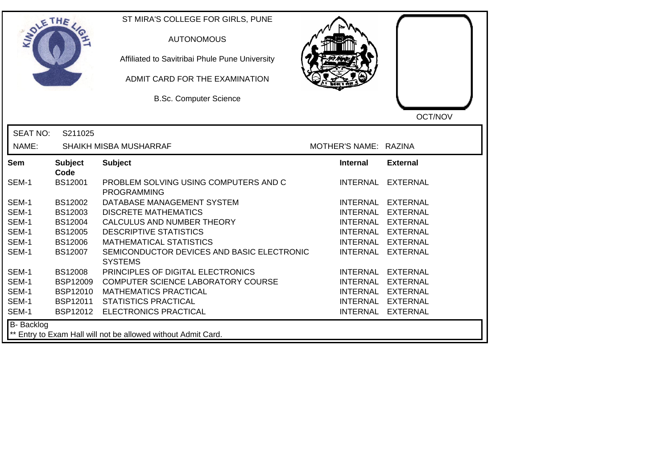| OLETHE           |                        | ST MIRA'S COLLEGE FOR GIRLS, PUNE<br><b>AUTONOMOUS</b><br>Affiliated to Savitribai Phule Pune University<br>ADMIT CARD FOR THE EXAMINATION<br><b>B.Sc. Computer Science</b> |                       | OCT/NOV           |
|------------------|------------------------|-----------------------------------------------------------------------------------------------------------------------------------------------------------------------------|-----------------------|-------------------|
| <b>SEAT NO:</b>  | S211025                |                                                                                                                                                                             |                       |                   |
| NAME:            |                        | SHAIKH MISBA MUSHARRAF                                                                                                                                                      | MOTHER'S NAME: RAZINA |                   |
| Sem              | <b>Subject</b><br>Code | <b>Subject</b>                                                                                                                                                              | <b>Internal</b>       | <b>External</b>   |
| SEM-1            | <b>BS12001</b>         | PROBLEM SOLVING USING COMPUTERS AND C<br><b>PROGRAMMING</b>                                                                                                                 | <b>INTERNAL</b>       | EXTERNAL          |
| SEM-1            | BS12002                | DATABASE MANAGEMENT SYSTEM                                                                                                                                                  |                       | INTERNAL EXTERNAL |
| SEM-1            | BS12003                | <b>DISCRETE MATHEMATICS</b>                                                                                                                                                 | <b>INTERNAL</b>       | EXTERNAL          |
| SEM-1            | <b>BS12004</b>         | CALCULUS AND NUMBER THEORY                                                                                                                                                  |                       | INTERNAL EXTERNAL |
| SEM-1            | <b>BS12005</b>         | <b>DESCRIPTIVE STATISTICS</b>                                                                                                                                               |                       | INTERNAL EXTERNAL |
| SEM-1            | <b>BS12006</b>         | <b>MATHEMATICAL STATISTICS</b>                                                                                                                                              |                       | INTERNAL EXTERNAL |
| SEM-1            | <b>BS12007</b>         | SEMICONDUCTOR DEVICES AND BASIC ELECTRONIC<br><b>SYSTEMS</b>                                                                                                                |                       | INTERNAL EXTERNAL |
| SEM-1            | <b>BS12008</b>         | PRINCIPLES OF DIGITAL ELECTRONICS                                                                                                                                           |                       | INTERNAL EXTERNAL |
| SEM-1            | <b>BSP12009</b>        | COMPUTER SCIENCE LABORATORY COURSE                                                                                                                                          |                       | INTERNAL EXTERNAL |
| SEM-1            | <b>BSP12010</b>        | <b>MATHEMATICS PRACTICAL</b>                                                                                                                                                |                       | INTERNAL EXTERNAL |
| SEM-1            | BSP12011               | <b>STATISTICS PRACTICAL</b>                                                                                                                                                 |                       | INTERNAL EXTERNAL |
| SEM-1            | BSP12012               | <b>ELECTRONICS PRACTICAL</b>                                                                                                                                                |                       | INTERNAL EXTERNAL |
| B- Backlog<br>** |                        | Entry to Exam Hall will not be allowed without Admit Card.                                                                                                                  |                       |                   |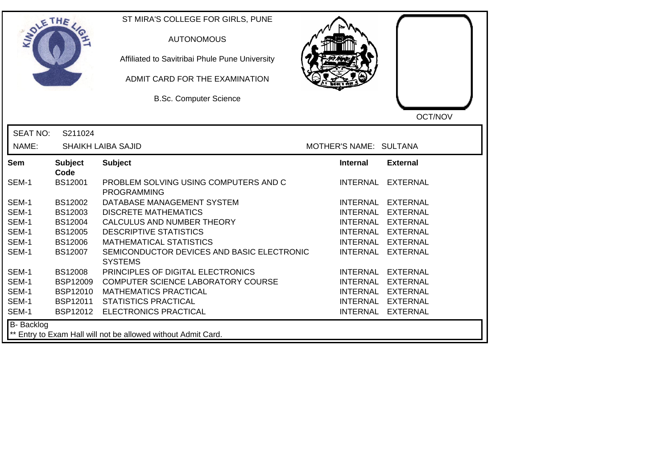| SOLETHE .       |                        | ST MIRA'S COLLEGE FOR GIRLS, PUNE<br><b>AUTONOMOUS</b><br>Affiliated to Savitribai Phule Pune University<br>ADMIT CARD FOR THE EXAMINATION<br><b>B.Sc. Computer Science</b> |                        | OCT/NOV           |
|-----------------|------------------------|-----------------------------------------------------------------------------------------------------------------------------------------------------------------------------|------------------------|-------------------|
| <b>SEAT NO:</b> | S211024                |                                                                                                                                                                             |                        |                   |
| NAME:           |                        | <b>SHAIKH LAIBA SAJID</b>                                                                                                                                                   | MOTHER'S NAME: SULTANA |                   |
| Sem             | <b>Subject</b><br>Code | <b>Subject</b>                                                                                                                                                              | Internal               | <b>External</b>   |
| SEM-1           | <b>BS12001</b>         | PROBLEM SOLVING USING COMPUTERS AND C<br><b>PROGRAMMING</b>                                                                                                                 |                        | INTERNAL EXTERNAL |
| SEM-1           | BS12002                | DATABASE MANAGEMENT SYSTEM                                                                                                                                                  | INTERNAL               | <b>EXTERNAL</b>   |
| SEM-1           | BS12003                | <b>DISCRETE MATHEMATICS</b>                                                                                                                                                 |                        | INTERNAL EXTERNAL |
| SEM-1           | BS12004                | CALCULUS AND NUMBER THEORY                                                                                                                                                  |                        | INTERNAL EXTERNAL |
| SEM-1           | <b>BS12005</b>         | <b>DESCRIPTIVE STATISTICS</b>                                                                                                                                               |                        | INTERNAL EXTERNAL |
| SEM-1           | <b>BS12006</b>         | <b>MATHEMATICAL STATISTICS</b>                                                                                                                                              | <b>INTERNAL</b>        | <b>EXTERNAL</b>   |
| SEM-1           | BS12007                | SEMICONDUCTOR DEVICES AND BASIC ELECTRONIC<br><b>SYSTEMS</b>                                                                                                                | <b>INTERNAL</b>        | <b>EXTERNAL</b>   |
| SEM-1           | <b>BS12008</b>         | PRINCIPLES OF DIGITAL ELECTRONICS                                                                                                                                           | <b>INTERNAL</b>        | <b>EXTERNAL</b>   |
| SEM-1           | <b>BSP12009</b>        | COMPUTER SCIENCE LABORATORY COURSE                                                                                                                                          | <b>INTERNAL</b>        | <b>EXTERNAL</b>   |
| SEM-1           | <b>BSP12010</b>        | <b>MATHEMATICS PRACTICAL</b>                                                                                                                                                | <b>INTERNAL</b>        | <b>EXTERNAL</b>   |
| SEM-1           | <b>BSP12011</b>        | <b>STATISTICS PRACTICAL</b>                                                                                                                                                 |                        | INTERNAL EXTERNAL |
| SEM-1           |                        | BSP12012 ELECTRONICS PRACTICAL                                                                                                                                              |                        | INTERNAL EXTERNAL |
| B- Backlog      |                        | ** Entry to Exam Hall will not be allowed without Admit Card.                                                                                                               |                        |                   |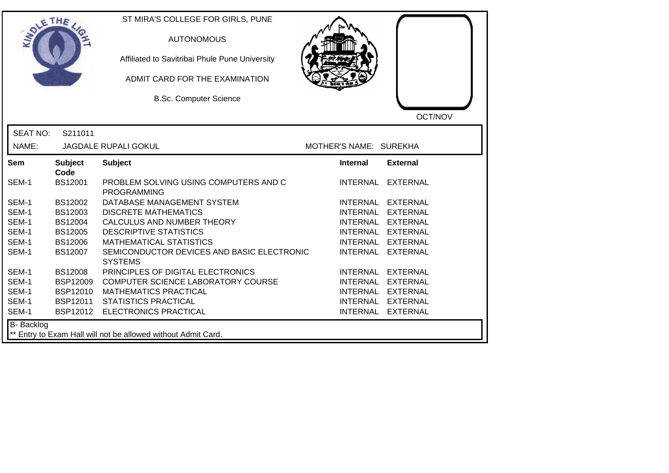| <b>SOLETHE</b>    |                        | ST MIRA'S COLLEGE FOR GIRLS, PUNE<br><b>AUTONOMOUS</b><br>Affiliated to Savitribai Phule Pune University<br>ADMIT CARD FOR THE EXAMINATION<br><b>B.Sc. Computer Science</b> |                        |                   |
|-------------------|------------------------|-----------------------------------------------------------------------------------------------------------------------------------------------------------------------------|------------------------|-------------------|
| <b>SEAT NO:</b>   | S211011                |                                                                                                                                                                             |                        | OCT/NOV           |
| NAME:             |                        | <b>JAGDALE RUPALI GOKUL</b>                                                                                                                                                 | MOTHER'S NAME: SUREKHA |                   |
| <b>Sem</b>        | <b>Subject</b><br>Code | <b>Subject</b>                                                                                                                                                              | <b>Internal</b>        | <b>External</b>   |
| SEM-1             | BS12001                | PROBLEM SOLVING USING COMPUTERS AND C<br><b>PROGRAMMING</b>                                                                                                                 |                        | INTERNAL EXTERNAL |
| SEM-1             | BS12002                | DATABASE MANAGEMENT SYSTEM                                                                                                                                                  |                        | INTERNAL EXTERNAL |
| SEM-1             | BS12003                | <b>DISCRETE MATHEMATICS</b>                                                                                                                                                 |                        | INTERNAL EXTERNAL |
| SEM-1             | BS12004                | CALCULUS AND NUMBER THEORY                                                                                                                                                  |                        | INTERNAL EXTERNAL |
| SEM-1             | BS12005                | <b>DESCRIPTIVE STATISTICS</b>                                                                                                                                               |                        | INTERNAL EXTERNAL |
| SEM-1             | <b>BS12006</b>         | <b>MATHEMATICAL STATISTICS</b>                                                                                                                                              |                        | INTERNAL EXTERNAL |
| SEM-1             | BS12007                | SEMICONDUCTOR DEVICES AND BASIC ELECTRONIC<br><b>SYSTEMS</b>                                                                                                                |                        | INTERNAL EXTERNAL |
| SEM-1             | <b>BS12008</b>         | PRINCIPLES OF DIGITAL ELECTRONICS                                                                                                                                           |                        | INTERNAL EXTERNAL |
| SEM-1             | <b>BSP12009</b>        | COMPUTER SCIENCE LABORATORY COURSE                                                                                                                                          |                        | INTERNAL EXTERNAL |
| SEM-1             | <b>BSP12010</b>        | <b>MATHEMATICS PRACTICAL</b>                                                                                                                                                |                        | INTERNAL EXTERNAL |
| SEM-1             | BSP12011               | <b>STATISTICS PRACTICAL</b>                                                                                                                                                 |                        | INTERNAL EXTERNAL |
| SEM-1             | BSP12012               | <b>ELECTRONICS PRACTICAL</b>                                                                                                                                                |                        | INTERNAL EXTERNAL |
| <b>B-</b> Backlog |                        | ** Entry to Exam Hall will not be allowed without Admit Card.                                                                                                               |                        |                   |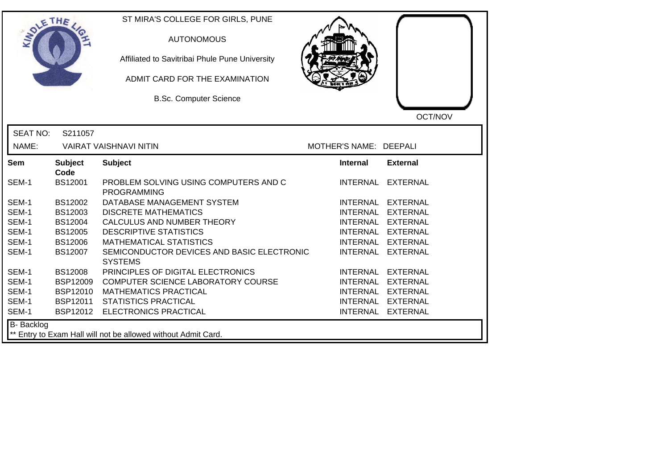| DLETHE          |                        | ST MIRA'S COLLEGE FOR GIRLS, PUNE<br><b>AUTONOMOUS</b><br>Affiliated to Savitribai Phule Pune University<br>ADMIT CARD FOR THE EXAMINATION<br><b>B.Sc. Computer Science</b> |                        | OCT/NOV           |
|-----------------|------------------------|-----------------------------------------------------------------------------------------------------------------------------------------------------------------------------|------------------------|-------------------|
| <b>SEAT NO:</b> | S211057                |                                                                                                                                                                             |                        |                   |
| NAME:           |                        | <b>VAIRAT VAISHNAVI NITIN</b>                                                                                                                                               | MOTHER'S NAME: DEEPALI |                   |
| Sem             | <b>Subject</b><br>Code | <b>Subject</b>                                                                                                                                                              | Internal               | <b>External</b>   |
| SEM-1           | <b>BS12001</b>         | PROBLEM SOLVING USING COMPUTERS AND C<br><b>PROGRAMMING</b>                                                                                                                 |                        | INTERNAL EXTERNAL |
| SEM-1           | BS12002                | DATABASE MANAGEMENT SYSTEM                                                                                                                                                  |                        | INTERNAL EXTERNAL |
| SEM-1           | BS12003                | <b>DISCRETE MATHEMATICS</b>                                                                                                                                                 |                        | INTERNAL EXTERNAL |
| SEM-1           | BS12004                | CALCULUS AND NUMBER THEORY                                                                                                                                                  |                        | INTERNAL EXTERNAL |
| SEM-1           | BS12005                | <b>DESCRIPTIVE STATISTICS</b>                                                                                                                                               |                        | INTERNAL EXTERNAL |
| SEM-1           | <b>BS12006</b>         | <b>MATHEMATICAL STATISTICS</b>                                                                                                                                              |                        | INTERNAL EXTERNAL |
| SEM-1           | <b>BS12007</b>         | SEMICONDUCTOR DEVICES AND BASIC ELECTRONIC<br><b>SYSTEMS</b>                                                                                                                |                        | INTERNAL EXTERNAL |
| SEM-1           | <b>BS12008</b>         | PRINCIPLES OF DIGITAL ELECTRONICS                                                                                                                                           |                        | INTERNAL EXTERNAL |
| SEM-1           | <b>BSP12009</b>        | COMPUTER SCIENCE LABORATORY COURSE                                                                                                                                          |                        | INTERNAL EXTERNAL |
| SEM-1           | <b>BSP12010</b>        | <b>MATHEMATICS PRACTICAL</b>                                                                                                                                                |                        | INTERNAL EXTERNAL |
| SEM-1           | BSP12011               | <b>STATISTICS PRACTICAL</b>                                                                                                                                                 |                        | INTERNAL EXTERNAL |
| SEM-1           |                        | BSP12012 ELECTRONICS PRACTICAL                                                                                                                                              |                        | INTERNAL EXTERNAL |
| B- Backlog      |                        | ** Entry to Exam Hall will not be allowed without Admit Card.                                                                                                               |                        |                   |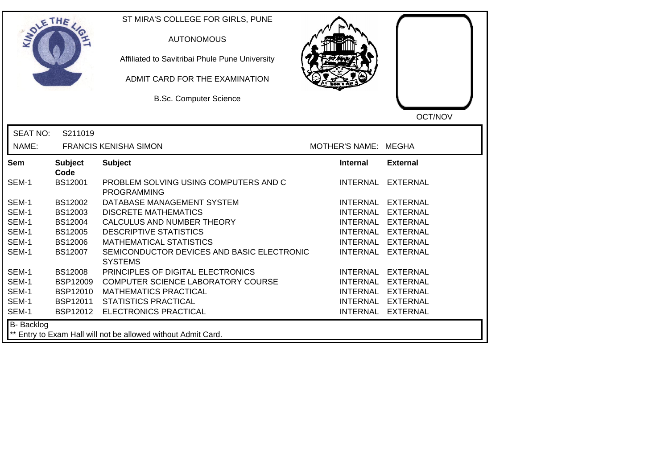| OLETHE          |                        | ST MIRA'S COLLEGE FOR GIRLS, PUNE<br><b>AUTONOMOUS</b><br>Affiliated to Savitribai Phule Pune University<br>ADMIT CARD FOR THE EXAMINATION<br><b>B.Sc. Computer Science</b> |                      | OCT/NOV           |
|-----------------|------------------------|-----------------------------------------------------------------------------------------------------------------------------------------------------------------------------|----------------------|-------------------|
| <b>SEAT NO:</b> | S211019                |                                                                                                                                                                             |                      |                   |
| NAME:           |                        | <b>FRANCIS KENISHA SIMON</b>                                                                                                                                                | MOTHER'S NAME: MEGHA |                   |
| Sem             | <b>Subject</b><br>Code | <b>Subject</b>                                                                                                                                                              | <b>Internal</b>      | <b>External</b>   |
| SEM-1           | <b>BS12001</b>         | PROBLEM SOLVING USING COMPUTERS AND C<br><b>PROGRAMMING</b>                                                                                                                 | <b>INTERNAL</b>      | EXTERNAL          |
| SEM-1           | BS12002                | DATABASE MANAGEMENT SYSTEM                                                                                                                                                  |                      | INTERNAL EXTERNAL |
| SEM-1           | BS12003                | <b>DISCRETE MATHEMATICS</b>                                                                                                                                                 | <b>INTERNAL</b>      | EXTERNAL          |
| SEM-1           | <b>BS12004</b>         | CALCULUS AND NUMBER THEORY                                                                                                                                                  |                      | INTERNAL EXTERNAL |
| SEM-1           | <b>BS12005</b>         | <b>DESCRIPTIVE STATISTICS</b>                                                                                                                                               |                      | INTERNAL EXTERNAL |
| SEM-1           | <b>BS12006</b>         | <b>MATHEMATICAL STATISTICS</b>                                                                                                                                              |                      | INTERNAL EXTERNAL |
| SEM-1           | BS12007                | SEMICONDUCTOR DEVICES AND BASIC ELECTRONIC<br><b>SYSTEMS</b>                                                                                                                |                      | INTERNAL EXTERNAL |
| SEM-1           | <b>BS12008</b>         | PRINCIPLES OF DIGITAL ELECTRONICS                                                                                                                                           |                      | INTERNAL EXTERNAL |
| SEM-1           | <b>BSP12009</b>        | COMPUTER SCIENCE LABORATORY COURSE                                                                                                                                          |                      | INTERNAL EXTERNAL |
| SEM-1           | <b>BSP12010</b>        | <b>MATHEMATICS PRACTICAL</b>                                                                                                                                                |                      | INTERNAL EXTERNAL |
| SEM-1           | BSP12011               | <b>STATISTICS PRACTICAL</b>                                                                                                                                                 |                      | INTERNAL EXTERNAL |
| SEM-1           |                        | BSP12012 ELECTRONICS PRACTICAL                                                                                                                                              |                      | INTERNAL EXTERNAL |
| B- Backlog      |                        | ** Entry to Exam Hall will not be allowed without Admit Card.                                                                                                               |                      |                   |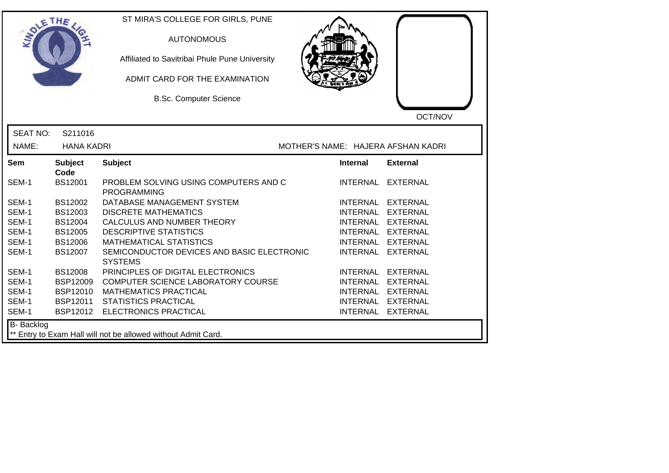| OLETHE          |                        | ST MIRA'S COLLEGE FOR GIRLS, PUNE<br><b>AUTONOMOUS</b><br>Affiliated to Savitribai Phule Pune University<br>ADMIT CARD FOR THE EXAMINATION<br><b>B.Sc. Computer Science</b> |                                    | OCT/NOV         |
|-----------------|------------------------|-----------------------------------------------------------------------------------------------------------------------------------------------------------------------------|------------------------------------|-----------------|
| <b>SEAT NO:</b> | S211016                |                                                                                                                                                                             |                                    |                 |
| NAME:           | <b>HANA KADRI</b>      |                                                                                                                                                                             | MOTHER'S NAME: HAJERA AFSHAN KADRI |                 |
| Sem             | <b>Subject</b><br>Code | <b>Subject</b>                                                                                                                                                              | <b>Internal</b>                    | <b>External</b> |
| SEM-1           | <b>BS12001</b>         | PROBLEM SOLVING USING COMPUTERS AND C<br><b>PROGRAMMING</b>                                                                                                                 | INTERNAL                           | EXTERNAL        |
| SEM-1           | BS12002                | DATABASE MANAGEMENT SYSTEM                                                                                                                                                  | <b>INTERNAL</b>                    | EXTERNAL        |
| SEM-1           | BS12003                | <b>DISCRETE MATHEMATICS</b>                                                                                                                                                 | <b>INTERNAL</b>                    | <b>EXTERNAL</b> |
| SEM-1           | <b>BS12004</b>         | CALCULUS AND NUMBER THEORY                                                                                                                                                  | <b>INTERNAL</b>                    | <b>EXTERNAL</b> |
| SEM-1           | <b>BS12005</b>         | <b>DESCRIPTIVE STATISTICS</b>                                                                                                                                               | <b>INTERNAL</b>                    | <b>EXTERNAL</b> |
| SEM-1           | <b>BS12006</b>         | <b>MATHEMATICAL STATISTICS</b>                                                                                                                                              | <b>INTERNAL</b>                    | <b>EXTERNAL</b> |
| SEM-1           | <b>BS12007</b>         | SEMICONDUCTOR DEVICES AND BASIC ELECTRONIC<br><b>SYSTEMS</b>                                                                                                                | <b>INTERNAL</b>                    | <b>EXTERNAL</b> |
| SEM-1           | <b>BS12008</b>         | PRINCIPLES OF DIGITAL ELECTRONICS                                                                                                                                           | <b>INTERNAL</b>                    | <b>EXTERNAL</b> |
| SEM-1           | <b>BSP12009</b>        | COMPUTER SCIENCE LABORATORY COURSE                                                                                                                                          | <b>INTERNAL</b>                    | <b>EXTERNAL</b> |
| SEM-1           | <b>BSP12010</b>        | <b>MATHEMATICS PRACTICAL</b>                                                                                                                                                | <b>INTERNAL</b>                    | <b>EXTERNAL</b> |
| SEM-1           | BSP12011               | <b>STATISTICS PRACTICAL</b>                                                                                                                                                 | <b>INTERNAL</b>                    | <b>EXTERNAL</b> |
| SEM-1           |                        | BSP12012 ELECTRONICS PRACTICAL                                                                                                                                              | <b>INTERNAL</b>                    | <b>EXTERNAL</b> |
| B- Backlog      |                        | ** Entry to Exam Hall will not be allowed without Admit Card.                                                                                                               |                                    |                 |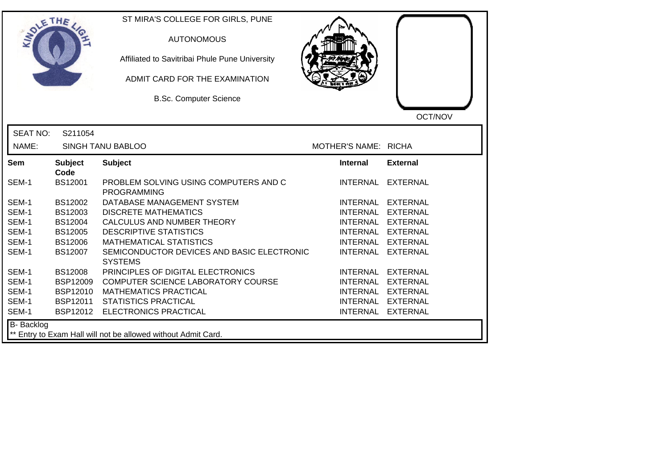| DLETHE          |                        | ST MIRA'S COLLEGE FOR GIRLS, PUNE<br><b>AUTONOMOUS</b><br>Affiliated to Savitribai Phule Pune University<br>ADMIT CARD FOR THE EXAMINATION<br><b>B.Sc. Computer Science</b> |                      | OCT/NOV           |
|-----------------|------------------------|-----------------------------------------------------------------------------------------------------------------------------------------------------------------------------|----------------------|-------------------|
| <b>SEAT NO:</b> | S211054                |                                                                                                                                                                             |                      |                   |
| NAME:           |                        | SINGH TANU BABLOO                                                                                                                                                           | MOTHER'S NAME: RICHA |                   |
| <b>Sem</b>      | <b>Subject</b><br>Code | <b>Subject</b>                                                                                                                                                              | <b>Internal</b>      | <b>External</b>   |
| SEM-1           | <b>BS12001</b>         | PROBLEM SOLVING USING COMPUTERS AND C<br><b>PROGRAMMING</b>                                                                                                                 |                      | INTERNAL EXTERNAL |
| SEM-1           | <b>BS12002</b>         | DATABASE MANAGEMENT SYSTEM                                                                                                                                                  |                      | INTERNAL EXTERNAL |
| SEM-1           | BS12003                | <b>DISCRETE MATHEMATICS</b>                                                                                                                                                 |                      | INTERNAL EXTERNAL |
| SEM-1           | BS12004                | CALCULUS AND NUMBER THEORY                                                                                                                                                  |                      | INTERNAL EXTERNAL |
| SEM-1           | <b>BS12005</b>         | <b>DESCRIPTIVE STATISTICS</b>                                                                                                                                               |                      | INTERNAL EXTERNAL |
| SEM-1           | <b>BS12006</b>         | <b>MATHEMATICAL STATISTICS</b>                                                                                                                                              |                      | INTERNAL EXTERNAL |
| SEM-1           | <b>BS12007</b>         | SEMICONDUCTOR DEVICES AND BASIC ELECTRONIC<br><b>SYSTEMS</b>                                                                                                                |                      | INTERNAL EXTERNAL |
| SEM-1           | <b>BS12008</b>         | PRINCIPLES OF DIGITAL ELECTRONICS                                                                                                                                           |                      | INTERNAL EXTERNAL |
| SEM-1           | <b>BSP12009</b>        | COMPUTER SCIENCE LABORATORY COURSE                                                                                                                                          |                      | INTERNAL EXTERNAL |
| SEM-1           | <b>BSP12010</b>        | <b>MATHEMATICS PRACTICAL</b>                                                                                                                                                |                      | INTERNAL EXTERNAL |
| SEM-1           | BSP12011               | <b>STATISTICS PRACTICAL</b>                                                                                                                                                 |                      | INTERNAL EXTERNAL |
| SEM-1           | BSP12012               | ELECTRONICS PRACTICAL                                                                                                                                                       |                      | INTERNAL EXTERNAL |
| B- Backlog      |                        | ** Entry to Exam Hall will not be allowed without Admit Card.                                                                                                               |                      |                   |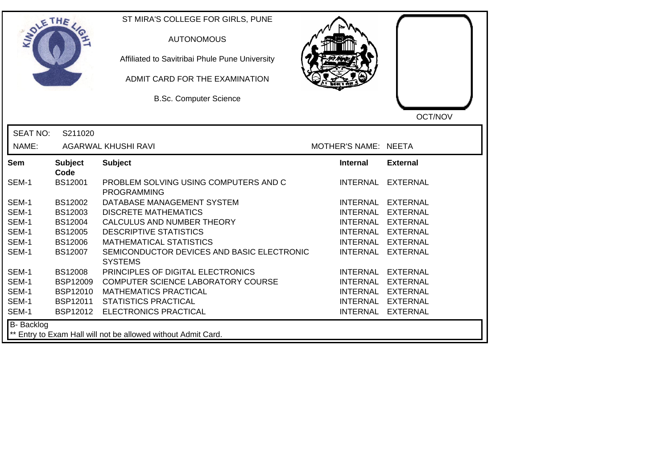| SOLE THE        |                        | ST MIRA'S COLLEGE FOR GIRLS, PUNE<br><b>AUTONOMOUS</b><br>Affiliated to Savitribai Phule Pune University<br>ADMIT CARD FOR THE EXAMINATION<br><b>B.Sc. Computer Science</b> |                      | OCT/NOV         |
|-----------------|------------------------|-----------------------------------------------------------------------------------------------------------------------------------------------------------------------------|----------------------|-----------------|
| <b>SEAT NO:</b> | S211020                |                                                                                                                                                                             |                      |                 |
| NAME:           |                        | <b>AGARWAL KHUSHI RAVI</b>                                                                                                                                                  | MOTHER'S NAME: NEETA |                 |
| <b>Sem</b>      | <b>Subject</b><br>Code | <b>Subject</b>                                                                                                                                                              | Internal             | <b>External</b> |
| SEM-1           | <b>BS12001</b>         | PROBLEM SOLVING USING COMPUTERS AND C<br><b>PROGRAMMING</b>                                                                                                                 | <b>INTERNAL</b>      | <b>EXTERNAL</b> |
| SEM-1           | <b>BS12002</b>         | DATABASE MANAGEMENT SYSTEM                                                                                                                                                  | <b>INTERNAL</b>      | EXTERNAL        |
| SEM-1           | BS12003                | <b>DISCRETE MATHEMATICS</b>                                                                                                                                                 | <b>INTERNAL</b>      | <b>EXTERNAL</b> |
| SEM-1           | <b>BS12004</b>         | CALCULUS AND NUMBER THEORY                                                                                                                                                  | <b>INTERNAL</b>      | <b>EXTERNAL</b> |
| SEM-1           | <b>BS12005</b>         | <b>DESCRIPTIVE STATISTICS</b>                                                                                                                                               | <b>INTERNAL</b>      | <b>EXTERNAL</b> |
| SEM-1           | <b>BS12006</b>         | <b>MATHEMATICAL STATISTICS</b>                                                                                                                                              | <b>INTERNAL</b>      | <b>EXTERNAL</b> |
| SEM-1           | BS12007                | SEMICONDUCTOR DEVICES AND BASIC ELECTRONIC<br><b>SYSTEMS</b>                                                                                                                | <b>INTERNAL</b>      | <b>EXTERNAL</b> |
| SEM-1           | <b>BS12008</b>         | PRINCIPLES OF DIGITAL ELECTRONICS                                                                                                                                           | <b>INTERNAL</b>      | <b>EXTERNAL</b> |
| SEM-1           | <b>BSP12009</b>        | COMPUTER SCIENCE LABORATORY COURSE                                                                                                                                          | <b>INTERNAL</b>      | <b>EXTERNAL</b> |
| SEM-1           | <b>BSP12010</b>        | <b>MATHEMATICS PRACTICAL</b>                                                                                                                                                | <b>INTERNAL</b>      | <b>EXTERNAL</b> |
| SEM-1           | BSP12011               | <b>STATISTICS PRACTICAL</b>                                                                                                                                                 | <b>INTERNAL</b>      | <b>EXTERNAL</b> |
| SEM-1           | BSP12012               | <b>ELECTRONICS PRACTICAL</b>                                                                                                                                                | <b>INTERNAL</b>      | <b>EXTERNAL</b> |
| B- Backlog      |                        | ** Entry to Exam Hall will not be allowed without Admit Card.                                                                                                               |                      |                 |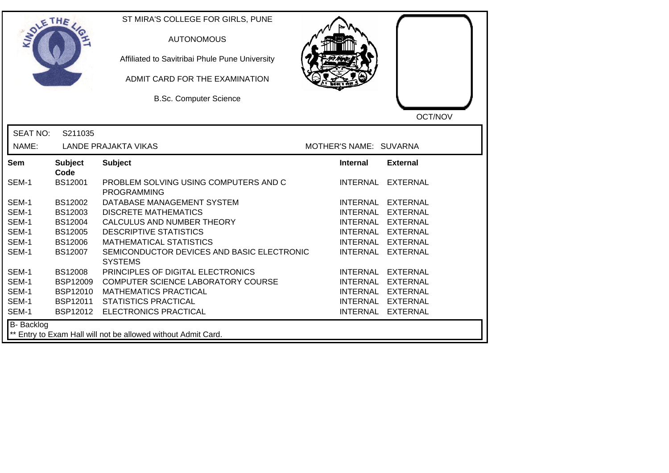| SOLETHE .         |                        | ST MIRA'S COLLEGE FOR GIRLS, PUNE<br><b>AUTONOMOUS</b><br>Affiliated to Savitribai Phule Pune University<br>ADMIT CARD FOR THE EXAMINATION<br><b>B.Sc. Computer Science</b> |                        | OCT/NOV           |
|-------------------|------------------------|-----------------------------------------------------------------------------------------------------------------------------------------------------------------------------|------------------------|-------------------|
| <b>SEAT NO:</b>   | S211035                |                                                                                                                                                                             |                        |                   |
| NAME:             |                        | <b>LANDE PRAJAKTA VIKAS</b>                                                                                                                                                 | MOTHER'S NAME: SUVARNA |                   |
| Sem               | <b>Subject</b><br>Code | <b>Subject</b>                                                                                                                                                              | <b>Internal</b>        | <b>External</b>   |
| SEM-1             | <b>BS12001</b>         | PROBLEM SOLVING USING COMPUTERS AND C<br><b>PROGRAMMING</b>                                                                                                                 |                        | INTERNAL EXTERNAL |
| SEM-1             | BS12002                | DATABASE MANAGEMENT SYSTEM                                                                                                                                                  |                        | INTERNAL EXTERNAL |
| SEM-1             | BS12003                | <b>DISCRETE MATHEMATICS</b>                                                                                                                                                 |                        | INTERNAL EXTERNAL |
| SEM-1             | BS12004                | CALCULUS AND NUMBER THEORY                                                                                                                                                  |                        | INTERNAL EXTERNAL |
| SEM-1             | <b>BS12005</b>         | <b>DESCRIPTIVE STATISTICS</b>                                                                                                                                               |                        | INTERNAL EXTERNAL |
| SEM-1             | <b>BS12006</b>         | <b>MATHEMATICAL STATISTICS</b>                                                                                                                                              | <b>INTERNAL</b>        | <b>EXTERNAL</b>   |
| SEM-1             | BS12007                | SEMICONDUCTOR DEVICES AND BASIC ELECTRONIC<br><b>SYSTEMS</b>                                                                                                                | <b>INTERNAL</b>        | <b>EXTERNAL</b>   |
| SEM-1             | <b>BS12008</b>         | PRINCIPLES OF DIGITAL ELECTRONICS                                                                                                                                           |                        | INTERNAL EXTERNAL |
| SEM-1             | <b>BSP12009</b>        | COMPUTER SCIENCE LABORATORY COURSE                                                                                                                                          |                        | INTERNAL EXTERNAL |
| SEM-1             | <b>BSP12010</b>        | <b>MATHEMATICS PRACTICAL</b>                                                                                                                                                |                        | INTERNAL EXTERNAL |
| SEM-1             | BSP12011               | <b>STATISTICS PRACTICAL</b>                                                                                                                                                 |                        | INTERNAL EXTERNAL |
| SEM-1             | BSP12012               | ELECTRONICS PRACTICAL                                                                                                                                                       |                        | INTERNAL EXTERNAL |
| <b>B-</b> Backlog |                        | ** Entry to Exam Hall will not be allowed without Admit Card.                                                                                                               |                        |                   |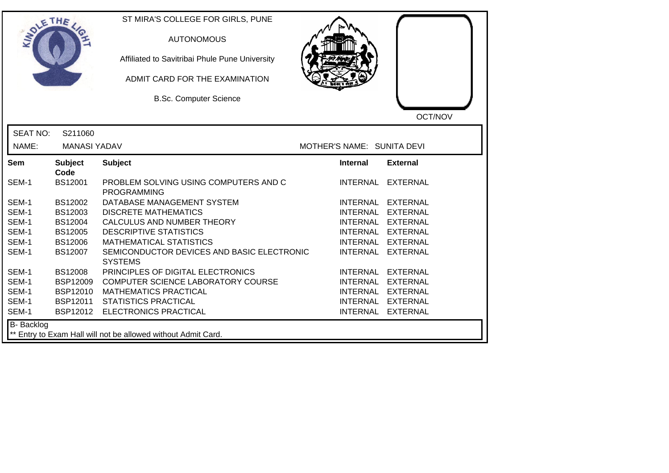| SOLETHE .       |                        | ST MIRA'S COLLEGE FOR GIRLS, PUNE<br><b>AUTONOMOUS</b><br>Affiliated to Savitribai Phule Pune University<br>ADMIT CARD FOR THE EXAMINATION<br><b>B.Sc. Computer Science</b> |                            | OCT/NOV           |
|-----------------|------------------------|-----------------------------------------------------------------------------------------------------------------------------------------------------------------------------|----------------------------|-------------------|
| <b>SEAT NO:</b> | S211060                |                                                                                                                                                                             |                            |                   |
| NAME:           | <b>MANASI YADAV</b>    |                                                                                                                                                                             | MOTHER'S NAME: SUNITA DEVI |                   |
| <b>Sem</b>      | <b>Subject</b><br>Code | <b>Subject</b>                                                                                                                                                              | <b>Internal</b>            | <b>External</b>   |
| SEM-1           | <b>BS12001</b>         | PROBLEM SOLVING USING COMPUTERS AND C<br><b>PROGRAMMING</b>                                                                                                                 |                            | INTERNAL EXTERNAL |
| SEM-1           | <b>BS12002</b>         | DATABASE MANAGEMENT SYSTEM                                                                                                                                                  |                            | INTERNAL EXTERNAL |
| SEM-1           | BS12003                | <b>DISCRETE MATHEMATICS</b>                                                                                                                                                 |                            | INTERNAL EXTERNAL |
| SEM-1           | <b>BS12004</b>         | CALCULUS AND NUMBER THEORY                                                                                                                                                  |                            | INTERNAL EXTERNAL |
| SEM-1           | <b>BS12005</b>         | <b>DESCRIPTIVE STATISTICS</b>                                                                                                                                               |                            | INTERNAL EXTERNAL |
| SEM-1           | <b>BS12006</b>         | <b>MATHEMATICAL STATISTICS</b>                                                                                                                                              | <b>INTERNAL</b>            | <b>EXTERNAL</b>   |
| SEM-1           | <b>BS12007</b>         | SEMICONDUCTOR DEVICES AND BASIC ELECTRONIC<br><b>SYSTEMS</b>                                                                                                                | <b>INTERNAL</b>            | <b>EXTERNAL</b>   |
| SEM-1           | <b>BS12008</b>         | PRINCIPLES OF DIGITAL ELECTRONICS                                                                                                                                           |                            | INTERNAL EXTERNAL |
| SEM-1           | <b>BSP12009</b>        | COMPUTER SCIENCE LABORATORY COURSE                                                                                                                                          |                            | INTERNAL EXTERNAL |
| SEM-1           | <b>BSP12010</b>        | <b>MATHEMATICS PRACTICAL</b>                                                                                                                                                |                            | INTERNAL EXTERNAL |
| SEM-1           | BSP12011               | <b>STATISTICS PRACTICAL</b>                                                                                                                                                 |                            | INTERNAL EXTERNAL |
| SEM-1           | BSP12012               | <b>ELECTRONICS PRACTICAL</b>                                                                                                                                                |                            | INTERNAL EXTERNAL |
| B- Backlog      |                        | ** Entry to Exam Hall will not be allowed without Admit Card.                                                                                                               |                            |                   |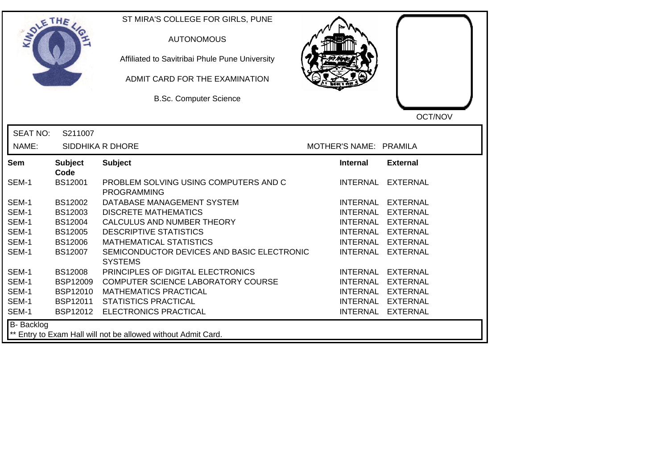| SOLETHE .       |                        | ST MIRA'S COLLEGE FOR GIRLS, PUNE<br><b>AUTONOMOUS</b><br>Affiliated to Savitribai Phule Pune University<br>ADMIT CARD FOR THE EXAMINATION<br><b>B.Sc. Computer Science</b> |                        | OCT/NOV           |
|-----------------|------------------------|-----------------------------------------------------------------------------------------------------------------------------------------------------------------------------|------------------------|-------------------|
| <b>SEAT NO:</b> | S211007                |                                                                                                                                                                             |                        |                   |
| NAME:           |                        | SIDDHIKA R DHORE                                                                                                                                                            | MOTHER'S NAME: PRAMILA |                   |
| <b>Sem</b>      | <b>Subject</b><br>Code | <b>Subject</b>                                                                                                                                                              | <b>Internal</b>        | <b>External</b>   |
| SEM-1           | BS12001                | PROBLEM SOLVING USING COMPUTERS AND C<br><b>PROGRAMMING</b>                                                                                                                 | INTERNAL               | EXTERNAL          |
| SEM-1           | BS12002                | DATABASE MANAGEMENT SYSTEM                                                                                                                                                  |                        | INTERNAL EXTERNAL |
| SEM-1           | BS12003                | <b>DISCRETE MATHEMATICS</b>                                                                                                                                                 |                        | INTERNAL EXTERNAL |
| SEM-1           | <b>BS12004</b>         | CALCULUS AND NUMBER THEORY                                                                                                                                                  |                        | INTERNAL EXTERNAL |
| SEM-1           | BS12005                | <b>DESCRIPTIVE STATISTICS</b>                                                                                                                                               |                        | INTERNAL EXTERNAL |
| SEM-1           | <b>BS12006</b>         | <b>MATHEMATICAL STATISTICS</b>                                                                                                                                              | <b>INTERNAL</b>        | <b>EXTERNAL</b>   |
| SEM-1           | <b>BS12007</b>         | SEMICONDUCTOR DEVICES AND BASIC ELECTRONIC<br><b>SYSTEMS</b>                                                                                                                | <b>INTERNAL</b>        | <b>EXTERNAL</b>   |
| SEM-1           | <b>BS12008</b>         | PRINCIPLES OF DIGITAL ELECTRONICS                                                                                                                                           |                        | INTERNAL EXTERNAL |
| SEM-1           | <b>BSP12009</b>        | COMPUTER SCIENCE LABORATORY COURSE                                                                                                                                          |                        | INTERNAL EXTERNAL |
| SEM-1           | <b>BSP12010</b>        | <b>MATHEMATICS PRACTICAL</b>                                                                                                                                                | <b>INTERNAL</b>        | <b>EXTERNAL</b>   |
| SEM-1           | BSP12011               | <b>STATISTICS PRACTICAL</b>                                                                                                                                                 |                        | INTERNAL EXTERNAL |
| SEM-1           | BSP12012               | <b>ELECTRONICS PRACTICAL</b>                                                                                                                                                |                        | INTERNAL EXTERNAL |
| B- Backlog      |                        | ** Entry to Exam Hall will not be allowed without Admit Card.                                                                                                               |                        |                   |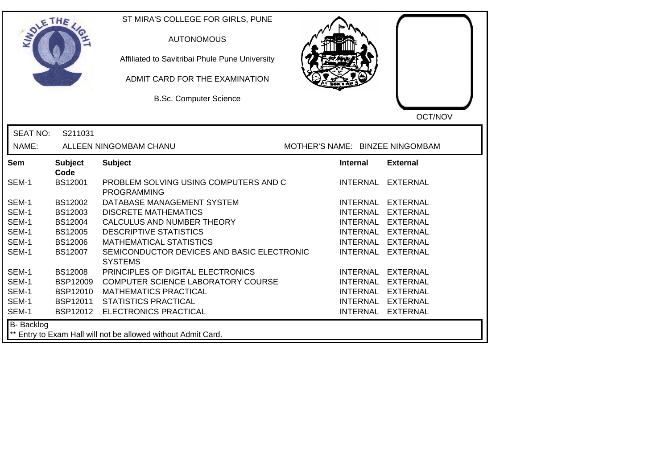| DIETHE            |                        | ST MIRA'S COLLEGE FOR GIRLS, PUNE<br><b>AUTONOMOUS</b><br>Affiliated to Savitribai Phule Pune University<br>ADMIT CARD FOR THE EXAMINATION<br><b>B.Sc. Computer Science</b> |                                 |                 | OCT/NOV           |
|-------------------|------------------------|-----------------------------------------------------------------------------------------------------------------------------------------------------------------------------|---------------------------------|-----------------|-------------------|
| <b>SEAT NO:</b>   | S211031                |                                                                                                                                                                             |                                 |                 |                   |
| NAME:             |                        | ALLEEN NINGOMBAM CHANU                                                                                                                                                      | MOTHER'S NAME: BINZEE NINGOMBAM |                 |                   |
| <b>Sem</b>        | <b>Subject</b><br>Code | <b>Subject</b>                                                                                                                                                              | <b>Internal</b>                 |                 | <b>External</b>   |
| SEM-1             | <b>BS12001</b>         | PROBLEM SOLVING USING COMPUTERS AND C<br><b>PROGRAMMING</b>                                                                                                                 |                                 |                 | INTERNAL EXTERNAL |
| SEM-1             | BS12002                | DATABASE MANAGEMENT SYSTEM                                                                                                                                                  |                                 |                 | INTERNAL EXTERNAL |
| SEM-1             | BS12003                | <b>DISCRETE MATHEMATICS</b>                                                                                                                                                 |                                 |                 | INTERNAL EXTERNAL |
| SEM-1             | BS12004                | CALCULUS AND NUMBER THEORY                                                                                                                                                  |                                 |                 | INTERNAL EXTERNAL |
| SEM-1             | <b>BS12005</b>         | <b>DESCRIPTIVE STATISTICS</b>                                                                                                                                               |                                 |                 | INTERNAL EXTERNAL |
| SEM-1             | <b>BS12006</b>         | <b>MATHEMATICAL STATISTICS</b>                                                                                                                                              |                                 | <b>INTERNAL</b> | <b>EXTERNAL</b>   |
| SEM-1             | BS12007                | SEMICONDUCTOR DEVICES AND BASIC ELECTRONIC<br><b>SYSTEMS</b>                                                                                                                |                                 | <b>INTERNAL</b> | <b>EXTERNAL</b>   |
| SEM-1             | <b>BS12008</b>         | PRINCIPLES OF DIGITAL ELECTRONICS                                                                                                                                           |                                 |                 | INTERNAL EXTERNAL |
| SEM-1             | <b>BSP12009</b>        | COMPUTER SCIENCE LABORATORY COURSE                                                                                                                                          |                                 |                 | INTERNAL EXTERNAL |
| SEM-1             | <b>BSP12010</b>        | <b>MATHEMATICS PRACTICAL</b>                                                                                                                                                |                                 |                 | INTERNAL EXTERNAL |
| SEM-1             | <b>BSP12011</b>        | <b>STATISTICS PRACTICAL</b>                                                                                                                                                 |                                 |                 | INTERNAL EXTERNAL |
| SEM-1             | BSP12012               | <b>ELECTRONICS PRACTICAL</b>                                                                                                                                                |                                 |                 | INTERNAL EXTERNAL |
| <b>B-</b> Backlog |                        | Entry to Exam Hall will not be allowed without Admit Card.                                                                                                                  |                                 |                 |                   |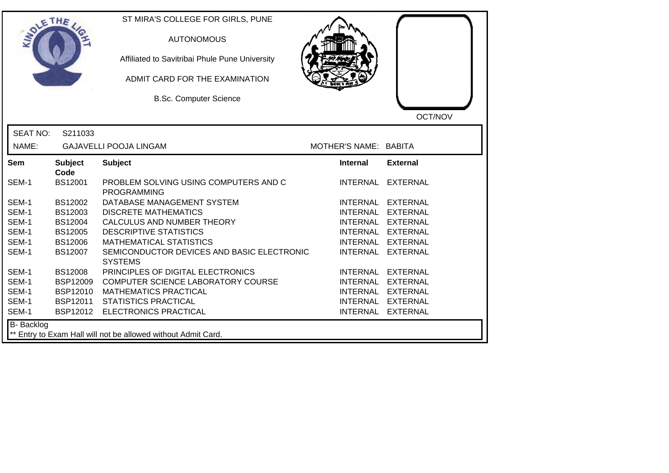| SOLETHE .       |                        | ST MIRA'S COLLEGE FOR GIRLS, PUNE<br><b>AUTONOMOUS</b><br>Affiliated to Savitribai Phule Pune University<br>ADMIT CARD FOR THE EXAMINATION<br><b>B.Sc. Computer Science</b> |                       | OCT/NOV           |
|-----------------|------------------------|-----------------------------------------------------------------------------------------------------------------------------------------------------------------------------|-----------------------|-------------------|
| <b>SEAT NO:</b> | S211033                |                                                                                                                                                                             |                       |                   |
| NAME:           |                        | <b>GAJAVELLI POOJA LINGAM</b>                                                                                                                                               | MOTHER'S NAME: BABITA |                   |
| Sem             | <b>Subject</b><br>Code | <b>Subject</b>                                                                                                                                                              | <b>Internal</b>       | <b>External</b>   |
| SEM-1           | <b>BS12001</b>         | PROBLEM SOLVING USING COMPUTERS AND C<br><b>PROGRAMMING</b>                                                                                                                 |                       | INTERNAL EXTERNAL |
| SEM-1           | BS12002                | DATABASE MANAGEMENT SYSTEM                                                                                                                                                  |                       | INTERNAL EXTERNAL |
| SEM-1           | BS12003                | <b>DISCRETE MATHEMATICS</b>                                                                                                                                                 |                       | INTERNAL EXTERNAL |
| SEM-1           | BS12004                | CALCULUS AND NUMBER THEORY                                                                                                                                                  |                       | INTERNAL EXTERNAL |
| SEM-1           | <b>BS12005</b>         | <b>DESCRIPTIVE STATISTICS</b>                                                                                                                                               |                       | INTERNAL EXTERNAL |
| SEM-1           | <b>BS12006</b>         | <b>MATHEMATICAL STATISTICS</b>                                                                                                                                              |                       | INTERNAL EXTERNAL |
| SEM-1           | <b>BS12007</b>         | SEMICONDUCTOR DEVICES AND BASIC ELECTRONIC<br><b>SYSTEMS</b>                                                                                                                |                       | INTERNAL EXTERNAL |
| SEM-1           | <b>BS12008</b>         | PRINCIPLES OF DIGITAL ELECTRONICS                                                                                                                                           |                       | INTERNAL EXTERNAL |
| SEM-1           | <b>BSP12009</b>        | COMPUTER SCIENCE LABORATORY COURSE                                                                                                                                          |                       | INTERNAL EXTERNAL |
| SEM-1           | <b>BSP12010</b>        | <b>MATHEMATICS PRACTICAL</b>                                                                                                                                                |                       | INTERNAL EXTERNAL |
| SEM-1           | <b>BSP12011</b>        | <b>STATISTICS PRACTICAL</b>                                                                                                                                                 |                       | INTERNAL EXTERNAL |
| SEM-1           | BSP12012               | <b>ELECTRONICS PRACTICAL</b>                                                                                                                                                |                       | INTERNAL EXTERNAL |
| B- Backlog      |                        | ** Entry to Exam Hall will not be allowed without Admit Card.                                                                                                               |                       |                   |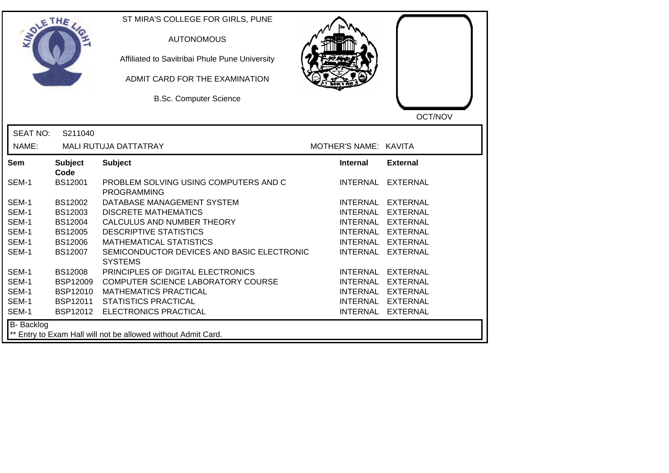| SOLETHE .       |                        | ST MIRA'S COLLEGE FOR GIRLS, PUNE<br><b>AUTONOMOUS</b><br>Affiliated to Savitribai Phule Pune University<br>ADMIT CARD FOR THE EXAMINATION<br><b>B.Sc. Computer Science</b> |                       | OCT/NOV           |
|-----------------|------------------------|-----------------------------------------------------------------------------------------------------------------------------------------------------------------------------|-----------------------|-------------------|
| <b>SEAT NO:</b> | S211040                |                                                                                                                                                                             |                       |                   |
| NAME:           |                        | MALI RUTUJA DATTATRAY                                                                                                                                                       | MOTHER'S NAME: KAVITA |                   |
| Sem             | <b>Subject</b><br>Code | <b>Subject</b>                                                                                                                                                              | <b>Internal</b>       | <b>External</b>   |
| SEM-1           | <b>BS12001</b>         | PROBLEM SOLVING USING COMPUTERS AND C<br><b>PROGRAMMING</b>                                                                                                                 |                       | INTERNAL EXTERNAL |
| SEM-1           | BS12002                | DATABASE MANAGEMENT SYSTEM                                                                                                                                                  |                       | INTERNAL EXTERNAL |
| SEM-1           | BS12003                | <b>DISCRETE MATHEMATICS</b>                                                                                                                                                 |                       | INTERNAL EXTERNAL |
| SEM-1           | BS12004                | CALCULUS AND NUMBER THEORY                                                                                                                                                  |                       | INTERNAL EXTERNAL |
| SEM-1           | <b>BS12005</b>         | <b>DESCRIPTIVE STATISTICS</b>                                                                                                                                               |                       | INTERNAL EXTERNAL |
| SEM-1           | <b>BS12006</b>         | <b>MATHEMATICAL STATISTICS</b>                                                                                                                                              |                       | INTERNAL EXTERNAL |
| SEM-1           | <b>BS12007</b>         | SEMICONDUCTOR DEVICES AND BASIC ELECTRONIC<br><b>SYSTEMS</b>                                                                                                                |                       | INTERNAL EXTERNAL |
| SEM-1           | <b>BS12008</b>         | PRINCIPLES OF DIGITAL ELECTRONICS                                                                                                                                           |                       | INTERNAL EXTERNAL |
| SEM-1           | <b>BSP12009</b>        | COMPUTER SCIENCE LABORATORY COURSE                                                                                                                                          |                       | INTERNAL EXTERNAL |
| SEM-1           | <b>BSP12010</b>        | <b>MATHEMATICS PRACTICAL</b>                                                                                                                                                |                       | INTERNAL EXTERNAL |
| SEM-1           | <b>BSP12011</b>        | <b>STATISTICS PRACTICAL</b>                                                                                                                                                 |                       | INTERNAL EXTERNAL |
| SEM-1           | BSP12012               | <b>ELECTRONICS PRACTICAL</b>                                                                                                                                                |                       | INTERNAL EXTERNAL |
| B- Backlog      |                        | ** Entry to Exam Hall will not be allowed without Admit Card.                                                                                                               |                       |                   |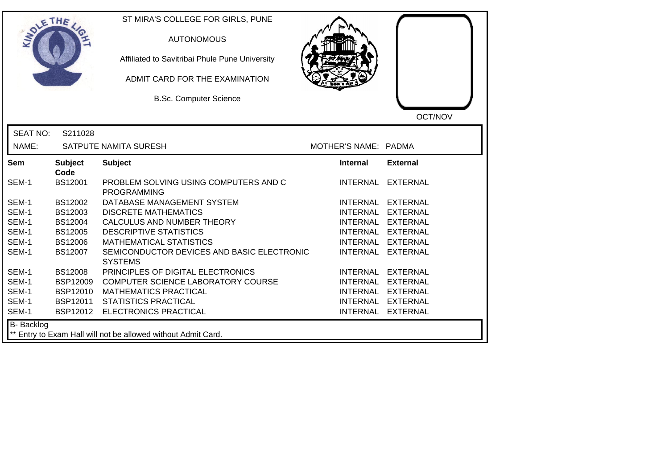| SOLE THE          |                                                               | ST MIRA'S COLLEGE FOR GIRLS, PUNE<br><b>AUTONOMOUS</b><br>Affiliated to Savitribai Phule Pune University<br>ADMIT CARD FOR THE EXAMINATION<br><b>B.Sc. Computer Science</b> |                      | OCT/NOV           |  |
|-------------------|---------------------------------------------------------------|-----------------------------------------------------------------------------------------------------------------------------------------------------------------------------|----------------------|-------------------|--|
| <b>SEAT NO:</b>   | S211028                                                       |                                                                                                                                                                             |                      |                   |  |
| NAME:             |                                                               | SATPUTE NAMITA SURESH                                                                                                                                                       | MOTHER'S NAME: PADMA |                   |  |
| <b>Sem</b>        | <b>Subject</b><br>Code                                        | <b>Subject</b>                                                                                                                                                              | <b>Internal</b>      | <b>External</b>   |  |
| SEM-1             | BS12001                                                       | PROBLEM SOLVING USING COMPUTERS AND C<br><b>PROGRAMMING</b>                                                                                                                 |                      | INTERNAL EXTERNAL |  |
| SEM-1             | BS12002                                                       | DATABASE MANAGEMENT SYSTEM                                                                                                                                                  |                      | INTERNAL EXTERNAL |  |
| SEM-1             | BS12003                                                       | <b>DISCRETE MATHEMATICS</b>                                                                                                                                                 |                      | INTERNAL EXTERNAL |  |
| SEM-1             | BS12004                                                       | CALCULUS AND NUMBER THEORY                                                                                                                                                  |                      | INTERNAL EXTERNAL |  |
| SEM-1             | <b>BS12005</b>                                                | <b>DESCRIPTIVE STATISTICS</b>                                                                                                                                               |                      | INTERNAL EXTERNAL |  |
| SEM-1             | <b>BS12006</b>                                                | <b>MATHEMATICAL STATISTICS</b>                                                                                                                                              |                      | INTERNAL EXTERNAL |  |
| SEM-1             | BS12007                                                       | SEMICONDUCTOR DEVICES AND BASIC ELECTRONIC<br><b>SYSTEMS</b>                                                                                                                |                      | INTERNAL EXTERNAL |  |
| SEM-1             | <b>BS12008</b>                                                | PRINCIPLES OF DIGITAL ELECTRONICS                                                                                                                                           |                      | INTERNAL EXTERNAL |  |
| SEM-1             | <b>BSP12009</b>                                               | COMPUTER SCIENCE LABORATORY COURSE                                                                                                                                          |                      | INTERNAL EXTERNAL |  |
| SEM-1             | <b>BSP12010</b>                                               | <b>MATHEMATICS PRACTICAL</b>                                                                                                                                                |                      | INTERNAL EXTERNAL |  |
| SEM-1             | BSP12011                                                      | <b>STATISTICS PRACTICAL</b>                                                                                                                                                 |                      | INTERNAL EXTERNAL |  |
| SEM-1             | BSP12012                                                      | ELECTRONICS PRACTICAL                                                                                                                                                       |                      | INTERNAL EXTERNAL |  |
| <b>B-</b> Backlog | ** Entry to Exam Hall will not be allowed without Admit Card. |                                                                                                                                                                             |                      |                   |  |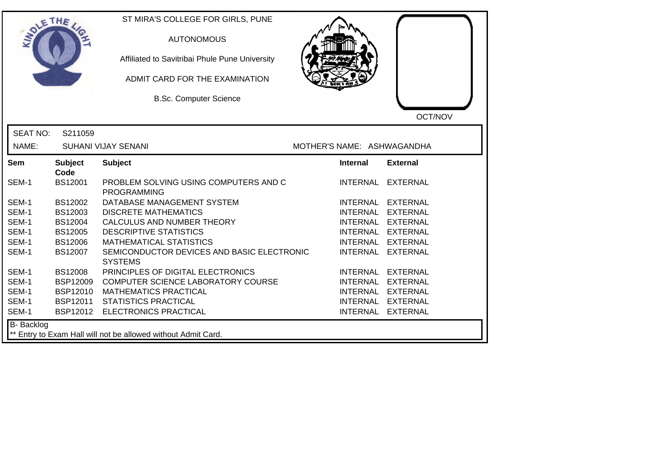| <b>SOLETHE</b>  |                        | ST MIRA'S COLLEGE FOR GIRLS, PUNE<br><b>AUTONOMOUS</b><br>Affiliated to Savitribai Phule Pune University<br>ADMIT CARD FOR THE EXAMINATION<br><b>B.Sc. Computer Science</b> |                            | OCT/NOV           |
|-----------------|------------------------|-----------------------------------------------------------------------------------------------------------------------------------------------------------------------------|----------------------------|-------------------|
| <b>SEAT NO:</b> | S211059                |                                                                                                                                                                             |                            |                   |
| NAME:           |                        | <b>SUHANI VIJAY SENANI</b>                                                                                                                                                  | MOTHER'S NAME: ASHWAGANDHA |                   |
| <b>Sem</b>      | <b>Subject</b><br>Code | <b>Subject</b>                                                                                                                                                              | <b>Internal</b>            | <b>External</b>   |
| SEM-1           | BS12001                | PROBLEM SOLVING USING COMPUTERS AND C<br><b>PROGRAMMING</b>                                                                                                                 |                            | INTERNAL EXTERNAL |
| SEM-1           | BS12002                | DATABASE MANAGEMENT SYSTEM                                                                                                                                                  |                            | INTERNAL EXTERNAL |
| SEM-1           | BS12003                | <b>DISCRETE MATHEMATICS</b>                                                                                                                                                 |                            | INTERNAL EXTERNAL |
| SEM-1           | BS12004                | CALCULUS AND NUMBER THEORY                                                                                                                                                  |                            | INTERNAL EXTERNAL |
| SEM-1           | <b>BS12005</b>         | <b>DESCRIPTIVE STATISTICS</b>                                                                                                                                               |                            | INTERNAL EXTERNAL |
| SEM-1           | <b>BS12006</b>         | <b>MATHEMATICAL STATISTICS</b>                                                                                                                                              | INTERNAL                   | <b>EXTERNAL</b>   |
| SEM-1           | <b>BS12007</b>         | SEMICONDUCTOR DEVICES AND BASIC ELECTRONIC<br><b>SYSTEMS</b>                                                                                                                | <b>INTERNAL</b>            | <b>EXTERNAL</b>   |
| SEM-1           | <b>BS12008</b>         | PRINCIPLES OF DIGITAL ELECTRONICS                                                                                                                                           |                            | INTERNAL EXTERNAL |
| SEM-1           | <b>BSP12009</b>        | COMPUTER SCIENCE LABORATORY COURSE                                                                                                                                          |                            | INTERNAL EXTERNAL |
| SEM-1           | <b>BSP12010</b>        | <b>MATHEMATICS PRACTICAL</b>                                                                                                                                                |                            | INTERNAL EXTERNAL |
| SEM-1           | BSP12011               | <b>STATISTICS PRACTICAL</b>                                                                                                                                                 |                            | INTERNAL EXTERNAL |
| SEM-1           | BSP12012               | ELECTRONICS PRACTICAL                                                                                                                                                       |                            | INTERNAL EXTERNAL |
| B- Backlog      |                        | ** Entry to Exam Hall will not be allowed without Admit Card.                                                                                                               |                            |                   |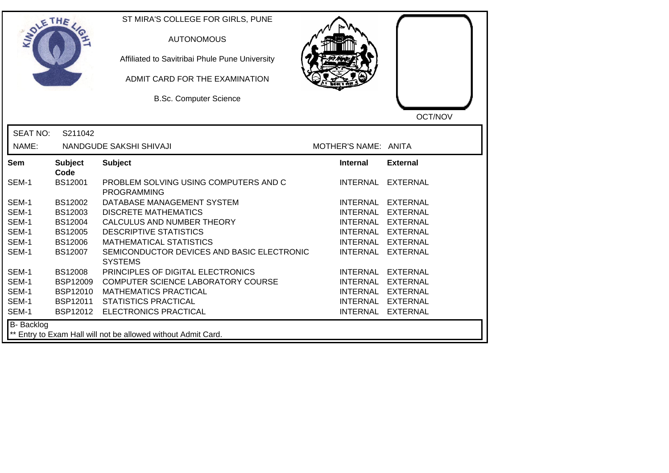| OLETHE           |                        | ST MIRA'S COLLEGE FOR GIRLS, PUNE<br><b>AUTONOMOUS</b><br>Affiliated to Savitribai Phule Pune University<br>ADMIT CARD FOR THE EXAMINATION<br><b>B.Sc. Computer Science</b> |                      | OCT/NOV           |
|------------------|------------------------|-----------------------------------------------------------------------------------------------------------------------------------------------------------------------------|----------------------|-------------------|
| <b>SEAT NO:</b>  | S211042                |                                                                                                                                                                             |                      |                   |
| NAME:            |                        | NANDGUDE SAKSHI SHIVAJI                                                                                                                                                     | MOTHER'S NAME: ANITA |                   |
| Sem              | <b>Subject</b><br>Code | <b>Subject</b>                                                                                                                                                              | <b>Internal</b>      | <b>External</b>   |
| SEM-1            | <b>BS12001</b>         | PROBLEM SOLVING USING COMPUTERS AND C<br><b>PROGRAMMING</b>                                                                                                                 | <b>INTERNAL</b>      | EXTERNAL          |
| SEM-1            | BS12002                | DATABASE MANAGEMENT SYSTEM                                                                                                                                                  |                      | INTERNAL EXTERNAL |
| SEM-1            | BS12003                | <b>DISCRETE MATHEMATICS</b>                                                                                                                                                 | <b>INTERNAL</b>      | EXTERNAL          |
| SEM-1            | <b>BS12004</b>         | CALCULUS AND NUMBER THEORY                                                                                                                                                  |                      | INTERNAL EXTERNAL |
| SEM-1            | <b>BS12005</b>         | <b>DESCRIPTIVE STATISTICS</b>                                                                                                                                               |                      | INTERNAL EXTERNAL |
| SEM-1            | <b>BS12006</b>         | <b>MATHEMATICAL STATISTICS</b>                                                                                                                                              |                      | INTERNAL EXTERNAL |
| SEM-1            | BS12007                | SEMICONDUCTOR DEVICES AND BASIC ELECTRONIC<br><b>SYSTEMS</b>                                                                                                                |                      | INTERNAL EXTERNAL |
| SEM-1            | <b>BS12008</b>         | PRINCIPLES OF DIGITAL ELECTRONICS                                                                                                                                           |                      | INTERNAL EXTERNAL |
| SEM-1            | <b>BSP12009</b>        | COMPUTER SCIENCE LABORATORY COURSE                                                                                                                                          |                      | INTERNAL EXTERNAL |
| SEM-1            | <b>BSP12010</b>        | <b>MATHEMATICS PRACTICAL</b>                                                                                                                                                |                      | INTERNAL EXTERNAL |
| SEM-1            | BSP12011               | <b>STATISTICS PRACTICAL</b>                                                                                                                                                 |                      | INTERNAL EXTERNAL |
| SEM-1            | BSP12012               | <b>ELECTRONICS PRACTICAL</b>                                                                                                                                                |                      | INTERNAL EXTERNAL |
| B- Backlog<br>** |                        | Entry to Exam Hall will not be allowed without Admit Card.                                                                                                                  |                      |                   |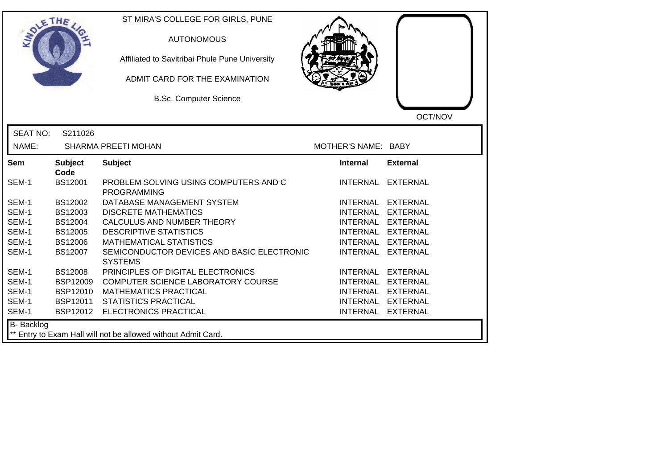| SOLETHE .         |                        | ST MIRA'S COLLEGE FOR GIRLS, PUNE<br><b>AUTONOMOUS</b><br>Affiliated to Savitribai Phule Pune University<br>ADMIT CARD FOR THE EXAMINATION<br><b>B.Sc. Computer Science</b> |                     | OCT/NOV           |
|-------------------|------------------------|-----------------------------------------------------------------------------------------------------------------------------------------------------------------------------|---------------------|-------------------|
| <b>SEAT NO:</b>   | S211026                |                                                                                                                                                                             |                     |                   |
| NAME:             |                        | SHARMA PREETI MOHAN                                                                                                                                                         | MOTHER'S NAME: BABY |                   |
| Sem               | <b>Subject</b><br>Code | <b>Subject</b>                                                                                                                                                              | <b>Internal</b>     | <b>External</b>   |
| SEM-1             | <b>BS12001</b>         | PROBLEM SOLVING USING COMPUTERS AND C<br><b>PROGRAMMING</b>                                                                                                                 |                     | INTERNAL EXTERNAL |
| SEM-1             | BS12002                | DATABASE MANAGEMENT SYSTEM                                                                                                                                                  | INTERNAL EXTERNAL   |                   |
| SEM-1             | BS12003                | <b>DISCRETE MATHEMATICS</b>                                                                                                                                                 | INTERNAL EXTERNAL   |                   |
| SEM-1             | BS12004                | CALCULUS AND NUMBER THEORY                                                                                                                                                  | INTERNAL EXTERNAL   |                   |
| SEM-1             | <b>BS12005</b>         | <b>DESCRIPTIVE STATISTICS</b>                                                                                                                                               | INTERNAL EXTERNAL   |                   |
| SEM-1             | <b>BS12006</b>         | <b>MATHEMATICAL STATISTICS</b>                                                                                                                                              | <b>INTERNAL</b>     | <b>EXTERNAL</b>   |
| SEM-1             | BS12007                | SEMICONDUCTOR DEVICES AND BASIC ELECTRONIC<br><b>SYSTEMS</b>                                                                                                                | <b>INTERNAL</b>     | <b>EXTERNAL</b>   |
| SEM-1             | <b>BS12008</b>         | PRINCIPLES OF DIGITAL ELECTRONICS                                                                                                                                           | INTERNAL EXTERNAL   |                   |
| SEM-1             | <b>BSP12009</b>        | COMPUTER SCIENCE LABORATORY COURSE                                                                                                                                          | INTERNAL EXTERNAL   |                   |
| SEM-1             | <b>BSP12010</b>        | <b>MATHEMATICS PRACTICAL</b>                                                                                                                                                | INTERNAL EXTERNAL   |                   |
| SEM-1             | <b>BSP12011</b>        | <b>STATISTICS PRACTICAL</b>                                                                                                                                                 |                     | INTERNAL EXTERNAL |
| SEM-1             | BSP12012               | <b>ELECTRONICS PRACTICAL</b>                                                                                                                                                |                     | INTERNAL EXTERNAL |
| <b>B-</b> Backlog |                        | ** Entry to Exam Hall will not be allowed without Admit Card.                                                                                                               |                     |                   |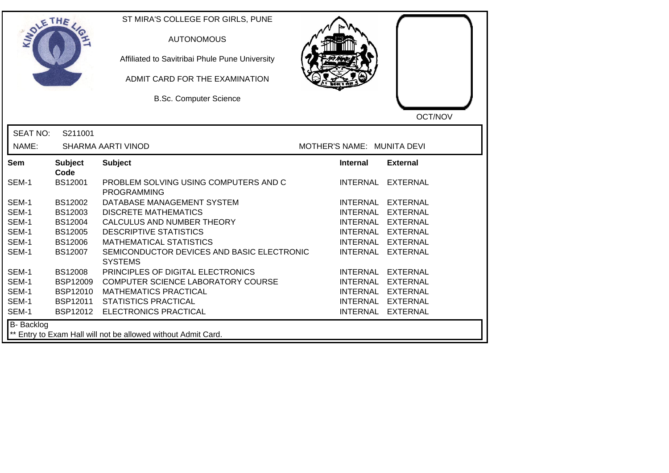| SOLE THE          |                        | ST MIRA'S COLLEGE FOR GIRLS, PUNE<br><b>AUTONOMOUS</b><br>Affiliated to Savitribai Phule Pune University<br>ADMIT CARD FOR THE EXAMINATION<br><b>B.Sc. Computer Science</b> |                            | OCT/NOV           |
|-------------------|------------------------|-----------------------------------------------------------------------------------------------------------------------------------------------------------------------------|----------------------------|-------------------|
| <b>SEAT NO:</b>   | S211001                |                                                                                                                                                                             |                            |                   |
| NAME:             |                        | <b>SHARMA AARTI VINOD</b>                                                                                                                                                   | MOTHER'S NAME: MUNITA DEVI |                   |
| Sem               | <b>Subject</b><br>Code | <b>Subject</b>                                                                                                                                                              | <b>Internal</b>            | <b>External</b>   |
| SEM-1             | <b>BS12001</b>         | PROBLEM SOLVING USING COMPUTERS AND C<br><b>PROGRAMMING</b>                                                                                                                 |                            | INTERNAL EXTERNAL |
| SEM-1             | BS12002                | DATABASE MANAGEMENT SYSTEM                                                                                                                                                  |                            | INTERNAL EXTERNAL |
| SEM-1             | BS12003                | <b>DISCRETE MATHEMATICS</b>                                                                                                                                                 |                            | INTERNAL EXTERNAL |
| SEM-1             | BS12004                | CALCULUS AND NUMBER THEORY                                                                                                                                                  |                            | INTERNAL EXTERNAL |
| SEM-1             | <b>BS12005</b>         | <b>DESCRIPTIVE STATISTICS</b>                                                                                                                                               |                            | INTERNAL EXTERNAL |
| SEM-1             | <b>BS12006</b>         | <b>MATHEMATICAL STATISTICS</b>                                                                                                                                              |                            | INTERNAL EXTERNAL |
| SEM-1             | BS12007                | SEMICONDUCTOR DEVICES AND BASIC ELECTRONIC<br><b>SYSTEMS</b>                                                                                                                |                            | INTERNAL EXTERNAL |
| SEM-1             | <b>BS12008</b>         | PRINCIPLES OF DIGITAL ELECTRONICS                                                                                                                                           |                            | INTERNAL EXTERNAL |
| SEM-1             | <b>BSP12009</b>        | COMPUTER SCIENCE LABORATORY COURSE                                                                                                                                          |                            | INTERNAL EXTERNAL |
| SEM-1             | <b>BSP12010</b>        | <b>MATHEMATICS PRACTICAL</b>                                                                                                                                                |                            | INTERNAL EXTERNAL |
| SEM-1             | BSP12011               | <b>STATISTICS PRACTICAL</b>                                                                                                                                                 |                            | INTERNAL EXTERNAL |
| SEM-1             |                        | BSP12012 ELECTRONICS PRACTICAL                                                                                                                                              |                            | INTERNAL EXTERNAL |
| <b>B-</b> Backlog |                        | ** Entry to Exam Hall will not be allowed without Admit Card.                                                                                                               |                            |                   |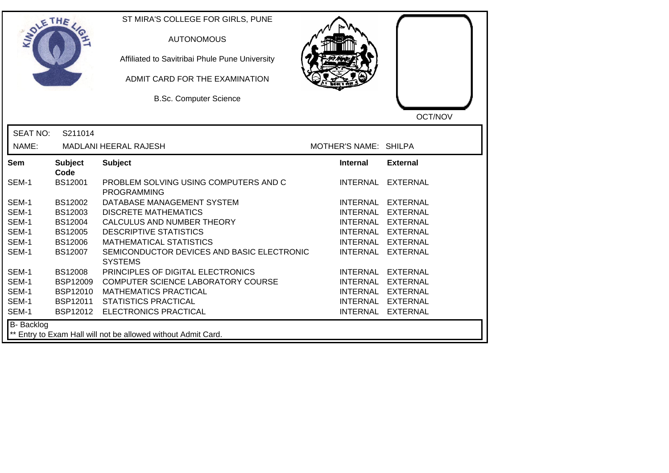| OLETHE          |                        | ST MIRA'S COLLEGE FOR GIRLS, PUNE<br><b>AUTONOMOUS</b><br>Affiliated to Savitribai Phule Pune University<br>ADMIT CARD FOR THE EXAMINATION<br><b>B.Sc. Computer Science</b> |                       |                   |
|-----------------|------------------------|-----------------------------------------------------------------------------------------------------------------------------------------------------------------------------|-----------------------|-------------------|
| <b>SEAT NO:</b> | S211014                |                                                                                                                                                                             |                       | OCT/NOV           |
| NAME:           |                        | <b>MADLANI HEERAL RAJESH</b>                                                                                                                                                | MOTHER'S NAME: SHILPA |                   |
| Sem             | <b>Subject</b><br>Code | <b>Subject</b>                                                                                                                                                              | <b>Internal</b>       | <b>External</b>   |
| SEM-1           | <b>BS12001</b>         | PROBLEM SOLVING USING COMPUTERS AND C<br><b>PROGRAMMING</b>                                                                                                                 | <b>INTERNAL</b>       | <b>EXTERNAL</b>   |
| SEM-1           | BS12002                | DATABASE MANAGEMENT SYSTEM                                                                                                                                                  | INTERNAL              | <b>EXTERNAL</b>   |
| SEM-1           | BS12003                | <b>DISCRETE MATHEMATICS</b>                                                                                                                                                 | <b>INTERNAL</b>       | <b>EXTERNAL</b>   |
| SEM-1           | BS12004                | CALCULUS AND NUMBER THEORY                                                                                                                                                  |                       | INTERNAL EXTERNAL |
| SEM-1           | <b>BS12005</b>         | <b>DESCRIPTIVE STATISTICS</b>                                                                                                                                               |                       | INTERNAL EXTERNAL |
| SEM-1           | <b>BS12006</b>         | <b>MATHEMATICAL STATISTICS</b>                                                                                                                                              | <b>INTERNAL</b>       | <b>EXTERNAL</b>   |
| SEM-1           | BS12007                | SEMICONDUCTOR DEVICES AND BASIC ELECTRONIC<br><b>SYSTEMS</b>                                                                                                                | <b>INTERNAL</b>       | <b>EXTERNAL</b>   |
| SEM-1           | <b>BS12008</b>         | PRINCIPLES OF DIGITAL ELECTRONICS                                                                                                                                           | <b>INTERNAL</b>       | <b>EXTERNAL</b>   |
| SEM-1           | <b>BSP12009</b>        | COMPUTER SCIENCE LABORATORY COURSE                                                                                                                                          | <b>INTERNAL</b>       | <b>EXTERNAL</b>   |
| SEM-1           | BSP12010               | <b>MATHEMATICS PRACTICAL</b>                                                                                                                                                | <b>INTERNAL</b>       | <b>EXTERNAL</b>   |
| SEM-1           | BSP12011               | <b>STATISTICS PRACTICAL</b>                                                                                                                                                 | <b>INTERNAL</b>       | <b>EXTERNAL</b>   |
| SEM-1           |                        | BSP12012 ELECTRONICS PRACTICAL                                                                                                                                              | <b>INTERNAL</b>       | <b>EXTERNAL</b>   |
| B- Backlog      |                        | ** Entry to Exam Hall will not be allowed without Admit Card.                                                                                                               |                       |                   |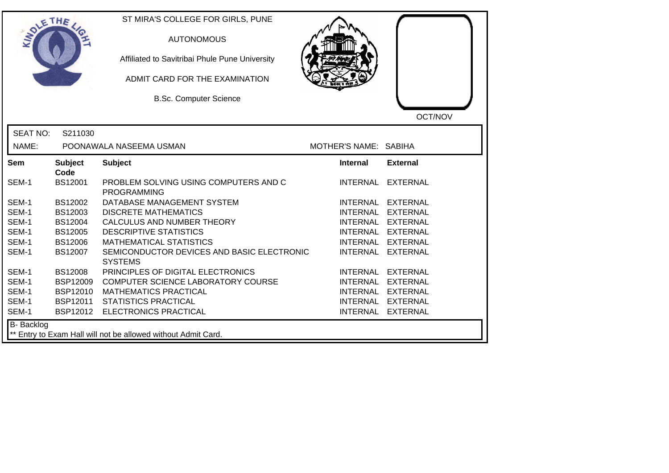| SOLETHE .         |                        | ST MIRA'S COLLEGE FOR GIRLS, PUNE<br><b>AUTONOMOUS</b><br>Affiliated to Savitribai Phule Pune University<br>ADMIT CARD FOR THE EXAMINATION<br><b>B.Sc. Computer Science</b> |                       | OCT/NOV           |
|-------------------|------------------------|-----------------------------------------------------------------------------------------------------------------------------------------------------------------------------|-----------------------|-------------------|
| <b>SEAT NO:</b>   | S211030                |                                                                                                                                                                             |                       |                   |
| NAME:             |                        | POONAWALA NASEEMA USMAN                                                                                                                                                     | MOTHER'S NAME: SABIHA |                   |
| <b>Sem</b>        | <b>Subject</b><br>Code | <b>Subject</b>                                                                                                                                                              | <b>Internal</b>       | <b>External</b>   |
| SEM-1             | BS12001                | PROBLEM SOLVING USING COMPUTERS AND C<br><b>PROGRAMMING</b>                                                                                                                 | <b>INTERNAL</b>       | <b>EXTERNAL</b>   |
| SEM-1             | BS12002                | DATABASE MANAGEMENT SYSTEM                                                                                                                                                  |                       | INTERNAL EXTERNAL |
| SEM-1             | BS12003                | <b>DISCRETE MATHEMATICS</b>                                                                                                                                                 |                       | INTERNAL EXTERNAL |
| SEM-1             | BS12004                | CALCULUS AND NUMBER THEORY                                                                                                                                                  |                       | INTERNAL EXTERNAL |
| SEM-1             | <b>BS12005</b>         | <b>DESCRIPTIVE STATISTICS</b>                                                                                                                                               |                       | INTERNAL EXTERNAL |
| SEM-1             | <b>BS12006</b>         | <b>MATHEMATICAL STATISTICS</b>                                                                                                                                              |                       | INTERNAL EXTERNAL |
| SEM-1             | BS12007                | SEMICONDUCTOR DEVICES AND BASIC ELECTRONIC<br><b>SYSTEMS</b>                                                                                                                | <b>INTERNAL</b>       | <b>EXTERNAL</b>   |
| SEM-1             | <b>BS12008</b>         | PRINCIPLES OF DIGITAL ELECTRONICS                                                                                                                                           | <b>INTERNAL</b>       | <b>EXTERNAL</b>   |
| SEM-1             | <b>BSP12009</b>        | COMPUTER SCIENCE LABORATORY COURSE                                                                                                                                          |                       | INTERNAL EXTERNAL |
| SEM-1             | <b>BSP12010</b>        | <b>MATHEMATICS PRACTICAL</b>                                                                                                                                                |                       | INTERNAL EXTERNAL |
| SEM-1             | BSP12011               | <b>STATISTICS PRACTICAL</b>                                                                                                                                                 |                       | INTERNAL EXTERNAL |
| SEM-1             | BSP12012               | ELECTRONICS PRACTICAL                                                                                                                                                       |                       | INTERNAL EXTERNAL |
| <b>B-</b> Backlog |                        | ** Entry to Exam Hall will not be allowed without Admit Card.                                                                                                               |                       |                   |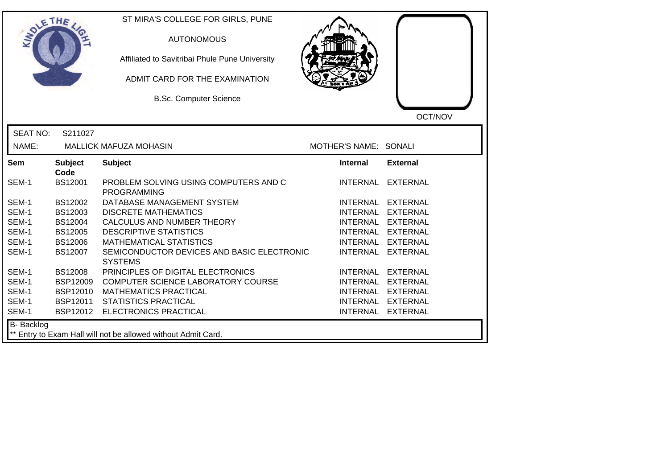| SOLE THE        |                                                               | ST MIRA'S COLLEGE FOR GIRLS, PUNE<br><b>AUTONOMOUS</b><br>Affiliated to Savitribai Phule Pune University<br>ADMIT CARD FOR THE EXAMINATION<br><b>B.Sc. Computer Science</b> |                       | OCT/NOV           |  |
|-----------------|---------------------------------------------------------------|-----------------------------------------------------------------------------------------------------------------------------------------------------------------------------|-----------------------|-------------------|--|
| <b>SEAT NO:</b> | S211027                                                       |                                                                                                                                                                             |                       |                   |  |
| NAME:           |                                                               | <b>MALLICK MAFUZA MOHASIN</b>                                                                                                                                               | MOTHER'S NAME: SONALI |                   |  |
| Sem             | <b>Subject</b><br>Code                                        | <b>Subject</b>                                                                                                                                                              | Internal              | <b>External</b>   |  |
| SEM-1           | <b>BS12001</b>                                                | PROBLEM SOLVING USING COMPUTERS AND C<br><b>PROGRAMMING</b>                                                                                                                 | <b>INTERNAL</b>       | <b>EXTERNAL</b>   |  |
| SEM-1           | BS12002                                                       | DATABASE MANAGEMENT SYSTEM                                                                                                                                                  |                       | INTERNAL EXTERNAL |  |
| SEM-1           | BS12003                                                       | <b>DISCRETE MATHEMATICS</b>                                                                                                                                                 |                       | INTERNAL EXTERNAL |  |
| SEM-1           | <b>BS12004</b>                                                | CALCULUS AND NUMBER THEORY                                                                                                                                                  |                       | INTERNAL EXTERNAL |  |
| SEM-1           | <b>BS12005</b>                                                | <b>DESCRIPTIVE STATISTICS</b>                                                                                                                                               |                       | INTERNAL EXTERNAL |  |
| SEM-1           | <b>BS12006</b>                                                | <b>MATHEMATICAL STATISTICS</b>                                                                                                                                              |                       | INTERNAL EXTERNAL |  |
| SEM-1           | BS12007                                                       | SEMICONDUCTOR DEVICES AND BASIC ELECTRONIC<br><b>SYSTEMS</b>                                                                                                                | <b>INTERNAL</b>       | <b>EXTERNAL</b>   |  |
| SEM-1           | <b>BS12008</b>                                                | PRINCIPLES OF DIGITAL ELECTRONICS                                                                                                                                           |                       | INTERNAL EXTERNAL |  |
| SEM-1           | <b>BSP12009</b>                                               | COMPUTER SCIENCE LABORATORY COURSE                                                                                                                                          |                       | INTERNAL EXTERNAL |  |
| SEM-1           | <b>BSP12010</b>                                               | <b>MATHEMATICS PRACTICAL</b>                                                                                                                                                |                       | INTERNAL EXTERNAL |  |
| SEM-1           | BSP12011                                                      | <b>STATISTICS PRACTICAL</b>                                                                                                                                                 |                       | INTERNAL EXTERNAL |  |
| SEM-1           | BSP12012                                                      | ELECTRONICS PRACTICAL                                                                                                                                                       |                       | INTERNAL EXTERNAL |  |
| B- Backlog      | ** Entry to Exam Hall will not be allowed without Admit Card. |                                                                                                                                                                             |                       |                   |  |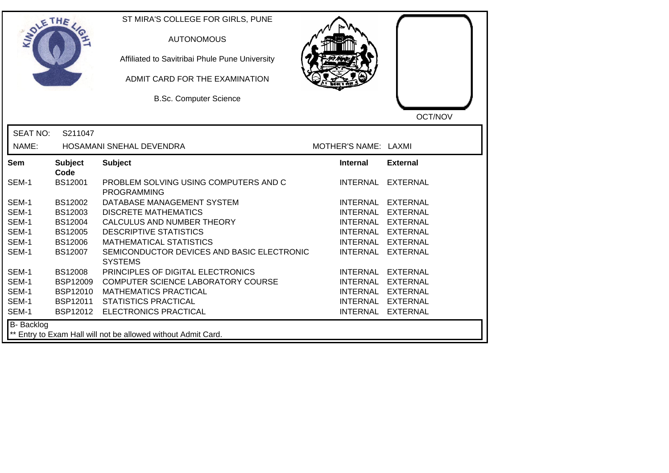| OLETHE          |                        | ST MIRA'S COLLEGE FOR GIRLS, PUNE<br><b>AUTONOMOUS</b><br>Affiliated to Savitribai Phule Pune University<br>ADMIT CARD FOR THE EXAMINATION<br><b>B.Sc. Computer Science</b> |                      | OCT/NOV         |
|-----------------|------------------------|-----------------------------------------------------------------------------------------------------------------------------------------------------------------------------|----------------------|-----------------|
| <b>SEAT NO:</b> | S211047                |                                                                                                                                                                             |                      |                 |
| NAME:           |                        | HOSAMANI SNEHAL DEVENDRA                                                                                                                                                    | MOTHER'S NAME: LAXMI |                 |
| Sem             | <b>Subject</b><br>Code | <b>Subject</b>                                                                                                                                                              | <b>Internal</b>      | <b>External</b> |
| SEM-1           | <b>BS12001</b>         | PROBLEM SOLVING USING COMPUTERS AND C<br><b>PROGRAMMING</b>                                                                                                                 | <b>INTERNAL</b>      | EXTERNAL        |
| SEM-1           | BS12002                | DATABASE MANAGEMENT SYSTEM                                                                                                                                                  | <b>INTERNAL</b>      | EXTERNAL        |
| SEM-1           | BS12003                | <b>DISCRETE MATHEMATICS</b>                                                                                                                                                 | <b>INTERNAL</b>      | <b>EXTERNAL</b> |
| SEM-1           | <b>BS12004</b>         | CALCULUS AND NUMBER THEORY                                                                                                                                                  | <b>INTERNAL</b>      | <b>EXTERNAL</b> |
| SEM-1           | <b>BS12005</b>         | <b>DESCRIPTIVE STATISTICS</b>                                                                                                                                               | <b>INTERNAL</b>      | <b>EXTERNAL</b> |
| SEM-1           | <b>BS12006</b>         | <b>MATHEMATICAL STATISTICS</b>                                                                                                                                              | <b>INTERNAL</b>      | <b>EXTERNAL</b> |
| SEM-1           | <b>BS12007</b>         | SEMICONDUCTOR DEVICES AND BASIC ELECTRONIC<br><b>SYSTEMS</b>                                                                                                                | <b>INTERNAL</b>      | <b>EXTERNAL</b> |
| SEM-1           | <b>BS12008</b>         | PRINCIPLES OF DIGITAL ELECTRONICS                                                                                                                                           | <b>INTERNAL</b>      | <b>EXTERNAL</b> |
| SEM-1           | <b>BSP12009</b>        | COMPUTER SCIENCE LABORATORY COURSE                                                                                                                                          | <b>INTERNAL</b>      | <b>EXTERNAL</b> |
| SEM-1           | <b>BSP12010</b>        | <b>MATHEMATICS PRACTICAL</b>                                                                                                                                                | <b>INTERNAL</b>      | <b>EXTERNAL</b> |
| SEM-1           | BSP12011               | <b>STATISTICS PRACTICAL</b>                                                                                                                                                 | <b>INTERNAL</b>      | <b>EXTERNAL</b> |
| SEM-1           |                        | BSP12012 ELECTRONICS PRACTICAL                                                                                                                                              | <b>INTERNAL</b>      | <b>EXTERNAL</b> |
| B- Backlog      |                        | ** Entry to Exam Hall will not be allowed without Admit Card.                                                                                                               |                      |                 |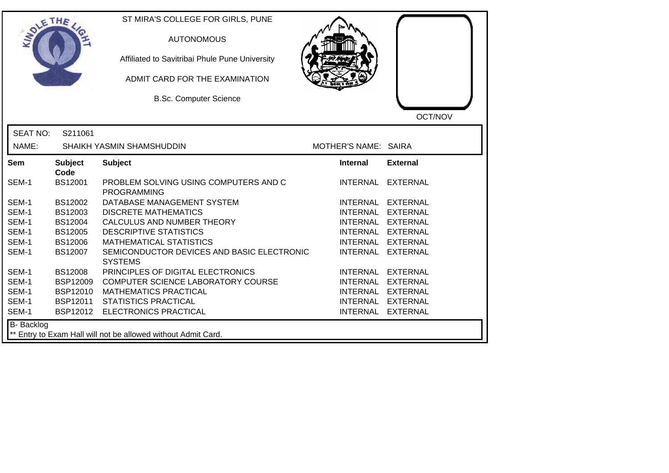| <b>SOLETHE</b>    |                        | ST MIRA'S COLLEGE FOR GIRLS, PUNE<br><b>AUTONOMOUS</b><br>Affiliated to Savitribai Phule Pune University<br>ADMIT CARD FOR THE EXAMINATION<br><b>B.Sc. Computer Science</b> |                      | OCT/NOV           |
|-------------------|------------------------|-----------------------------------------------------------------------------------------------------------------------------------------------------------------------------|----------------------|-------------------|
| <b>SEAT NO:</b>   | S211061                |                                                                                                                                                                             |                      |                   |
| NAME:             |                        | SHAIKH YASMIN SHAMSHUDDIN                                                                                                                                                   | MOTHER'S NAME: SAIRA |                   |
| Sem               | <b>Subject</b><br>Code | <b>Subject</b>                                                                                                                                                              | <b>Internal</b>      | <b>External</b>   |
| SEM-1             | <b>BS12001</b>         | PROBLEM SOLVING USING COMPUTERS AND C<br><b>PROGRAMMING</b>                                                                                                                 |                      | INTERNAL EXTERNAL |
| SEM-1             | BS12002                | DATABASE MANAGEMENT SYSTEM                                                                                                                                                  |                      | INTERNAL EXTERNAL |
| SEM-1             | BS12003                | <b>DISCRETE MATHEMATICS</b>                                                                                                                                                 |                      | INTERNAL EXTERNAL |
| SEM-1             | <b>BS12004</b>         | CALCULUS AND NUMBER THEORY                                                                                                                                                  |                      | INTERNAL EXTERNAL |
| SEM-1             | <b>BS12005</b>         | <b>DESCRIPTIVE STATISTICS</b>                                                                                                                                               |                      | INTERNAL EXTERNAL |
| SEM-1             | <b>BS12006</b>         | <b>MATHEMATICAL STATISTICS</b>                                                                                                                                              | <b>INTERNAL</b>      | <b>EXTERNAL</b>   |
| SEM-1             | <b>BS12007</b>         | SEMICONDUCTOR DEVICES AND BASIC ELECTRONIC<br><b>SYSTEMS</b>                                                                                                                | <b>INTERNAL</b>      | <b>EXTERNAL</b>   |
| SEM-1             | <b>BS12008</b>         | PRINCIPLES OF DIGITAL ELECTRONICS                                                                                                                                           |                      | INTERNAL EXTERNAL |
| SEM-1             | BSP12009               | COMPUTER SCIENCE LABORATORY COURSE                                                                                                                                          |                      | INTERNAL EXTERNAL |
| SEM-1             | BSP12010               | <b>MATHEMATICS PRACTICAL</b>                                                                                                                                                |                      | INTERNAL EXTERNAL |
| SEM-1             | <b>BSP12011</b>        | <b>STATISTICS PRACTICAL</b>                                                                                                                                                 |                      | INTERNAL EXTERNAL |
| SEM-1             | BSP12012               | <b>ELECTRONICS PRACTICAL</b>                                                                                                                                                |                      | INTERNAL EXTERNAL |
| <b>B-</b> Backlog |                        | ** Entry to Exam Hall will not be allowed without Admit Card.                                                                                                               |                      |                   |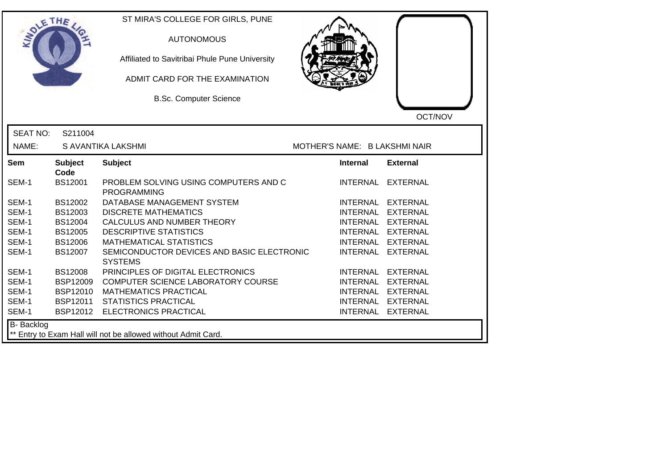| <b>SOLETHE</b>  |                        | ST MIRA'S COLLEGE FOR GIRLS, PUNE                             |                               |                   |
|-----------------|------------------------|---------------------------------------------------------------|-------------------------------|-------------------|
|                 |                        | <b>AUTONOMOUS</b>                                             |                               |                   |
|                 |                        | Affiliated to Savitribai Phule Pune University                |                               |                   |
|                 |                        | ADMIT CARD FOR THE EXAMINATION                                |                               |                   |
|                 |                        | <b>B.Sc. Computer Science</b>                                 |                               |                   |
|                 |                        |                                                               |                               | OCT/NOV           |
| <b>SEAT NO:</b> | S211004                |                                                               |                               |                   |
| NAME:           |                        | S AVANTIKA LAKSHMI                                            | MOTHER'S NAME: B LAKSHMI NAIR |                   |
| Sem             | <b>Subject</b><br>Code | <b>Subject</b>                                                | <b>Internal</b>               | <b>External</b>   |
| SEM-1           | BS12001                | PROBLEM SOLVING USING COMPUTERS AND C<br><b>PROGRAMMING</b>   | INTERNAL                      | <b>EXTERNAL</b>   |
| SEM-1           | BS12002                | DATABASE MANAGEMENT SYSTEM                                    |                               | INTERNAL EXTERNAL |
| SEM-1           | BS12003                | <b>DISCRETE MATHEMATICS</b>                                   | <b>INTERNAL</b>               | <b>EXTERNAL</b>   |
| SEM-1           | <b>BS12004</b>         | CALCULUS AND NUMBER THEORY                                    |                               | INTERNAL EXTERNAL |
| SEM-1           | <b>BS12005</b>         | <b>DESCRIPTIVE STATISTICS</b>                                 |                               | INTERNAL EXTERNAL |
| SEM-1           | <b>BS12006</b>         | <b>MATHEMATICAL STATISTICS</b>                                | <b>INTERNAL</b>               | <b>EXTERNAL</b>   |
| SEM-1           | <b>BS12007</b>         | SEMICONDUCTOR DEVICES AND BASIC ELECTRONIC<br><b>SYSTEMS</b>  | <b>INTERNAL</b>               | <b>EXTERNAL</b>   |
| SEM-1           | <b>BS12008</b>         | PRINCIPLES OF DIGITAL ELECTRONICS                             | <b>INTERNAL</b>               | <b>EXTERNAL</b>   |
| SEM-1           | <b>BSP12009</b>        | COMPUTER SCIENCE LABORATORY COURSE                            | <b>INTERNAL</b>               | <b>EXTERNAL</b>   |
| SEM-1           | BSP12010               | <b>MATHEMATICS PRACTICAL</b>                                  | INTERNAL                      | <b>EXTERNAL</b>   |
| SEM-1           | BSP12011               | <b>STATISTICS PRACTICAL</b>                                   | <b>INTERNAL</b>               | <b>EXTERNAL</b>   |
| SEM-1           |                        | BSP12012 ELECTRONICS PRACTICAL                                |                               | INTERNAL EXTERNAL |
| B- Backlog      |                        | ** Entry to Exam Hall will not be allowed without Admit Card. |                               |                   |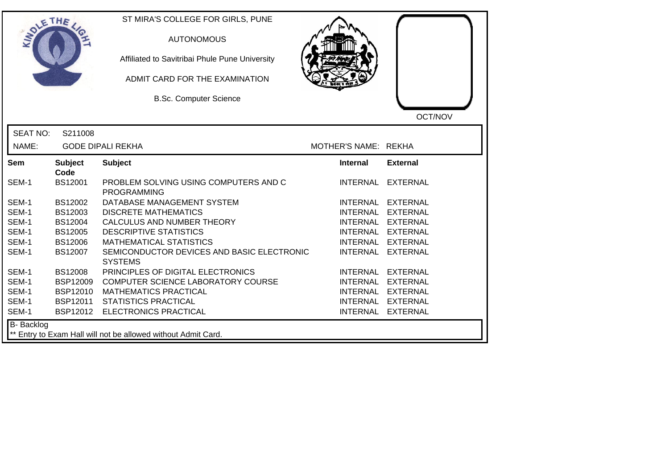| SOLE THE        |                        | ST MIRA'S COLLEGE FOR GIRLS, PUNE<br><b>AUTONOMOUS</b><br>Affiliated to Savitribai Phule Pune University<br>ADMIT CARD FOR THE EXAMINATION<br><b>B.Sc. Computer Science</b> |                      | OCT/NOV           |
|-----------------|------------------------|-----------------------------------------------------------------------------------------------------------------------------------------------------------------------------|----------------------|-------------------|
| <b>SEAT NO:</b> | S211008                |                                                                                                                                                                             |                      |                   |
| NAME:           |                        | <b>GODE DIPALI REKHA</b>                                                                                                                                                    | MOTHER'S NAME: REKHA |                   |
| Sem             | <b>Subject</b><br>Code | <b>Subject</b>                                                                                                                                                              | <b>Internal</b>      | <b>External</b>   |
| SEM-1           | <b>BS12001</b>         | PROBLEM SOLVING USING COMPUTERS AND C<br><b>PROGRAMMING</b>                                                                                                                 | INTERNAL             | <b>EXTERNAL</b>   |
| SEM-1           | BS12002                | DATABASE MANAGEMENT SYSTEM                                                                                                                                                  |                      | INTERNAL EXTERNAL |
| SEM-1           | BS12003                | <b>DISCRETE MATHEMATICS</b>                                                                                                                                                 |                      | INTERNAL EXTERNAL |
| SEM-1           | BS12004                | CALCULUS AND NUMBER THEORY                                                                                                                                                  |                      | INTERNAL EXTERNAL |
| SEM-1           | BS12005                | <b>DESCRIPTIVE STATISTICS</b>                                                                                                                                               |                      | INTERNAL EXTERNAL |
| SEM-1           | <b>BS12006</b>         | <b>MATHEMATICAL STATISTICS</b>                                                                                                                                              |                      | INTERNAL EXTERNAL |
| SEM-1           | BS12007                | SEMICONDUCTOR DEVICES AND BASIC ELECTRONIC<br><b>SYSTEMS</b>                                                                                                                |                      | INTERNAL EXTERNAL |
| SEM-1           | <b>BS12008</b>         | PRINCIPLES OF DIGITAL ELECTRONICS                                                                                                                                           |                      | INTERNAL EXTERNAL |
| SEM-1           | <b>BSP12009</b>        | COMPUTER SCIENCE LABORATORY COURSE                                                                                                                                          |                      | INTERNAL EXTERNAL |
| SEM-1           | <b>BSP12010</b>        | <b>MATHEMATICS PRACTICAL</b>                                                                                                                                                |                      | INTERNAL EXTERNAL |
| SEM-1           | BSP12011               | <b>STATISTICS PRACTICAL</b>                                                                                                                                                 |                      | INTERNAL EXTERNAL |
| SEM-1           | BSP12012               | <b>ELECTRONICS PRACTICAL</b>                                                                                                                                                |                      | INTERNAL EXTERNAL |
| B- Backlog      |                        | ** Entry to Exam Hall will not be allowed without Admit Card.                                                                                                               |                      |                   |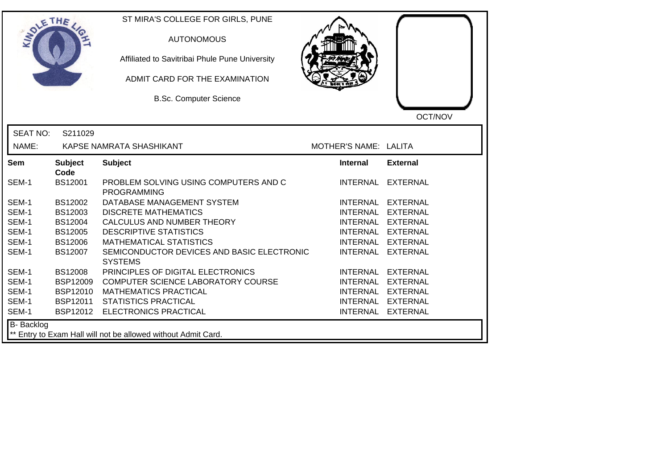| DLETHE          |                        | ST MIRA'S COLLEGE FOR GIRLS, PUNE<br><b>AUTONOMOUS</b><br>Affiliated to Savitribai Phule Pune University<br>ADMIT CARD FOR THE EXAMINATION<br><b>B.Sc. Computer Science</b> |                       | OCT/NOV           |
|-----------------|------------------------|-----------------------------------------------------------------------------------------------------------------------------------------------------------------------------|-----------------------|-------------------|
| <b>SEAT NO:</b> | S211029                |                                                                                                                                                                             |                       |                   |
| NAME:           |                        | KAPSE NAMRATA SHASHIKANT                                                                                                                                                    | MOTHER'S NAME: LALITA |                   |
| Sem             | <b>Subject</b><br>Code | <b>Subject</b>                                                                                                                                                              | <b>Internal</b>       | <b>External</b>   |
| SEM-1           | <b>BS12001</b>         | PROBLEM SOLVING USING COMPUTERS AND C<br><b>PROGRAMMING</b>                                                                                                                 |                       | INTERNAL EXTERNAL |
| SEM-1           | BS12002                | DATABASE MANAGEMENT SYSTEM                                                                                                                                                  |                       | INTERNAL EXTERNAL |
| SEM-1           | BS12003                | <b>DISCRETE MATHEMATICS</b>                                                                                                                                                 |                       | INTERNAL EXTERNAL |
| SEM-1           | BS12004                | CALCULUS AND NUMBER THEORY                                                                                                                                                  |                       | INTERNAL EXTERNAL |
| SEM-1           | BS12005                | <b>DESCRIPTIVE STATISTICS</b>                                                                                                                                               |                       | INTERNAL EXTERNAL |
| SEM-1           | <b>BS12006</b>         | <b>MATHEMATICAL STATISTICS</b>                                                                                                                                              |                       | INTERNAL EXTERNAL |
| SEM-1           | BS12007                | SEMICONDUCTOR DEVICES AND BASIC ELECTRONIC<br><b>SYSTEMS</b>                                                                                                                |                       | INTERNAL EXTERNAL |
| SEM-1           | <b>BS12008</b>         | PRINCIPLES OF DIGITAL ELECTRONICS                                                                                                                                           |                       | INTERNAL EXTERNAL |
| SEM-1           | <b>BSP12009</b>        | COMPUTER SCIENCE LABORATORY COURSE                                                                                                                                          |                       | INTERNAL EXTERNAL |
| SEM-1           | <b>BSP12010</b>        | <b>MATHEMATICS PRACTICAL</b>                                                                                                                                                |                       | INTERNAL EXTERNAL |
| SEM-1           | BSP12011               | <b>STATISTICS PRACTICAL</b>                                                                                                                                                 |                       | INTERNAL EXTERNAL |
| SEM-1           |                        | BSP12012 ELECTRONICS PRACTICAL                                                                                                                                              |                       | INTERNAL EXTERNAL |
| B- Backlog      |                        | ** Entry to Exam Hall will not be allowed without Admit Card.                                                                                                               |                       |                   |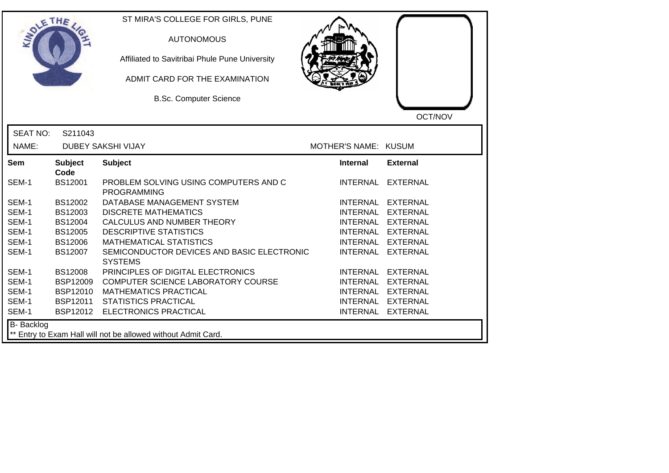| SOLETHE .       |                        | ST MIRA'S COLLEGE FOR GIRLS, PUNE<br><b>AUTONOMOUS</b><br>Affiliated to Savitribai Phule Pune University<br>ADMIT CARD FOR THE EXAMINATION<br><b>B.Sc. Computer Science</b> |                      |                   |
|-----------------|------------------------|-----------------------------------------------------------------------------------------------------------------------------------------------------------------------------|----------------------|-------------------|
|                 |                        |                                                                                                                                                                             |                      | OCT/NOV           |
| <b>SEAT NO:</b> | S211043                |                                                                                                                                                                             |                      |                   |
| NAME:           |                        | <b>DUBEY SAKSHI VIJAY</b>                                                                                                                                                   | MOTHER'S NAME: KUSUM |                   |
| <b>Sem</b>      | <b>Subject</b><br>Code | <b>Subject</b>                                                                                                                                                              | <b>Internal</b>      | <b>External</b>   |
| SEM-1           | <b>BS12001</b>         | PROBLEM SOLVING USING COMPUTERS AND C<br><b>PROGRAMMING</b>                                                                                                                 | INTERNAL             | EXTERNAL          |
| SEM-1           | BS12002                | DATABASE MANAGEMENT SYSTEM                                                                                                                                                  | <b>INTERNAL</b>      | <b>EXTERNAL</b>   |
| SEM-1           | BS12003                | <b>DISCRETE MATHEMATICS</b>                                                                                                                                                 | <b>INTERNAL</b>      | <b>EXTERNAL</b>   |
| SEM-1           | BS12004                | CALCULUS AND NUMBER THEORY                                                                                                                                                  |                      | INTERNAL EXTERNAL |
| SEM-1           | <b>BS12005</b>         | <b>DESCRIPTIVE STATISTICS</b>                                                                                                                                               |                      | INTERNAL EXTERNAL |
| SEM-1           | <b>BS12006</b>         | <b>MATHEMATICAL STATISTICS</b>                                                                                                                                              | <b>INTERNAL</b>      | <b>EXTERNAL</b>   |
| SEM-1           | BS12007                | SEMICONDUCTOR DEVICES AND BASIC ELECTRONIC<br><b>SYSTEMS</b>                                                                                                                | <b>INTERNAL</b>      | <b>EXTERNAL</b>   |
| SEM-1           | <b>BS12008</b>         | PRINCIPLES OF DIGITAL ELECTRONICS                                                                                                                                           | <b>INTERNAL</b>      | <b>EXTERNAL</b>   |
| SEM-1           | <b>BSP12009</b>        | COMPUTER SCIENCE LABORATORY COURSE                                                                                                                                          | <b>INTERNAL</b>      | <b>EXTERNAL</b>   |
| SEM-1           | <b>BSP12010</b>        | <b>MATHEMATICS PRACTICAL</b>                                                                                                                                                | <b>INTERNAL</b>      | <b>EXTERNAL</b>   |
| SEM-1           | BSP12011               | <b>STATISTICS PRACTICAL</b>                                                                                                                                                 | <b>INTERNAL</b>      | <b>EXTERNAL</b>   |
| SEM-1           |                        | BSP12012 ELECTRONICS PRACTICAL                                                                                                                                              |                      | INTERNAL EXTERNAL |
| B- Backlog      |                        | ** Entry to Exam Hall will not be allowed without Admit Card.                                                                                                               |                      |                   |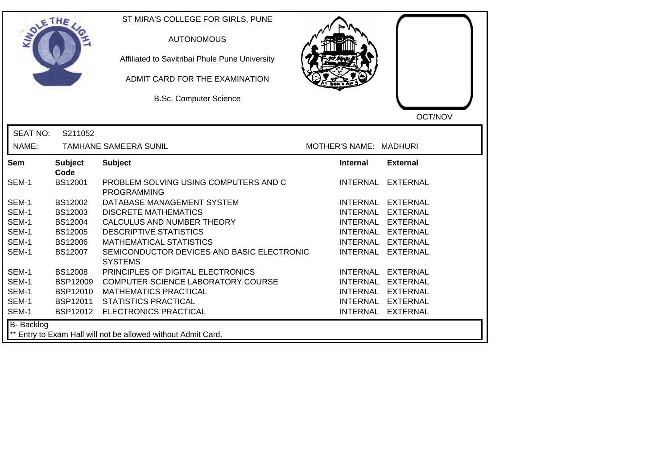| OLETHE           |                        | ST MIRA'S COLLEGE FOR GIRLS, PUNE<br><b>AUTONOMOUS</b><br>Affiliated to Savitribai Phule Pune University<br>ADMIT CARD FOR THE EXAMINATION<br><b>B.Sc. Computer Science</b> |                        | OCT/NOV           |
|------------------|------------------------|-----------------------------------------------------------------------------------------------------------------------------------------------------------------------------|------------------------|-------------------|
| <b>SEAT NO:</b>  | S211052                |                                                                                                                                                                             |                        |                   |
| NAME:            |                        | <b>TAMHANE SAMEERA SUNIL</b>                                                                                                                                                | MOTHER'S NAME: MADHURI |                   |
| Sem              | <b>Subject</b><br>Code | <b>Subject</b>                                                                                                                                                              | <b>Internal</b>        | <b>External</b>   |
| SEM-1            | <b>BS12001</b>         | PROBLEM SOLVING USING COMPUTERS AND C<br><b>PROGRAMMING</b>                                                                                                                 |                        | INTERNAL EXTERNAL |
| SEM-1            | BS12002                | DATABASE MANAGEMENT SYSTEM                                                                                                                                                  |                        | INTERNAL EXTERNAL |
| SEM-1            | BS12003                | <b>DISCRETE MATHEMATICS</b>                                                                                                                                                 | <b>INTERNAL</b>        | <b>EXTERNAL</b>   |
| SEM-1            | BS12004                | CALCULUS AND NUMBER THEORY                                                                                                                                                  |                        | INTERNAL EXTERNAL |
| SEM-1            | <b>BS12005</b>         | <b>DESCRIPTIVE STATISTICS</b>                                                                                                                                               |                        | INTERNAL EXTERNAL |
| SEM-1            | <b>BS12006</b>         | <b>MATHEMATICAL STATISTICS</b>                                                                                                                                              |                        | INTERNAL EXTERNAL |
| SEM-1            | <b>BS12007</b>         | SEMICONDUCTOR DEVICES AND BASIC ELECTRONIC<br><b>SYSTEMS</b>                                                                                                                | <b>INTERNAL</b>        | <b>EXTERNAL</b>   |
| SEM-1            | <b>BS12008</b>         | PRINCIPLES OF DIGITAL ELECTRONICS                                                                                                                                           | <b>INTERNAL</b>        | EXTERNAL          |
| SEM-1            | <b>BSP12009</b>        | COMPUTER SCIENCE LABORATORY COURSE                                                                                                                                          |                        | INTERNAL EXTERNAL |
| SEM-1            | <b>BSP12010</b>        | <b>MATHEMATICS PRACTICAL</b>                                                                                                                                                |                        | INTERNAL EXTERNAL |
| SEM-1            | BSP12011               | <b>STATISTICS PRACTICAL</b>                                                                                                                                                 |                        | INTERNAL EXTERNAL |
| SEM-1            |                        | BSP12012 ELECTRONICS PRACTICAL                                                                                                                                              |                        | INTERNAL EXTERNAL |
| B- Backlog<br>** |                        | Entry to Exam Hall will not be allowed without Admit Card.                                                                                                                  |                        |                   |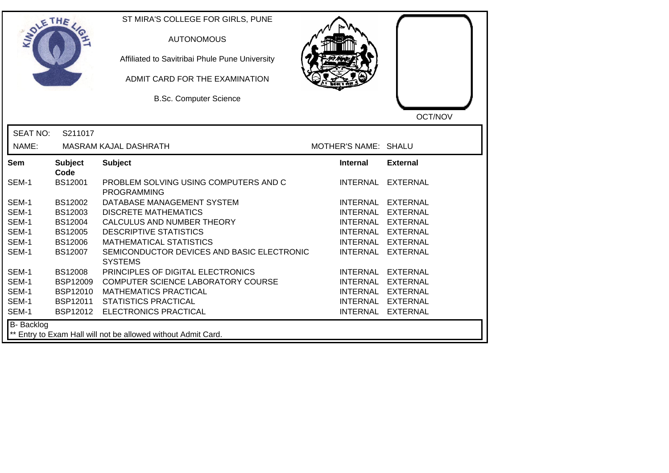|                     | ETHE                   | ST MIRA'S COLLEGE FOR GIRLS, PUNE<br><b>AUTONOMOUS</b><br>Affiliated to Savitribai Phule Pune University<br>ADMIT CARD FOR THE EXAMINATION<br><b>B.Sc. Computer Science</b> |                      | OCT/NOV           |
|---------------------|------------------------|-----------------------------------------------------------------------------------------------------------------------------------------------------------------------------|----------------------|-------------------|
| <b>SEAT NO:</b>     | S211017                |                                                                                                                                                                             |                      |                   |
| NAME:               |                        | MASRAM KAJAL DASHRATH                                                                                                                                                       | MOTHER'S NAME: SHALU |                   |
| <b>Sem</b>          | <b>Subject</b><br>Code | <b>Subject</b>                                                                                                                                                              | <b>Internal</b>      | <b>External</b>   |
| SEM-1               | <b>BS12001</b>         | PROBLEM SOLVING USING COMPUTERS AND C<br><b>PROGRAMMING</b>                                                                                                                 |                      | INTERNAL EXTERNAL |
| SEM-1               | BS12002                | DATABASE MANAGEMENT SYSTEM                                                                                                                                                  |                      | INTERNAL EXTERNAL |
| SEM-1               | BS12003                | <b>DISCRETE MATHEMATICS</b>                                                                                                                                                 |                      | INTERNAL EXTERNAL |
| SEM-1               | BS12004                | CALCULUS AND NUMBER THEORY                                                                                                                                                  |                      | INTERNAL EXTERNAL |
| SEM-1               | <b>BS12005</b>         | <b>DESCRIPTIVE STATISTICS</b>                                                                                                                                               |                      | INTERNAL EXTERNAL |
| SEM-1               | BS12006                | <b>MATHEMATICAL STATISTICS</b>                                                                                                                                              | <b>INTERNAL</b>      | <b>EXTERNAL</b>   |
| SEM-1               | <b>BS12007</b>         | SEMICONDUCTOR DEVICES AND BASIC ELECTRONIC<br><b>SYSTEMS</b>                                                                                                                |                      | INTERNAL EXTERNAL |
| SEM-1               | <b>BS12008</b>         | PRINCIPLES OF DIGITAL ELECTRONICS                                                                                                                                           | <b>INTERNAL</b>      | <b>EXTERNAL</b>   |
| SEM-1               | <b>BSP12009</b>        | COMPUTER SCIENCE LABORATORY COURSE                                                                                                                                          |                      | INTERNAL EXTERNAL |
| SEM-1               | <b>BSP12010</b>        | <b>MATHEMATICS PRACTICAL</b>                                                                                                                                                |                      | INTERNAL EXTERNAL |
| SEM-1               | <b>BSP12011</b>        | <b>STATISTICS PRACTICAL</b>                                                                                                                                                 |                      | INTERNAL EXTERNAL |
| SEM-1               |                        | BSP12012 ELECTRONICS PRACTICAL                                                                                                                                              |                      | INTERNAL EXTERNAL |
| B- Backlog<br>$***$ |                        | Entry to Exam Hall will not be allowed without Admit Card.                                                                                                                  |                      |                   |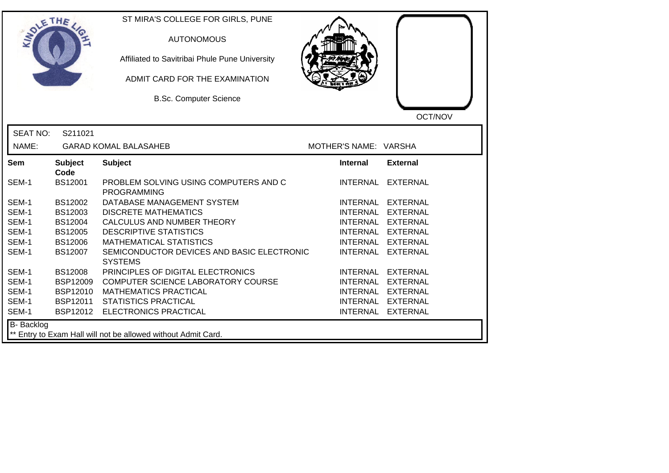| SOLE THE        |                        | ST MIRA'S COLLEGE FOR GIRLS, PUNE<br><b>AUTONOMOUS</b><br>Affiliated to Savitribai Phule Pune University<br>ADMIT CARD FOR THE EXAMINATION<br><b>B.Sc. Computer Science</b> |                       | OCT/NOV           |
|-----------------|------------------------|-----------------------------------------------------------------------------------------------------------------------------------------------------------------------------|-----------------------|-------------------|
| <b>SEAT NO:</b> | S211021                |                                                                                                                                                                             |                       |                   |
| NAME:           |                        | <b>GARAD KOMAL BALASAHEB</b>                                                                                                                                                | MOTHER'S NAME: VARSHA |                   |
| Sem             | <b>Subject</b>         | <b>Subject</b>                                                                                                                                                              | <b>Internal</b>       | <b>External</b>   |
| SEM-1           | Code<br><b>BS12001</b> | PROBLEM SOLVING USING COMPUTERS AND C<br><b>PROGRAMMING</b>                                                                                                                 | INTERNAL              | <b>EXTERNAL</b>   |
| SEM-1           | BS12002                | DATABASE MANAGEMENT SYSTEM                                                                                                                                                  | <b>INTERNAL</b>       | <b>EXTERNAL</b>   |
| SEM-1           | BS12003                | <b>DISCRETE MATHEMATICS</b>                                                                                                                                                 | <b>INTERNAL</b>       | <b>EXTERNAL</b>   |
| SEM-1           | BS12004                | CALCULUS AND NUMBER THEORY                                                                                                                                                  |                       | INTERNAL EXTERNAL |
| SEM-1           | <b>BS12005</b>         | <b>DESCRIPTIVE STATISTICS</b>                                                                                                                                               | <b>INTERNAL</b>       | <b>EXTERNAL</b>   |
| SEM-1           | <b>BS12006</b>         | <b>MATHEMATICAL STATISTICS</b>                                                                                                                                              | <b>INTERNAL</b>       | <b>EXTERNAL</b>   |
| SEM-1           | BS12007                | SEMICONDUCTOR DEVICES AND BASIC ELECTRONIC<br><b>SYSTEMS</b>                                                                                                                | <b>INTERNAL</b>       | <b>EXTERNAL</b>   |
| SEM-1           | <b>BS12008</b>         | PRINCIPLES OF DIGITAL ELECTRONICS                                                                                                                                           | <b>INTERNAL</b>       | <b>EXTERNAL</b>   |
| SEM-1           | BSP12009               | COMPUTER SCIENCE LABORATORY COURSE                                                                                                                                          | <b>INTERNAL</b>       | <b>EXTERNAL</b>   |
| SEM-1           | BSP12010               | <b>MATHEMATICS PRACTICAL</b>                                                                                                                                                | <b>INTERNAL</b>       | <b>EXTERNAL</b>   |
| SEM-1           | BSP12011               | <b>STATISTICS PRACTICAL</b>                                                                                                                                                 | <b>INTERNAL</b>       | <b>EXTERNAL</b>   |
| SEM-1           |                        | BSP12012 ELECTRONICS PRACTICAL                                                                                                                                              |                       | INTERNAL EXTERNAL |
| B- Backlog      |                        | ** Entry to Exam Hall will not be allowed without Admit Card.                                                                                                               |                       |                   |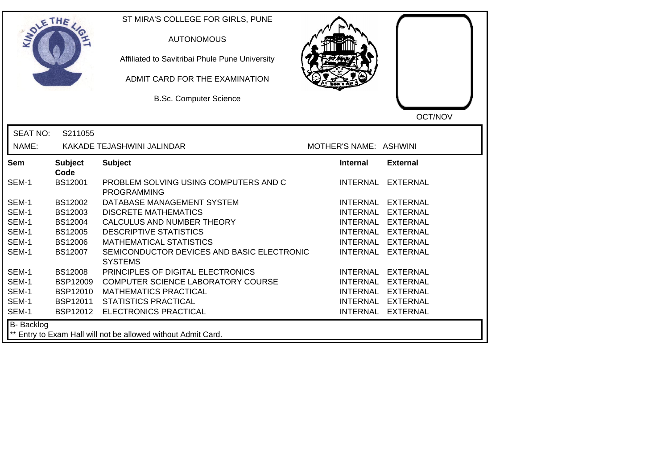| <b>SOLETHE</b>  |                        | ST MIRA'S COLLEGE FOR GIRLS, PUNE<br><b>AUTONOMOUS</b><br>Affiliated to Savitribai Phule Pune University<br>ADMIT CARD FOR THE EXAMINATION<br><b>B.Sc. Computer Science</b> |                        | OCT/NOV           |
|-----------------|------------------------|-----------------------------------------------------------------------------------------------------------------------------------------------------------------------------|------------------------|-------------------|
| <b>SEAT NO:</b> | S211055                |                                                                                                                                                                             |                        |                   |
| NAME:           |                        | KAKADE TEJASHWINI JALINDAR                                                                                                                                                  | MOTHER'S NAME: ASHWINI |                   |
| Sem             | <b>Subject</b><br>Code | <b>Subject</b>                                                                                                                                                              | Internal               | <b>External</b>   |
| SEM-1           | <b>BS12001</b>         | PROBLEM SOLVING USING COMPUTERS AND C<br><b>PROGRAMMING</b>                                                                                                                 | <b>INTERNAL</b>        | <b>EXTERNAL</b>   |
| SEM-1           | BS12002                | DATABASE MANAGEMENT SYSTEM                                                                                                                                                  |                        | INTERNAL EXTERNAL |
| SEM-1           | BS12003                | <b>DISCRETE MATHEMATICS</b>                                                                                                                                                 |                        | INTERNAL EXTERNAL |
| SEM-1           | <b>BS12004</b>         | CALCULUS AND NUMBER THEORY                                                                                                                                                  |                        | INTERNAL EXTERNAL |
| SEM-1           | <b>BS12005</b>         | <b>DESCRIPTIVE STATISTICS</b>                                                                                                                                               |                        | INTERNAL EXTERNAL |
| SEM-1           | <b>BS12006</b>         | <b>MATHEMATICAL STATISTICS</b>                                                                                                                                              |                        | INTERNAL EXTERNAL |
| SEM-1           | BS12007                | SEMICONDUCTOR DEVICES AND BASIC ELECTRONIC<br><b>SYSTEMS</b>                                                                                                                | <b>INTERNAL</b>        | <b>EXTERNAL</b>   |
| SEM-1           | <b>BS12008</b>         | PRINCIPLES OF DIGITAL ELECTRONICS                                                                                                                                           |                        | INTERNAL EXTERNAL |
| SEM-1           | <b>BSP12009</b>        | COMPUTER SCIENCE LABORATORY COURSE                                                                                                                                          |                        | INTERNAL EXTERNAL |
| SEM-1           | <b>BSP12010</b>        | <b>MATHEMATICS PRACTICAL</b>                                                                                                                                                |                        | INTERNAL EXTERNAL |
| SEM-1           | BSP12011               | <b>STATISTICS PRACTICAL</b>                                                                                                                                                 |                        | INTERNAL EXTERNAL |
| SEM-1           | BSP12012               | ELECTRONICS PRACTICAL                                                                                                                                                       |                        | INTERNAL EXTERNAL |
| B- Backlog      |                        | ** Entry to Exam Hall will not be allowed without Admit Card.                                                                                                               |                        |                   |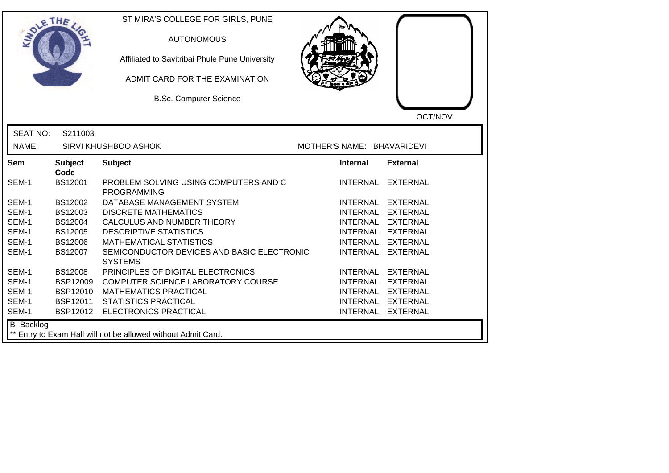|                 | ETHE                   | ST MIRA'S COLLEGE FOR GIRLS, PUNE<br><b>AUTONOMOUS</b><br>Affiliated to Savitribai Phule Pune University<br>ADMIT CARD FOR THE EXAMINATION<br><b>B.Sc. Computer Science</b> |                            | OCT/NOV           |
|-----------------|------------------------|-----------------------------------------------------------------------------------------------------------------------------------------------------------------------------|----------------------------|-------------------|
| <b>SEAT NO:</b> | S211003                |                                                                                                                                                                             |                            |                   |
| NAME:           |                        | <b>SIRVI KHUSHBOO ASHOK</b>                                                                                                                                                 | MOTHER'S NAME: BHAVARIDEVI |                   |
| Sem             | <b>Subject</b><br>Code | <b>Subject</b>                                                                                                                                                              | <b>Internal</b>            | <b>External</b>   |
| SEM-1           | <b>BS12001</b>         | PROBLEM SOLVING USING COMPUTERS AND C<br><b>PROGRAMMING</b>                                                                                                                 | <b>INTERNAL</b>            | <b>EXTERNAL</b>   |
| SEM-1           | <b>BS12002</b>         | DATABASE MANAGEMENT SYSTEM                                                                                                                                                  |                            | INTERNAL EXTERNAL |
| SEM-1           | BS12003                | <b>DISCRETE MATHEMATICS</b>                                                                                                                                                 |                            | INTERNAL EXTERNAL |
| SEM-1           | <b>BS12004</b>         | CALCULUS AND NUMBER THEORY                                                                                                                                                  |                            | INTERNAL EXTERNAL |
| SEM-1           | <b>BS12005</b>         | <b>DESCRIPTIVE STATISTICS</b>                                                                                                                                               |                            | INTERNAL EXTERNAL |
| SEM-1           | <b>BS12006</b>         | <b>MATHEMATICAL STATISTICS</b>                                                                                                                                              |                            | INTERNAL EXTERNAL |
| SEM-1           | <b>BS12007</b>         | SEMICONDUCTOR DEVICES AND BASIC ELECTRONIC<br><b>SYSTEMS</b>                                                                                                                | <b>INTERNAL</b>            | <b>EXTERNAL</b>   |
| SEM-1           | <b>BS12008</b>         | PRINCIPLES OF DIGITAL ELECTRONICS                                                                                                                                           | <b>INTERNAL</b>            | <b>EXTERNAL</b>   |
| SEM-1           | <b>BSP12009</b>        | COMPUTER SCIENCE LABORATORY COURSE                                                                                                                                          |                            | INTERNAL EXTERNAL |
| SEM-1           | <b>BSP12010</b>        | <b>MATHEMATICS PRACTICAL</b>                                                                                                                                                | <b>INTERNAL</b>            | <b>EXTERNAL</b>   |
| SEM-1           | BSP12011               | <b>STATISTICS PRACTICAL</b>                                                                                                                                                 |                            | INTERNAL EXTERNAL |
| SEM-1           | BSP12012               | <b>ELECTRONICS PRACTICAL</b>                                                                                                                                                |                            | INTERNAL EXTERNAL |
| B- Backlog      |                        | ** Entry to Exam Hall will not be allowed without Admit Card.                                                                                                               |                            |                   |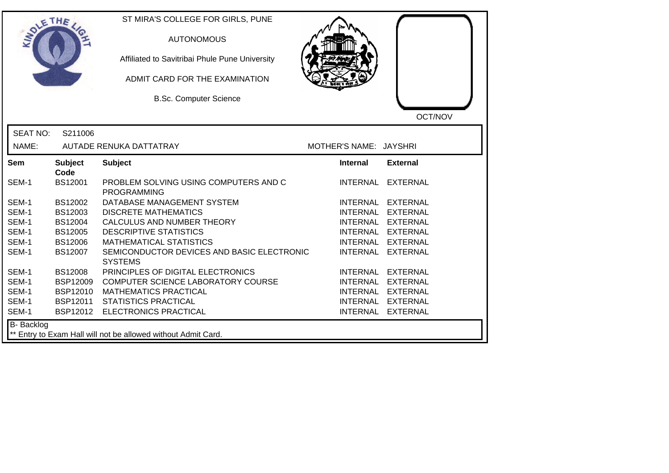| SOLETHE .         |                        | ST MIRA'S COLLEGE FOR GIRLS, PUNE<br><b>AUTONOMOUS</b><br>Affiliated to Savitribai Phule Pune University<br>ADMIT CARD FOR THE EXAMINATION<br><b>B.Sc. Computer Science</b> |                        | OCT/NOV           |
|-------------------|------------------------|-----------------------------------------------------------------------------------------------------------------------------------------------------------------------------|------------------------|-------------------|
| <b>SEAT NO:</b>   | S211006                |                                                                                                                                                                             |                        |                   |
| NAME:             |                        | AUTADE RENUKA DATTATRAY                                                                                                                                                     | MOTHER'S NAME: JAYSHRI |                   |
| Sem               | <b>Subject</b><br>Code | <b>Subject</b>                                                                                                                                                              | Internal               | <b>External</b>   |
| SEM-1             | BS12001                | PROBLEM SOLVING USING COMPUTERS AND C<br><b>PROGRAMMING</b>                                                                                                                 |                        | INTERNAL EXTERNAL |
| SEM-1             | BS12002                | DATABASE MANAGEMENT SYSTEM                                                                                                                                                  |                        | INTERNAL EXTERNAL |
| SEM-1             | BS12003                | <b>DISCRETE MATHEMATICS</b>                                                                                                                                                 |                        | INTERNAL EXTERNAL |
| SEM-1             | <b>BS12004</b>         | CALCULUS AND NUMBER THEORY                                                                                                                                                  |                        | INTERNAL EXTERNAL |
| SEM-1             | <b>BS12005</b>         | <b>DESCRIPTIVE STATISTICS</b>                                                                                                                                               |                        | INTERNAL EXTERNAL |
| SEM-1             | <b>BS12006</b>         | <b>MATHEMATICAL STATISTICS</b>                                                                                                                                              | INTERNAL               | <b>EXTERNAL</b>   |
| SEM-1             | <b>BS12007</b>         | SEMICONDUCTOR DEVICES AND BASIC ELECTRONIC<br><b>SYSTEMS</b>                                                                                                                | <b>INTERNAL</b>        | <b>EXTERNAL</b>   |
| SEM-1             | <b>BS12008</b>         | PRINCIPLES OF DIGITAL ELECTRONICS                                                                                                                                           |                        | INTERNAL EXTERNAL |
| SEM-1             | <b>BSP12009</b>        | COMPUTER SCIENCE LABORATORY COURSE                                                                                                                                          |                        | INTERNAL EXTERNAL |
| SEM-1             | <b>BSP12010</b>        | <b>MATHEMATICS PRACTICAL</b>                                                                                                                                                |                        | INTERNAL EXTERNAL |
| SEM-1             | <b>BSP12011</b>        | <b>STATISTICS PRACTICAL</b>                                                                                                                                                 |                        | INTERNAL EXTERNAL |
| SEM-1             | BSP12012               | ELECTRONICS PRACTICAL                                                                                                                                                       |                        | INTERNAL EXTERNAL |
| <b>B-</b> Backlog |                        | ** Entry to Exam Hall will not be allowed without Admit Card.                                                                                                               |                        |                   |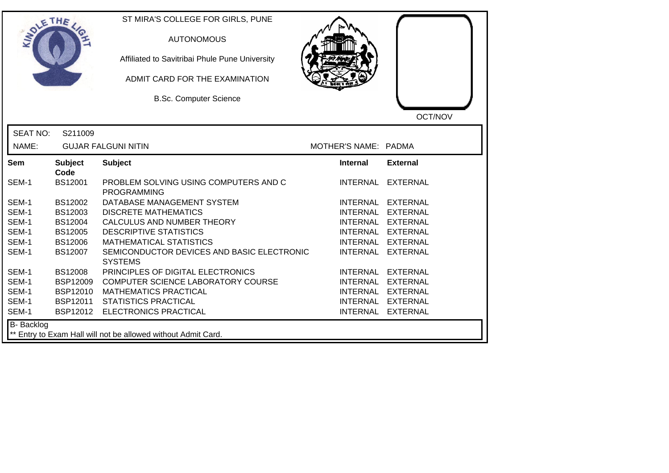| OLETHE          |                        | ST MIRA'S COLLEGE FOR GIRLS, PUNE<br><b>AUTONOMOUS</b><br>Affiliated to Savitribai Phule Pune University<br>ADMIT CARD FOR THE EXAMINATION<br><b>B.Sc. Computer Science</b> |                      | OCT/NOV           |
|-----------------|------------------------|-----------------------------------------------------------------------------------------------------------------------------------------------------------------------------|----------------------|-------------------|
| <b>SEAT NO:</b> | S211009                |                                                                                                                                                                             |                      |                   |
| NAME:           |                        | <b>GUJAR FALGUNI NITIN</b>                                                                                                                                                  | MOTHER'S NAME: PADMA |                   |
| <b>Sem</b>      | <b>Subject</b><br>Code | <b>Subject</b>                                                                                                                                                              | <b>Internal</b>      | <b>External</b>   |
| SEM-1           | <b>BS12001</b>         | PROBLEM SOLVING USING COMPUTERS AND C<br><b>PROGRAMMING</b>                                                                                                                 |                      | INTERNAL EXTERNAL |
| SEM-1           | BS12002                | DATABASE MANAGEMENT SYSTEM                                                                                                                                                  |                      | INTERNAL EXTERNAL |
| SEM-1           | BS12003                | <b>DISCRETE MATHEMATICS</b>                                                                                                                                                 |                      | INTERNAL EXTERNAL |
| SEM-1           | BS12004                | CALCULUS AND NUMBER THEORY                                                                                                                                                  |                      | INTERNAL EXTERNAL |
| SEM-1           | BS12005                | <b>DESCRIPTIVE STATISTICS</b>                                                                                                                                               |                      | INTERNAL EXTERNAL |
| SEM-1           | <b>BS12006</b>         | <b>MATHEMATICAL STATISTICS</b>                                                                                                                                              |                      | INTERNAL EXTERNAL |
| SEM-1           | BS12007                | SEMICONDUCTOR DEVICES AND BASIC ELECTRONIC<br><b>SYSTEMS</b>                                                                                                                |                      | INTERNAL EXTERNAL |
| SEM-1           | <b>BS12008</b>         | PRINCIPLES OF DIGITAL ELECTRONICS                                                                                                                                           |                      | INTERNAL EXTERNAL |
| SEM-1           | <b>BSP12009</b>        | COMPUTER SCIENCE LABORATORY COURSE                                                                                                                                          |                      | INTERNAL EXTERNAL |
| SEM-1           | <b>BSP12010</b>        | <b>MATHEMATICS PRACTICAL</b>                                                                                                                                                |                      | INTERNAL EXTERNAL |
| SEM-1           | BSP12011               | <b>STATISTICS PRACTICAL</b>                                                                                                                                                 |                      | INTERNAL EXTERNAL |
| SEM-1           | BSP12012               | <b>ELECTRONICS PRACTICAL</b>                                                                                                                                                |                      | INTERNAL EXTERNAL |
| B- Backlog      |                        | ** Entry to Exam Hall will not be allowed without Admit Card.                                                                                                               |                      |                   |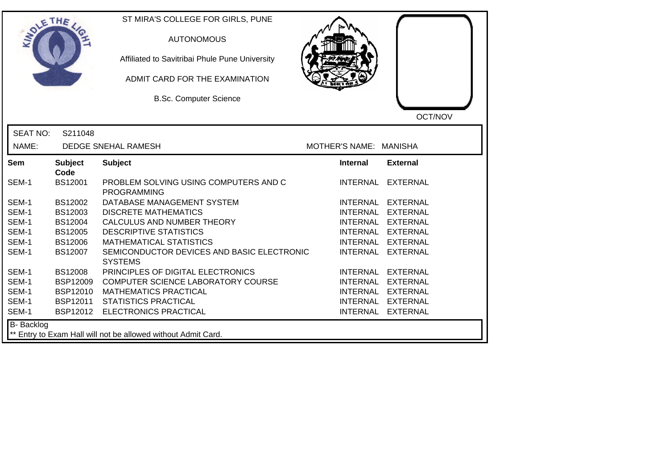| SOLE THE        |                        | ST MIRA'S COLLEGE FOR GIRLS, PUNE<br><b>AUTONOMOUS</b><br>Affiliated to Savitribai Phule Pune University<br>ADMIT CARD FOR THE EXAMINATION<br><b>B.Sc. Computer Science</b> |                        | OCT/NOV           |
|-----------------|------------------------|-----------------------------------------------------------------------------------------------------------------------------------------------------------------------------|------------------------|-------------------|
| <b>SEAT NO:</b> | S211048                |                                                                                                                                                                             |                        |                   |
| NAME:           |                        | DEDGE SNEHAL RAMESH                                                                                                                                                         | MOTHER'S NAME: MANISHA |                   |
| Sem             | <b>Subject</b><br>Code | <b>Subject</b>                                                                                                                                                              | <b>Internal</b>        | <b>External</b>   |
| SEM-1           | BS12001                | PROBLEM SOLVING USING COMPUTERS AND C<br><b>PROGRAMMING</b>                                                                                                                 |                        | INTERNAL EXTERNAL |
| SEM-1           | BS12002                | DATABASE MANAGEMENT SYSTEM                                                                                                                                                  |                        | INTERNAL EXTERNAL |
| SEM-1           | BS12003                | <b>DISCRETE MATHEMATICS</b>                                                                                                                                                 |                        | INTERNAL EXTERNAL |
| SEM-1           | BS12004                | CALCULUS AND NUMBER THEORY                                                                                                                                                  |                        | INTERNAL EXTERNAL |
| SEM-1           | <b>BS12005</b>         | <b>DESCRIPTIVE STATISTICS</b>                                                                                                                                               |                        | INTERNAL EXTERNAL |
| SEM-1           | <b>BS12006</b>         | <b>MATHEMATICAL STATISTICS</b>                                                                                                                                              | <b>INTERNAL</b>        | <b>EXTERNAL</b>   |
| SEM-1           | <b>BS12007</b>         | SEMICONDUCTOR DEVICES AND BASIC ELECTRONIC<br><b>SYSTEMS</b>                                                                                                                | <b>INTERNAL</b>        | <b>EXTERNAL</b>   |
| SEM-1           | <b>BS12008</b>         | PRINCIPLES OF DIGITAL ELECTRONICS                                                                                                                                           |                        | INTERNAL EXTERNAL |
| SEM-1           | <b>BSP12009</b>        | COMPUTER SCIENCE LABORATORY COURSE                                                                                                                                          |                        | INTERNAL EXTERNAL |
| SEM-1           | <b>BSP12010</b>        | <b>MATHEMATICS PRACTICAL</b>                                                                                                                                                |                        | INTERNAL EXTERNAL |
| SEM-1           | <b>BSP12011</b>        | <b>STATISTICS PRACTICAL</b>                                                                                                                                                 |                        | INTERNAL EXTERNAL |
| SEM-1           | BSP12012               | ELECTRONICS PRACTICAL                                                                                                                                                       |                        | INTERNAL EXTERNAL |
| B- Backlog      |                        | ** Entry to Exam Hall will not be allowed without Admit Card.                                                                                                               |                        |                   |